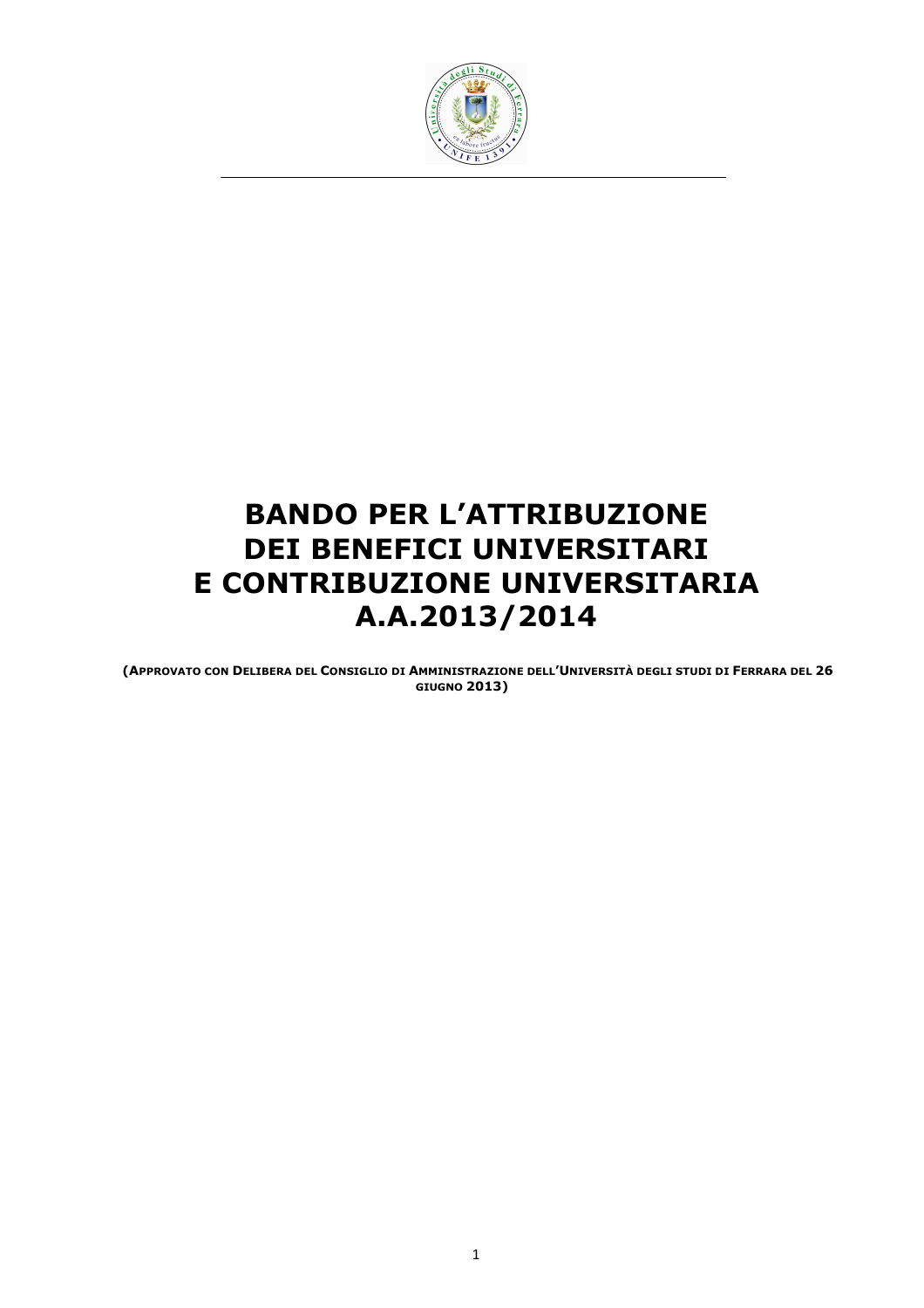

# BANDO PER L'ATTRIBUZIONE DEI BENEFICI UNIVERSITARI E CONTRIBUZIONE UNIVERSITARIA A.A.2013/2014

(APPROVATO CON DELIBERA DEL CONSIGLIO DI AMMINISTRAZIONE DELL'UNIVERSITÀ DEGLI STUDI DI FERRARA DEL 26 GIUGNO 2013)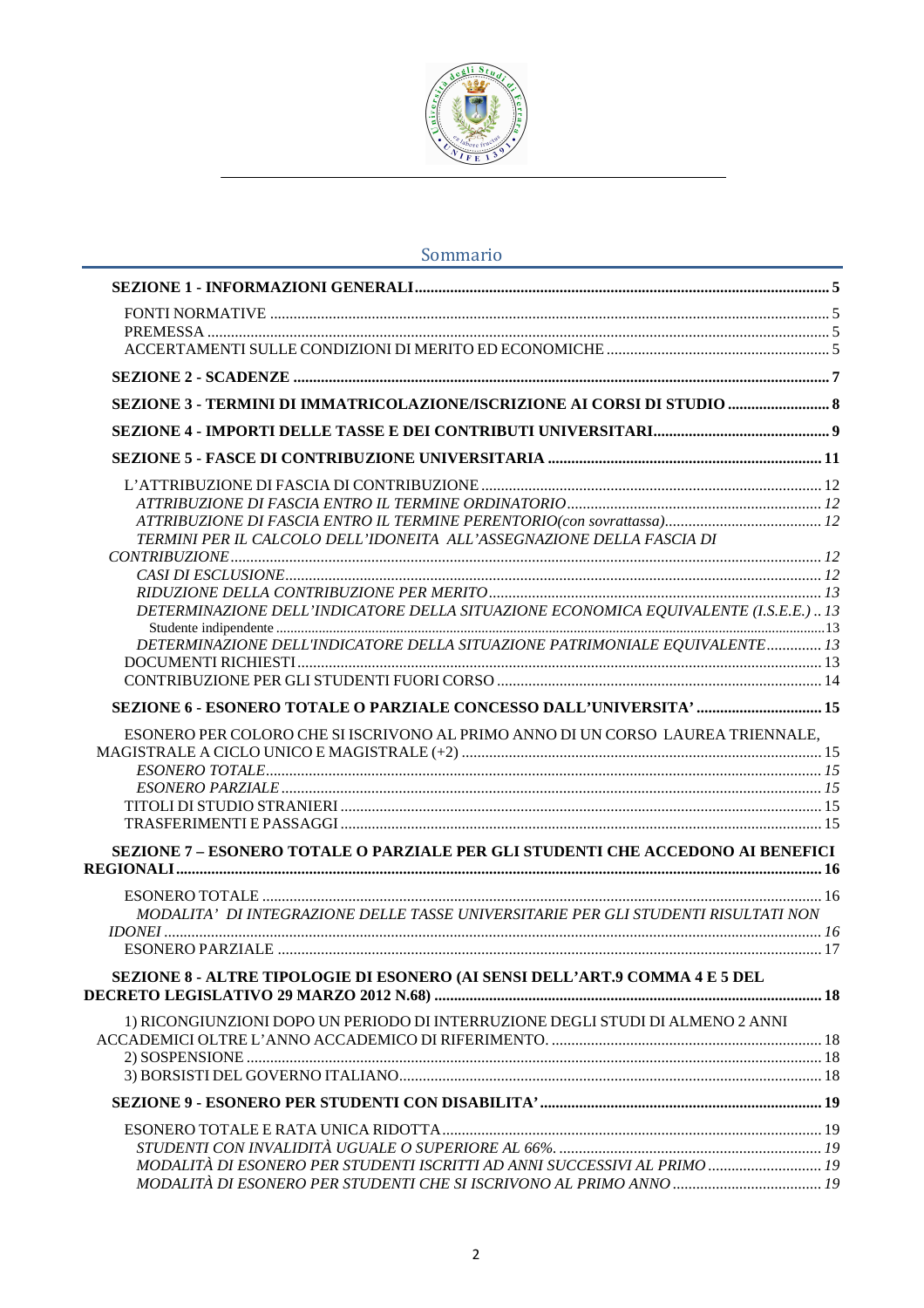

# Sommario

| SEZIONE 3 - TERMINI DI IMMATRICOLAZIONE/ISCRIZIONE AI CORSI DI STUDIO                |  |
|--------------------------------------------------------------------------------------|--|
|                                                                                      |  |
|                                                                                      |  |
|                                                                                      |  |
|                                                                                      |  |
|                                                                                      |  |
| TERMINI PER IL CALCOLO DELL'IDONEITA ALL'ASSEGNAZIONE DELLA FASCIA DI                |  |
|                                                                                      |  |
|                                                                                      |  |
|                                                                                      |  |
| DETERMINAZIONE DELL'INDICATORE DELLA SITUAZIONE ECONOMICA EQUIVALENTE (I.S.E.E.)  13 |  |
|                                                                                      |  |
| DETERMINAZIONE DELL'INDICATORE DELLA SITUAZIONE PATRIMONIALE EQUIVALENTE 13          |  |
|                                                                                      |  |
|                                                                                      |  |
| SEZIONE 6 - ESONERO TOTALE O PARZIALE CONCESSO DALL'UNIVERSITA'  15                  |  |
| ESONERO PER COLORO CHE SI ISCRIVONO AL PRIMO ANNO DI UN CORSO LAUREA TRIENNALE,      |  |
|                                                                                      |  |
|                                                                                      |  |
|                                                                                      |  |
|                                                                                      |  |
|                                                                                      |  |
| SEZIONE 7 - ESONERO TOTALE O PARZIALE PER GLI STUDENTI CHE ACCEDONO AI BENEFICI      |  |
|                                                                                      |  |
|                                                                                      |  |
| MODALITA' DI INTEGRAZIONE DELLE TASSE UNIVERSITARIE PER GLI STUDENTI RISULTATI NON   |  |
|                                                                                      |  |
|                                                                                      |  |
| SEZIONE 8 - ALTRE TIPOLOGIE DI ESONERO (AI SENSI DELL'ART.9 COMMA 4 E 5 DEL          |  |
|                                                                                      |  |
| 1) RICONGIUNZIONI DOPO UN PERIODO DI INTERRUZIONE DEGLI STUDI DI ALMENO 2 ANNI       |  |
|                                                                                      |  |
|                                                                                      |  |
|                                                                                      |  |
|                                                                                      |  |
|                                                                                      |  |
|                                                                                      |  |
| MODALITÀ DI ESONERO PER STUDENTI ISCRITTI AD ANNI SUCCESSIVI AL PRIMO  19            |  |
|                                                                                      |  |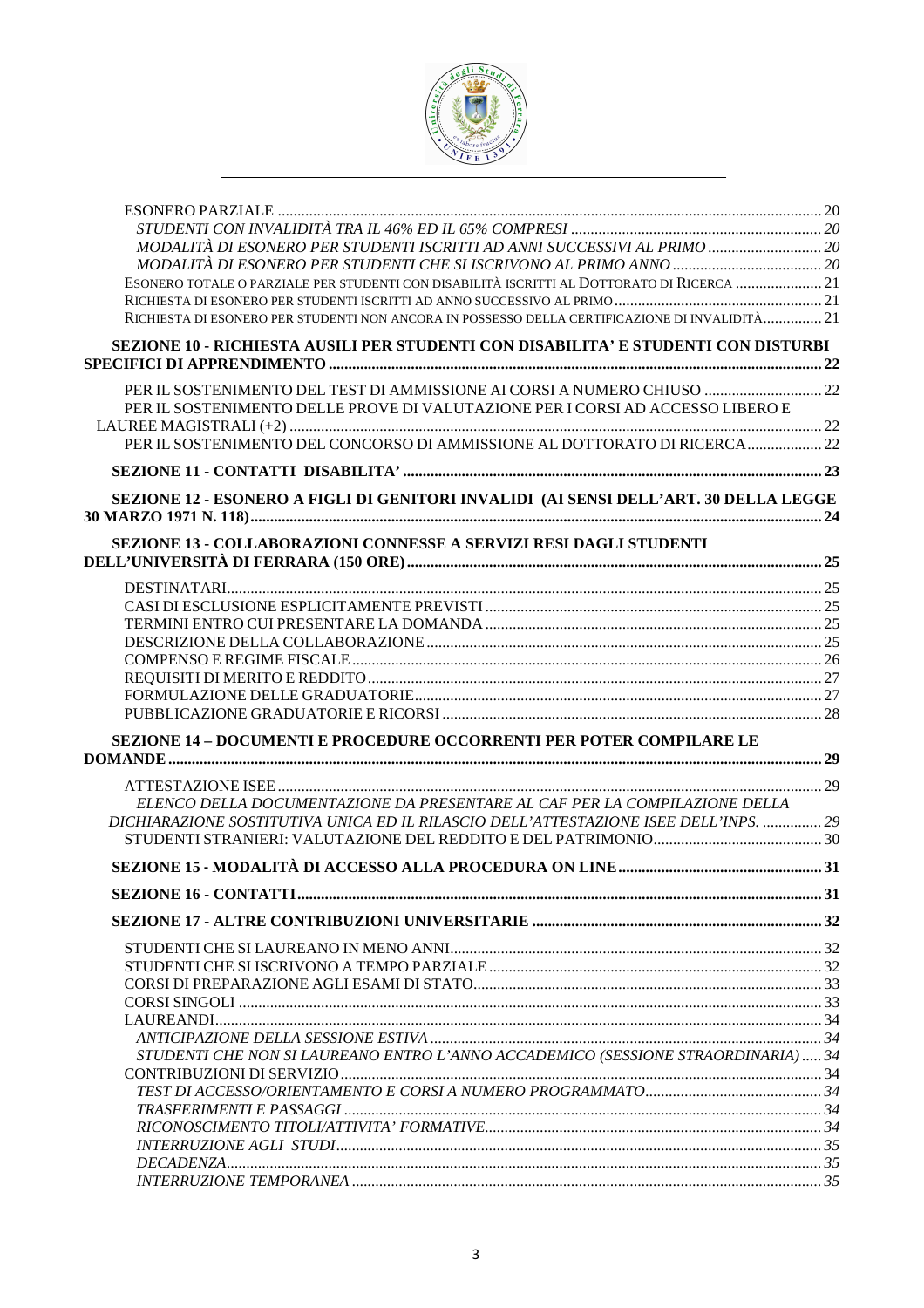

| MODALITÀ DI ESONERO PER STUDENTI ISCRITTI AD ANNI SUCCESSIVI AL PRIMO  20                      |  |
|------------------------------------------------------------------------------------------------|--|
|                                                                                                |  |
| ESONERO TOTALE O PARZIALE PER STUDENTI CON DISABILITÀ ISCRITTI AL DOTTORATO DI RICERCA 21      |  |
| RICHIESTA DI ESONERO PER STUDENTI NON ANCORA IN POSSESSO DELLA CERTIFICAZIONE DI INVALIDITÀ 21 |  |
|                                                                                                |  |
| SEZIONE 10 - RICHIESTA AUSILI PER STUDENTI CON DISABILITA' E STUDENTI CON DISTURBI             |  |
| PER IL SOSTENIMENTO DEL TEST DI AMMISSIONE AI CORSI A NUMERO CHIUSO  22                        |  |
| PER IL SOSTENIMENTO DELLE PROVE DI VALUTAZIONE PER I CORSI AD ACCESSO LIBERO E                 |  |
| PER IL SOSTENIMENTO DEL CONCORSO DI AMMISSIONE AL DOTTORATO DI RICERCA  22                     |  |
|                                                                                                |  |
| SEZIONE 12 - ESONERO A FIGLI DI GENITORI INVALIDI (AI SENSI DELL'ART. 30 DELLA LEGGE           |  |
| SEZIONE 13 - COLLABORAZIONI CONNESSE A SERVIZI RESI DAGLI STUDENTI                             |  |
|                                                                                                |  |
|                                                                                                |  |
|                                                                                                |  |
|                                                                                                |  |
|                                                                                                |  |
|                                                                                                |  |
|                                                                                                |  |
|                                                                                                |  |
| <b>SEZIONE 14 - DOCUMENTI E PROCEDURE OCCORRENTI PER POTER COMPILARE LE</b>                    |  |
|                                                                                                |  |
|                                                                                                |  |
| ELENCO DELLA DOCUMENTAZIONE DA PRESENTARE AL CAF PER LA COMPILAZIONE DELLA                     |  |
| DICHIARAZIONE SOSTITUTIVA UNICA ED IL RILASCIO DELL'ATTESTAZIONE ISEE DELL'INPS.  29           |  |
|                                                                                                |  |
|                                                                                                |  |
|                                                                                                |  |
|                                                                                                |  |
|                                                                                                |  |
|                                                                                                |  |
|                                                                                                |  |
|                                                                                                |  |
|                                                                                                |  |
|                                                                                                |  |
| STUDENTI CHE NON SI LAUREANO ENTRO L'ANNO ACCADEMICO (SESSIONE STRAORDINARIA) 34               |  |
|                                                                                                |  |
|                                                                                                |  |
|                                                                                                |  |
|                                                                                                |  |
|                                                                                                |  |
|                                                                                                |  |
|                                                                                                |  |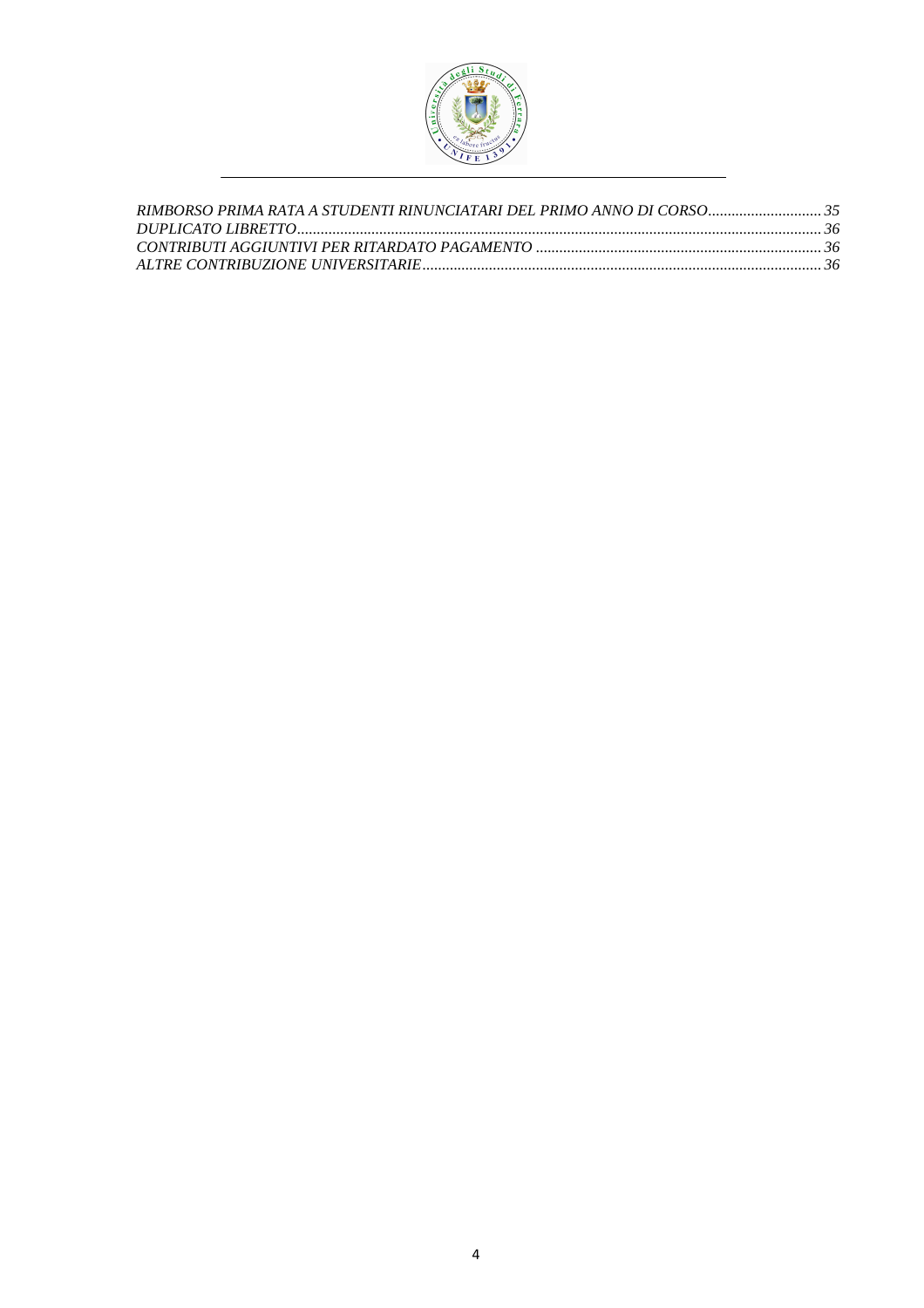

| RIMBORSO PRIMA RATA A STUDENTI RINUNCIATARI DEL PRIMO ANNO DI CORSO 35 |  |
|------------------------------------------------------------------------|--|
|                                                                        |  |
|                                                                        |  |
|                                                                        |  |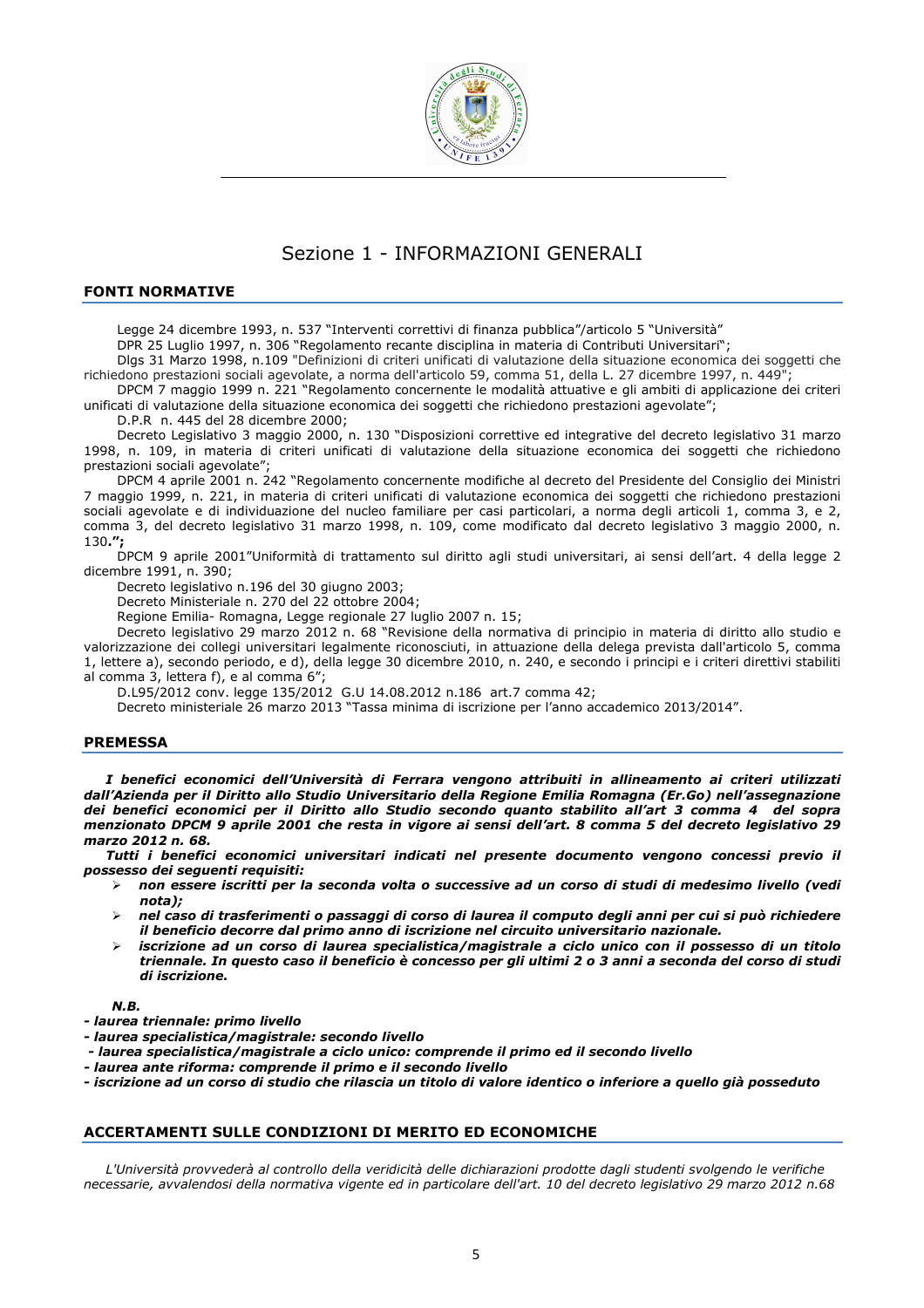

# Sezione 1 - INFORMAZIONI GENERALI

#### FONTI NORMATIVE

Legge 24 dicembre 1993, n. 537 "Interventi correttivi di finanza pubblica"/articolo 5 "Università"

DPR 25 Luglio 1997, n. 306 "Regolamento recante disciplina in materia di Contributi Universitari";

Dlgs 31 Marzo 1998, n.109 "Definizioni di criteri unificati di valutazione della situazione economica dei soggetti che richiedono prestazioni sociali agevolate, a norma dell'articolo 59, comma 51, della L. 27 dicembre 1997, n. 449";

DPCM 7 maggio 1999 n. 221 "Regolamento concernente le modalità attuative e gli ambiti di applicazione dei criteri unificati di valutazione della situazione economica dei soggetti che richiedono prestazioni agevolate";

D.P.R n. 445 del 28 dicembre 2000;

Decreto Legislativo 3 maggio 2000, n. 130 "Disposizioni correttive ed integrative del decreto legislativo 31 marzo 1998, n. 109, in materia di criteri unificati di valutazione della situazione economica dei soggetti che richiedono prestazioni sociali agevolate";

DPCM 4 aprile 2001 n. 242 "Regolamento concernente modifiche al decreto del Presidente del Consiglio dei Ministri 7 maggio 1999, n. 221, in materia di criteri unificati di valutazione economica dei soggetti che richiedono prestazioni sociali agevolate e di individuazione del nucleo familiare per casi particolari, a norma degli articoli 1, comma 3, e 2, comma 3, del decreto legislativo 31 marzo 1998, n. 109, come modificato dal decreto legislativo 3 maggio 2000, n. 130.";

DPCM 9 aprile 2001"Uniformità di trattamento sul diritto agli studi universitari, ai sensi dell'art. 4 della legge 2 dicembre 1991, n. 390;

Decreto legislativo n.196 del 30 giugno 2003;

Decreto Ministeriale n. 270 del 22 ottobre 2004;

Regione Emilia- Romagna, Legge regionale 27 luglio 2007 n. 15;

Decreto legislativo 29 marzo 2012 n. 68 "Revisione della normativa di principio in materia di diritto allo studio e valorizzazione dei collegi universitari legalmente riconosciuti, in attuazione della delega prevista dall'articolo 5, comma 1, lettere a), secondo periodo, e d), della legge 30 dicembre 2010, n. 240, e secondo i principi e i criteri direttivi stabiliti al comma 3, lettera f), e al comma 6";

D.L95/2012 conv. legge 135/2012 G.U 14.08.2012 n.186 art.7 comma 42;

Decreto ministeriale 26 marzo 2013 "Tassa minima di iscrizione per l'anno accademico 2013/2014".

#### **PREMESSA**

I benefici economici dell'Università di Ferrara vengono attribuiti in allineamento ai criteri utilizzati dall'Azienda per il Diritto allo Studio Universitario della Regione Emilia Romagna (Er.Go) nell'assegnazione dei benefici economici per il Diritto allo Studio secondo quanto stabilito all'art 3 comma 4 del sopra menzionato DPCM 9 aprile 2001 che resta in vigore ai sensi dell'art. 8 comma 5 del decreto legislativo 29 marzo 2012 n. 68.

Tutti i benefici economici universitari indicati nel presente documento vengono concessi previo il possesso dei seguenti requisiti:

- $>$  non essere iscritti per la seconda volta o successive ad un corso di studi di medesimo livello (vedi nota);
- nel caso di trasferimenti o passaggi di corso di laurea il computo degli anni per cui si può richiedere il beneficio decorre dal primo anno di iscrizione nel circuito universitario nazionale.
- iscrizione ad un corso di laurea specialistica/magistrale a ciclo unico con il possesso di un titolo triennale. In questo caso il beneficio è concesso per gli ultimi 2 o 3 anni a seconda del corso di studi di iscrizione.

N.B.

- laurea triennale: primo livello
- laurea specialistica/magistrale: secondo livello
- laurea specialistica/magistrale a ciclo unico: comprende il primo ed il secondo livello
- laurea ante riforma: comprende il primo e il secondo livello

- iscrizione ad un corso di studio che rilascia un titolo di valore identico o inferiore a quello già posseduto

#### ACCERTAMENTI SULLE CONDIZIONI DI MERITO ED ECONOMICHE

L'Università provvederà al controllo della veridicità delle dichiarazioni prodotte dagli studenti svolgendo le verifiche necessarie, avvalendosi della normativa vigente ed in particolare dell'art. 10 del decreto legislativo 29 marzo 2012 n.68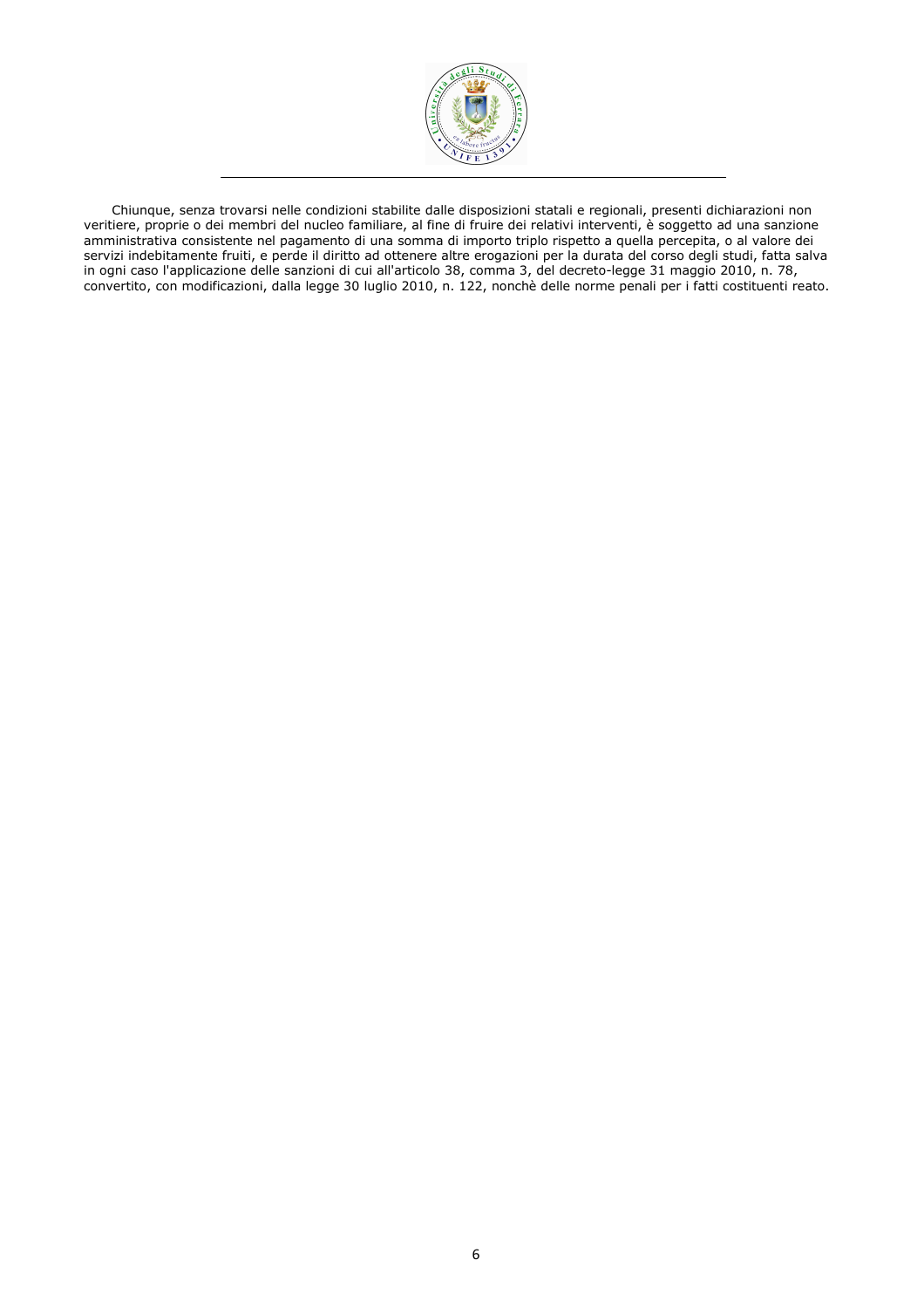

Chiunque, senza trovarsi nelle condizioni stabilite dalle disposizioni statali e regionali, presenti dichiarazioni non veritiere, proprie o dei membri del nucleo familiare, al fine di fruire dei relativi interventi, è soggetto ad una sanzione amministrativa consistente nel pagamento di una somma di importo triplo rispetto a quella percepita, o al valore dei servizi indebitamente fruiti, e perde il diritto ad ottenere altre erogazioni per la durata del corso degli studi, fatta salva in ogni caso l'applicazione delle sanzioni di cui all'articolo 38, comma 3, del decreto-legge 31 maggio 2010, n. 78, convertito, con modificazioni, dalla legge 30 luglio 2010, n. 122, nonchè delle norme penali per i fatti costituenti reato.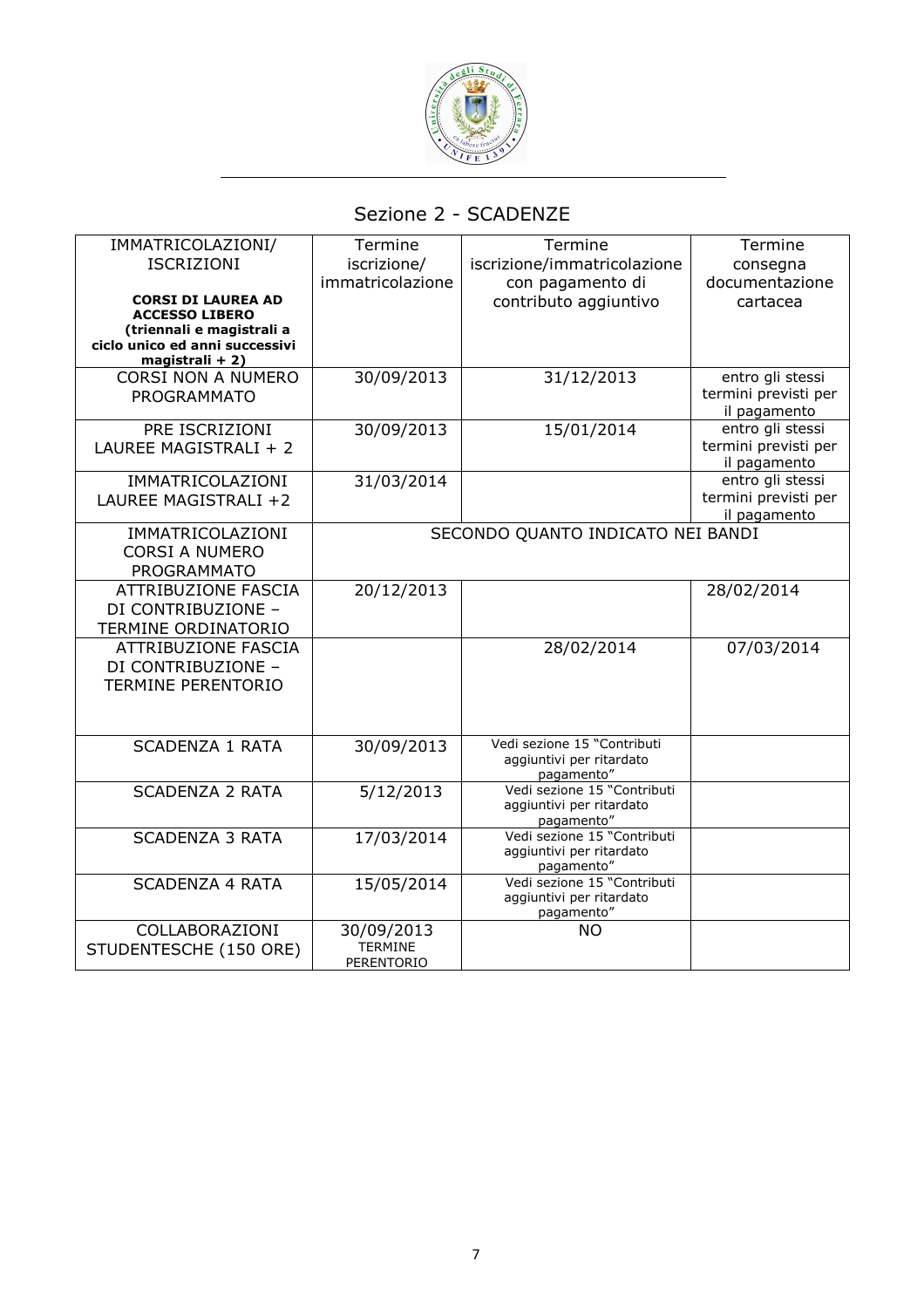

# Sezione 2 - SCADENZE

| IMMATRICOLAZIONI/                                  | Termine          | Termine                                                 | Termine                                  |
|----------------------------------------------------|------------------|---------------------------------------------------------|------------------------------------------|
| <b>ISCRIZIONI</b>                                  | iscrizione/      | iscrizione/immatricolazione                             | consegna                                 |
|                                                    | immatricolazione | con pagamento di                                        | documentazione                           |
| <b>CORSI DI LAUREA AD</b>                          |                  | contributo aggiuntivo                                   | cartacea                                 |
| <b>ACCESSO LIBERO</b><br>(triennali e magistrali a |                  |                                                         |                                          |
| ciclo unico ed anni successivi                     |                  |                                                         |                                          |
| magistrali + 2)                                    |                  |                                                         |                                          |
| <b>CORSI NON A NUMERO</b>                          | 30/09/2013       | 31/12/2013                                              | entro gli stessi                         |
| <b>PROGRAMMATO</b>                                 |                  |                                                         | termini previsti per<br>il pagamento     |
| PRE ISCRIZIONI                                     | 30/09/2013       | 15/01/2014                                              | entro gli stessi                         |
| LAUREE MAGISTRALI + 2                              |                  |                                                         | termini previsti per                     |
|                                                    |                  |                                                         | il pagamento                             |
| IMMATRICOLAZIONI                                   | 31/03/2014       |                                                         | entro gli stessi<br>termini previsti per |
| LAUREE MAGISTRALI +2                               |                  |                                                         | il pagamento                             |
| IMMATRICOLAZIONI                                   |                  | SECONDO QUANTO INDICATO NEI BANDI                       |                                          |
| <b>CORSI A NUMERO</b>                              |                  |                                                         |                                          |
| <b>PROGRAMMATO</b>                                 |                  |                                                         |                                          |
| <b>ATTRIBUZIONE FASCIA</b>                         | 20/12/2013       |                                                         | 28/02/2014                               |
| DI CONTRIBUZIONE -                                 |                  |                                                         |                                          |
| TERMINE ORDINATORIO                                |                  |                                                         |                                          |
| <b>ATTRIBUZIONE FASCIA</b>                         |                  | 28/02/2014                                              | 07/03/2014                               |
| DI CONTRIBUZIONE -                                 |                  |                                                         |                                          |
| <b>TERMINE PERENTORIO</b>                          |                  |                                                         |                                          |
|                                                    |                  |                                                         |                                          |
|                                                    |                  |                                                         |                                          |
| <b>SCADENZA 1 RATA</b>                             | 30/09/2013       | Vedi sezione 15 "Contributi                             |                                          |
|                                                    |                  | aggiuntivi per ritardato                                |                                          |
| <b>SCADENZA 2 RATA</b>                             | 5/12/2013        | pagamento"<br>Vedi sezione 15 "Contributi               |                                          |
|                                                    |                  | aggiuntivi per ritardato                                |                                          |
|                                                    |                  | pagamento"                                              |                                          |
| <b>SCADENZA 3 RATA</b>                             | 17/03/2014       | Vedi sezione 15 "Contributi<br>aggiuntivi per ritardato |                                          |
|                                                    |                  | pagamento"                                              |                                          |
| <b>SCADENZA 4 RATA</b>                             | 15/05/2014       | Vedi sezione 15 "Contributi                             |                                          |
|                                                    |                  | aggiuntivi per ritardato                                |                                          |
| COLLABORAZIONI                                     | 30/09/2013       | pagamento"<br><b>NO</b>                                 |                                          |
| STUDENTESCHE (150 ORE)                             | <b>TERMINE</b>   |                                                         |                                          |
|                                                    | PERENTORIO       |                                                         |                                          |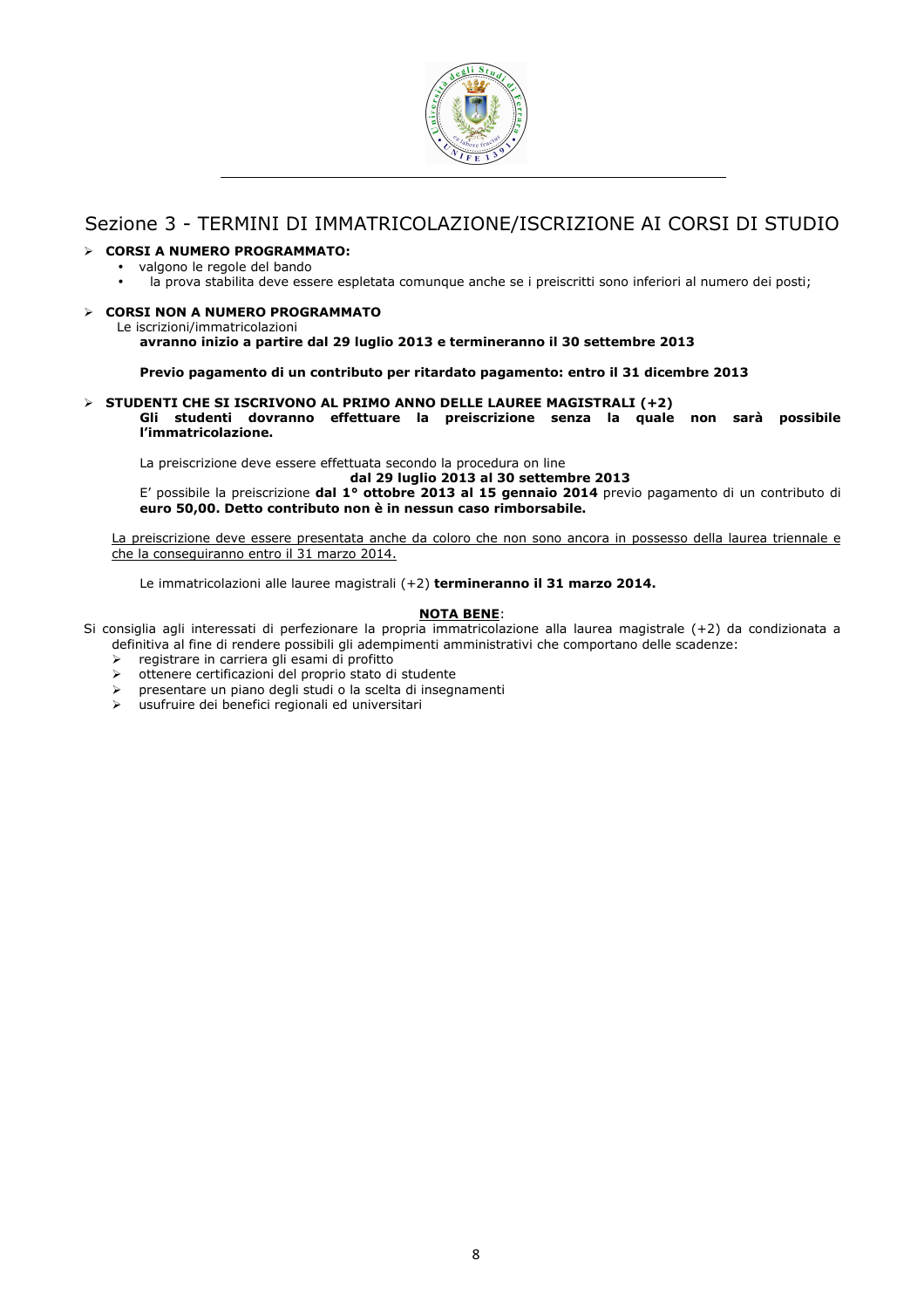

# Sezione 3 - TERMINI DI IMMATRICOLAZIONE/ISCRIZIONE AI CORSI DI STUDIO

# CORSI A NUMERO PROGRAMMATO:

- valgono le regole del bando<br>• la prova stabilita deve ess
	- la prova stabilita deve essere espletata comunque anche se i preiscritti sono inferiori al numero dei posti;

# $\triangleright$  CORSI NON A NUMERO PROGRAMMATO

Le iscrizioni/immatricolazioni

#### avranno inizio a partire dal 29 luglio 2013 e termineranno il 30 settembre 2013

Previo pagamento di un contributo per ritardato pagamento: entro il 31 dicembre 2013

#### $>$  STUDENTI CHE SI ISCRIVONO AL PRIMO ANNO DELLE LAUREE MAGISTRALI (+2)

Gli studenti dovranno effettuare la preiscrizione senza la quale non sarà possibile l'immatricolazione.

La preiscrizione deve essere effettuata secondo la procedura on line

dal 29 luglio 2013 al 30 settembre 2013

E' possibile la preiscrizione dal 1° ottobre 2013 al 15 gennaio 2014 previo pagamento di un contributo di euro 50,00. Detto contributo non è in nessun caso rimborsabile.

La preiscrizione deve essere presentata anche da coloro che non sono ancora in possesso della laurea triennale e che la conseguiranno entro il 31 marzo 2014.

Le immatricolazioni alle lauree magistrali (+2) termineranno il 31 marzo 2014.

## NOTA BENE:

Si consiglia agli interessati di perfezionare la propria immatricolazione alla laurea magistrale (+2) da condizionata a definitiva al fine di rendere possibili gli adempimenti amministrativi che comportano delle scadenze:

- registrare in carriera gli esami di profitto
- ottenere certificazioni del proprio stato di studente
- presentare un piano degli studi o la scelta di insegnamenti
- usufruire dei benefici regionali ed universitari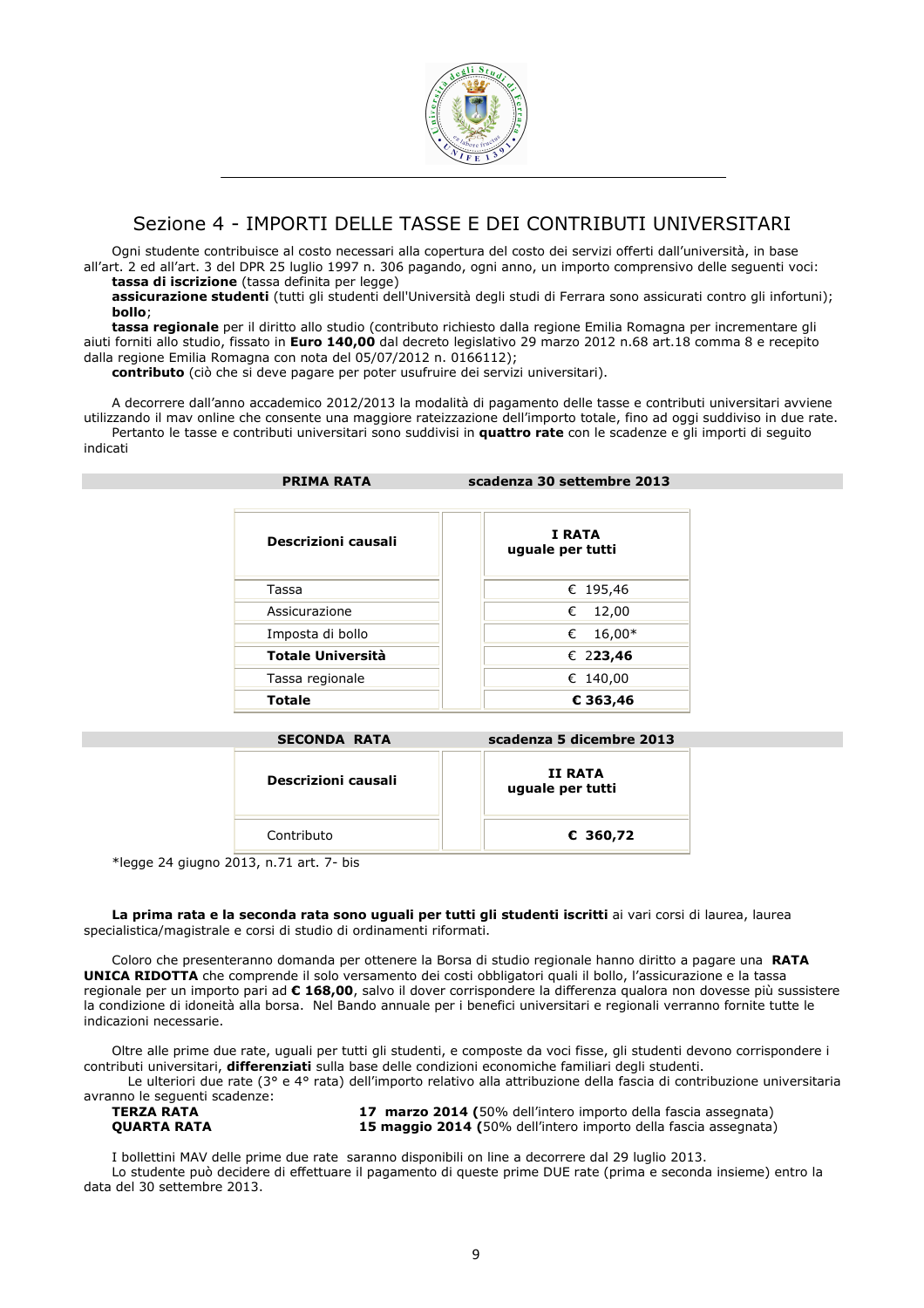

# Sezione 4 - IMPORTI DELLE TASSE E DEI CONTRIBUTI UNIVERSITARI

Ogni studente contribuisce al costo necessari alla copertura del costo dei servizi offerti dall'università, in base all'art. 2 ed all'art. 3 del DPR 25 luglio 1997 n. 306 pagando, ogni anno, un importo comprensivo delle seguenti voci: tassa di iscrizione (tassa definita per legge)

assicurazione studenti (tutti gli studenti dell'Università degli studi di Ferrara sono assicurati contro gli infortuni); bollo;

tassa regionale per il diritto allo studio (contributo richiesto dalla regione Emilia Romagna per incrementare gli aiuti forniti allo studio, fissato in Euro 140,00 dal decreto legislativo 29 marzo 2012 n.68 art.18 comma 8 e recepito dalla regione Emilia Romagna con nota del 05/07/2012 n. 0166112);

contributo (ciò che si deve pagare per poter usufruire dei servizi universitari).

A decorrere dall'anno accademico 2012/2013 la modalità di pagamento delle tasse e contributi universitari avviene utilizzando il mav online che consente una maggiore rateizzazione dell'importo totale, fino ad oggi suddiviso in due rate. Pertanto le tasse e contributi universitari sono suddivisi in quattro rate con le scadenze e gli importi di seguito indicati

| <b>PRIMA RATA</b>        | scadenza 30 settembre 2013 |  |  |
|--------------------------|----------------------------|--|--|
| Descrizioni causali      | I RATA<br>uguale per tutti |  |  |
| Tassa                    | € 195,46                   |  |  |
| Assicurazione            | 12,00<br>€                 |  |  |
| Imposta di bollo         | $16,00*$<br>€              |  |  |
| <b>Totale Università</b> | € 223,46                   |  |  |
| Tassa regionale          | € 140,00                   |  |  |
| <b>Totale</b>            | € 363,46                   |  |  |

| <b>SECONDA RATA</b> | scadenza 5 dicembre 2013    |
|---------------------|-----------------------------|
| Descrizioni causali | II RATA<br>uguale per tutti |
| Contributo          | € 360,72                    |

\*legge 24 giugno 2013, n.71 art. 7- bis

La prima rata e la seconda rata sono uguali per tutti gli studenti iscritti ai vari corsi di laurea, laurea specialistica/magistrale e corsi di studio di ordinamenti riformati.

Coloro che presenteranno domanda per ottenere la Borsa di studio regionale hanno diritto a pagare una RATA UNICA RIDOTTA che comprende il solo versamento dei costi obbligatori quali il bollo, l'assicurazione e la tassa regionale per un importo pari ad € 168,00, salvo il dover corrispondere la differenza qualora non dovesse più sussistere la condizione di idoneità alla borsa. Nel Bando annuale per i benefici universitari e regionali verranno fornite tutte le indicazioni necessarie.

Oltre alle prime due rate, uguali per tutti gli studenti, e composte da voci fisse, gli studenti devono corrispondere i contributi universitari, differenziati sulla base delle condizioni economiche familiari degli studenti.

Le ulteriori due rate (3° e 4° rata) dell'importo relativo alla attribuzione della fascia di contribuzione universitaria avranno le seguenti scadenze:

| <b>TERZA RATA</b> |  |
|-------------------|--|
| AUARTA BATA       |  |

17 marzo 2014 (50% dell'intero importo della fascia assegnata) QUARTA RATA 15 maggio 2014 (50% dell'intero importo della fascia assegnata)

I bollettini MAV delle prime due rate saranno disponibili on line a decorrere dal 29 luglio 2013.

Lo studente può decidere di effettuare il pagamento di queste prime DUE rate (prima e seconda insieme) entro la data del 30 settembre 2013.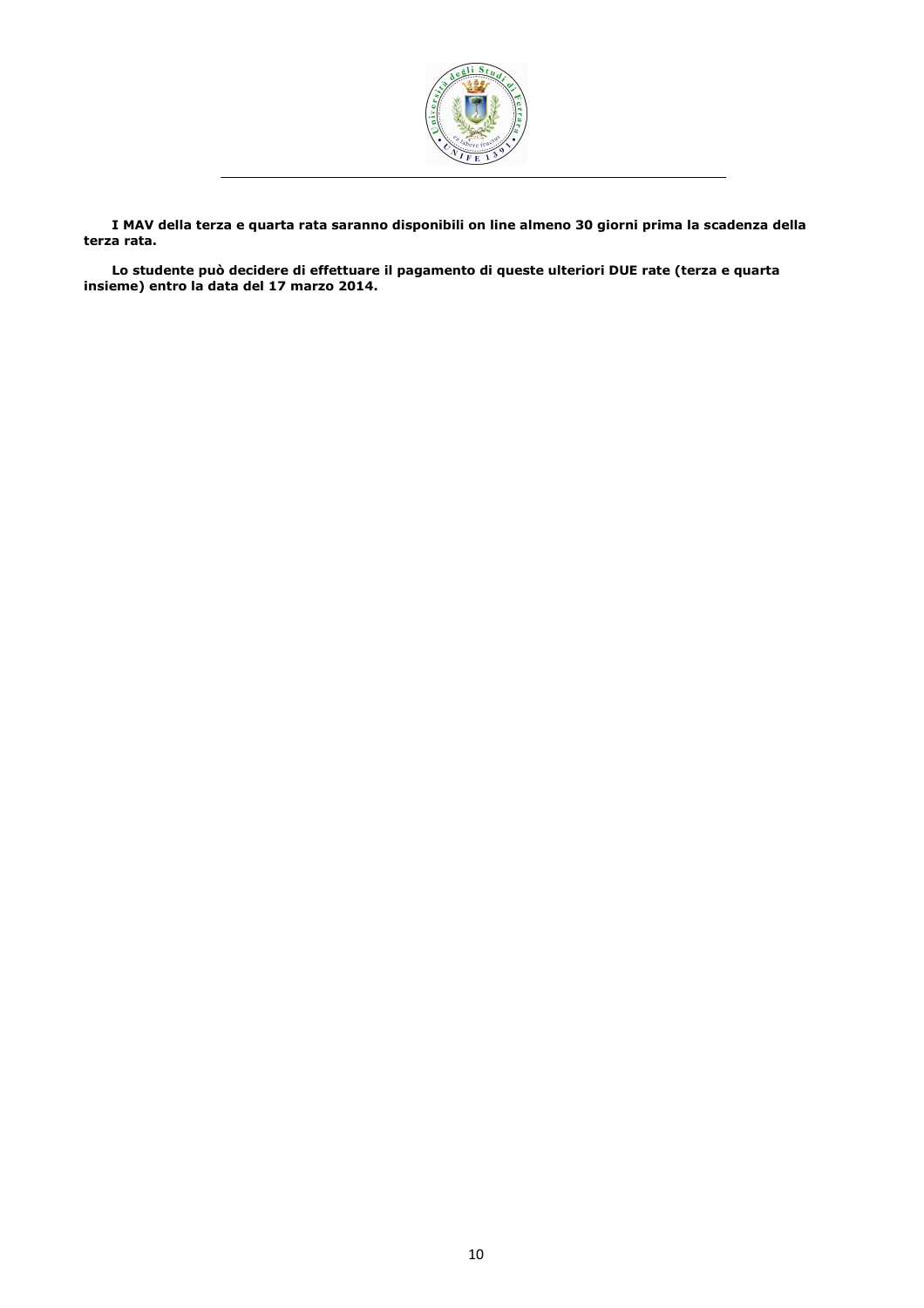

I MAV della terza e quarta rata saranno disponibili on line almeno 30 giorni prima la scadenza della terza rata.

Lo studente può decidere di effettuare il pagamento di queste ulteriori DUE rate (terza e quarta insieme) entro la data del 17 marzo 2014.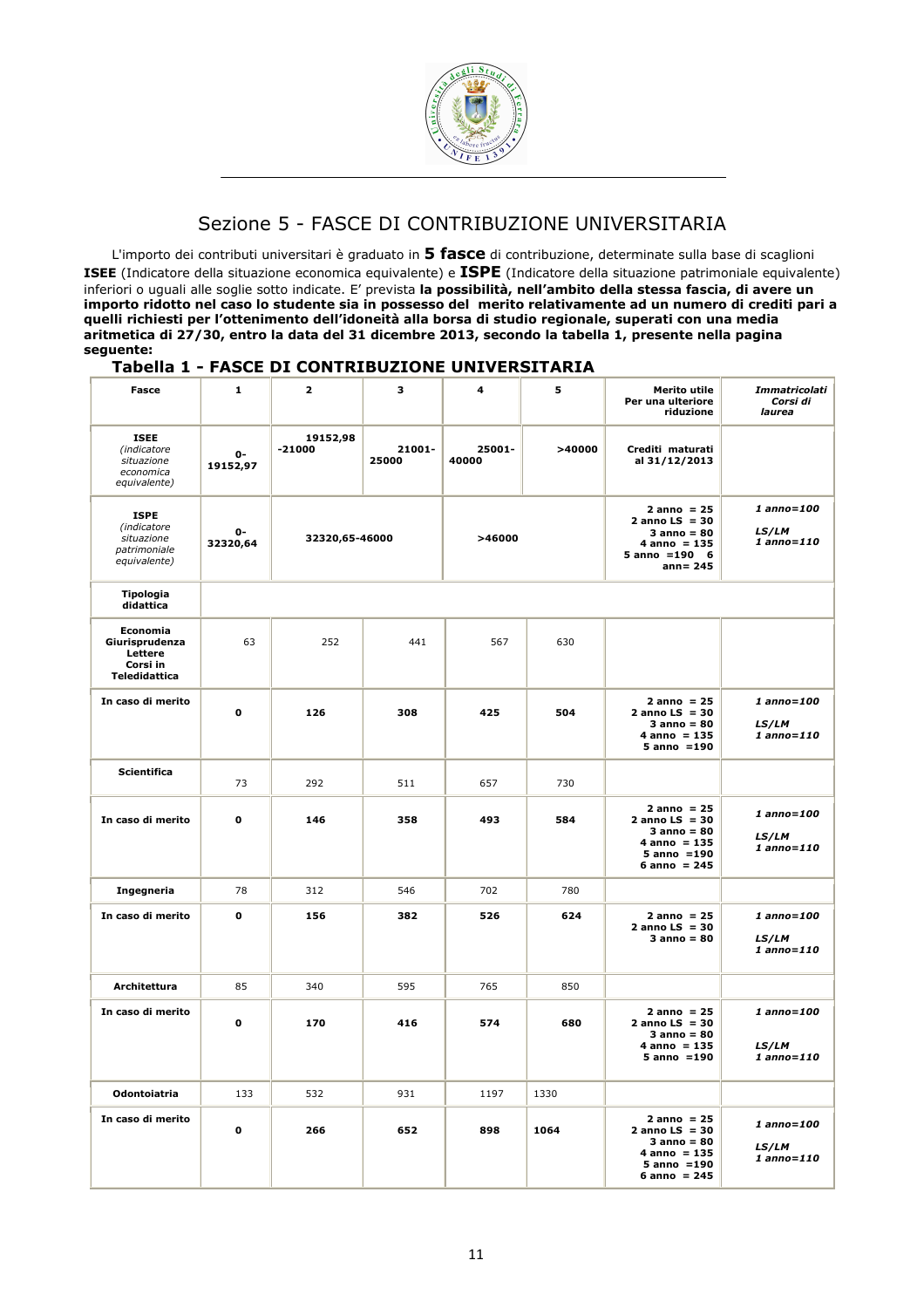

# Sezione 5 - FASCE DI CONTRIBUZIONE UNIVERSITARIA

L'importo dei contributi universitari è graduato in 5 fasce di contribuzione, determinate sulla base di scaglioni ISEE (Indicatore della situazione economica equivalente) e ISPE (Indicatore della situazione patrimoniale equivalente) inferiori o uguali alle soglie sotto indicate. E' prevista **la possibilità, nell'ambito della stessa fascia, di avere un** importo ridotto nel caso lo studente sia in possesso del merito relativamente ad un numero di crediti pari a quelli richiesti per l'ottenimento dell'idoneità alla borsa di studio regionale, superati con una media aritmetica di 27/30, entro la data del 31 dicembre 2013, secondo la tabella 1, presente nella pagina seguente:

# Tabella 1 - FASCE DI CONTRIBUZIONE UNIVERSITARIA

| Fasce                                                                     | $\mathbf{1}$   | $\mathbf{z}$         | з               | 4               | 5      | <b>Merito utile</b><br>Per una ulteriore<br>riduzione                                                      | Immatricolati<br>Corsi di<br>laurea    |
|---------------------------------------------------------------------------|----------------|----------------------|-----------------|-----------------|--------|------------------------------------------------------------------------------------------------------------|----------------------------------------|
| <b>ISEE</b><br>(indicatore<br>situazione<br>economica<br>equivalente)     | 0-<br>19152,97 | 19152,98<br>$-21000$ | 21001-<br>25000 | 25001-<br>40000 | >40000 | Crediti maturati<br>al 31/12/2013                                                                          |                                        |
| <b>ISPE</b><br>(indicatore<br>situazione<br>patrimoniale<br>equivalente)  | 0-<br>32320,64 | 32320,65-46000       |                 | >46000          |        | $2$ anno = 25<br>2 anno $LS = 30$<br>$3$ anno = $80$<br>$4$ anno = 135<br>$5 anno = 190 6$<br>$ann = 245$  | 1 anno=100<br>LS/LM<br>$1$ anno= $110$ |
| Tipologia<br>didattica                                                    |                |                      |                 |                 |        |                                                                                                            |                                        |
| <b>Economia</b><br>Giurisprudenza<br>Lettere<br>Corsi in<br>Teledidattica | 63             | 252                  | 441             | 567             | 630    |                                                                                                            |                                        |
| In caso di merito                                                         | O              | 126                  | 308             | 425             | 504    | $2$ anno = 25<br>2 anno $LS = 30$<br>$3$ anno = $80$<br>$4$ anno = 135<br>$5$ anno = 190                   | 1 anno=100<br>LS/LM<br>1 anno=110      |
| <b>Scientifica</b>                                                        | 73             | 292                  | 511             | 657             | 730    |                                                                                                            |                                        |
| In caso di merito                                                         | 0              | 146                  | 358             | 493             | 584    | $2$ anno = 25<br>2 anno $LS = 30$<br>$3$ anno = $80$<br>$4$ anno = 135<br>$5$ anno = 190<br>$6$ anno = 245 | 1 anno=100<br>LS/LM<br>$1$ anno= $110$ |
| Ingegneria                                                                | 78             | 312                  | 546             | 702             | 780    |                                                                                                            |                                        |
| In caso di merito                                                         | 0              | 156                  | 382             | 526             | 624    | $2$ anno = 25<br>$2$ anno LS = 30<br>$3$ anno = $80$                                                       | 1 anno=100<br>LS/LM<br>1 anno=110      |
| Architettura                                                              | 85             | 340                  | 595             | 765             | 850    |                                                                                                            |                                        |
| In caso di merito                                                         | 0              | 170                  | 416             | 574             | 680    | $2$ anno = 25<br>2 anno $LS = 30$<br>$3$ anno = $80$<br>$4$ anno = 135<br>$5$ anno = 190                   | 1 anno=100<br>LS/LM<br>1 anno=110      |
| Odontoiatria                                                              | 133            | 532                  | 931             | 1197            | 1330   |                                                                                                            |                                        |
| In caso di merito                                                         | 0              | 266                  | 652             | 898             | 1064   | $2$ anno = 25<br>2 anno $LS = 30$<br>$3$ anno = $80$<br>$4$ anno = 135<br>$5$ anno = 190<br>$6$ anno = 245 | 1 anno=100<br>LS/LM<br>1 anno=110      |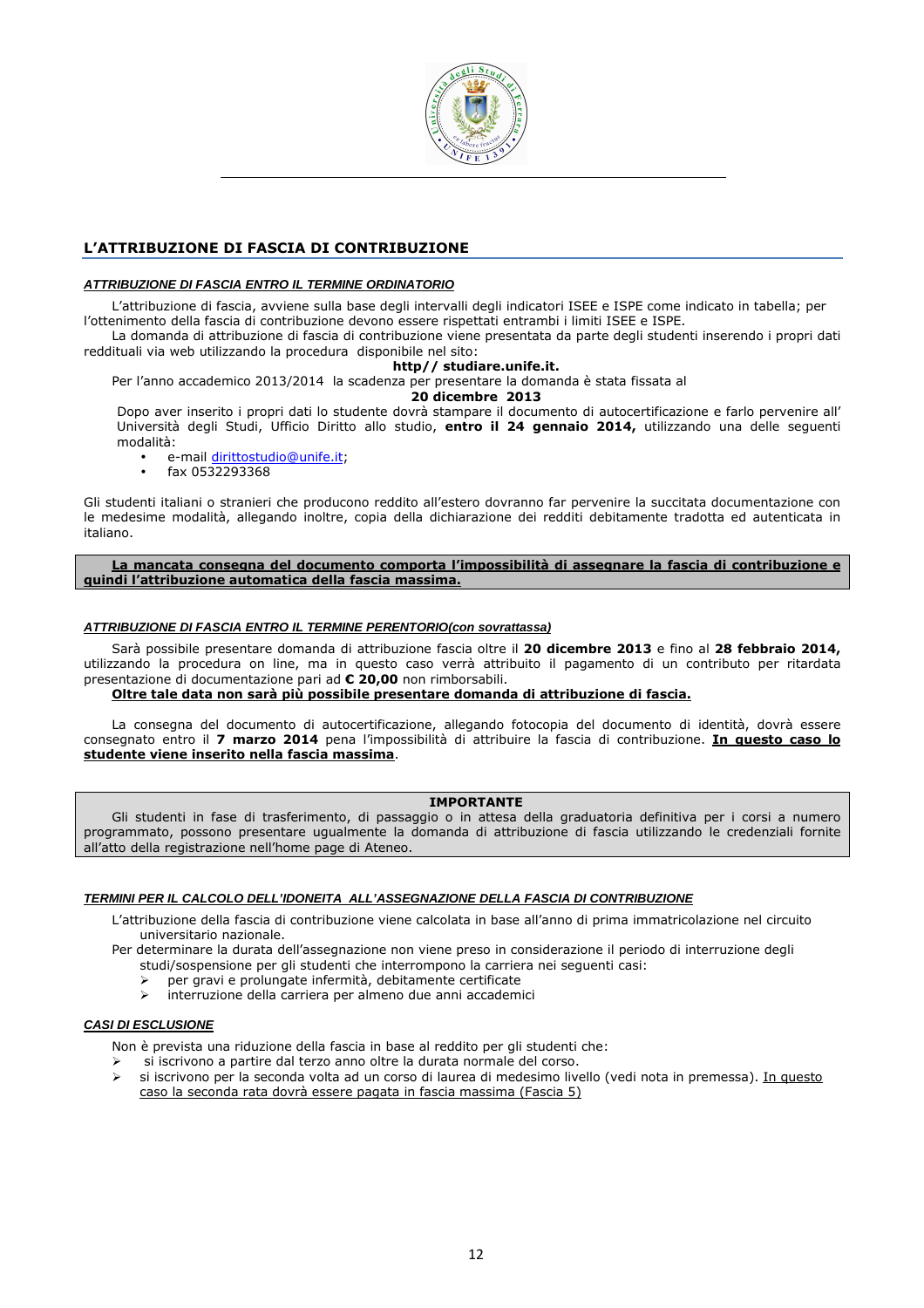

# L'ATTRIBUZIONE DI FASCIA DI CONTRIBUZIONE

# **ATTRIBUZIONE DI FASCIA ENTRO IL TERMINE ORDINATORIO**

L'attribuzione di fascia, avviene sulla base degli intervalli degli indicatori ISEE e ISPE come indicato in tabella; per l'ottenimento della fascia di contribuzione devono essere rispettati entrambi i limiti ISEE e ISPE.

La domanda di attribuzione di fascia di contribuzione viene presentata da parte degli studenti inserendo i propri dati reddituali via web utilizzando la procedura disponibile nel sito:

#### http// studiare.unife.it.

Per l'anno accademico 2013/2014 la scadenza per presentare la domanda è stata fissata al

## 20 dicembre 2013

Dopo aver inserito i propri dati lo studente dovrà stampare il documento di autocertificazione e farlo pervenire all' Università degli Studi, Ufficio Diritto allo studio, entro il 24 gennaio 2014, utilizzando una delle seguenti modalità:

- e-mail dirittostudio@unife.it;
- fax 0532293368

Gli studenti italiani o stranieri che producono reddito all'estero dovranno far pervenire la succitata documentazione con le medesime modalità, allegando inoltre, copia della dichiarazione dei redditi debitamente tradotta ed autenticata in italiano.

La mancata consegna del documento comporta l'impossibilità di assegnare la fascia di contribuzione e quindi l'attribuzione automatica della fascia massima.

## **ATTRIBUZIONE DI FASCIA ENTRO IL TERMINE PERENTORIO(con sovrattassa)**

Sarà possibile presentare domanda di attribuzione fascia oltre il 20 dicembre 2013 e fino al 28 febbraio 2014, utilizzando la procedura on line, ma in questo caso verrà attribuito il pagamento di un contributo per ritardata presentazione di documentazione pari ad € 20,00 non rimborsabili.

#### Oltre tale data non sarà più possibile presentare domanda di attribuzione di fascia.

La consegna del documento di autocertificazione, allegando fotocopia del documento di identità, dovrà essere consegnato entro il 7 marzo 2014 pena l'impossibilità di attribuire la fascia di contribuzione. In questo caso lo studente viene inserito nella fascia massima.

#### IMPORTANTE

Gli studenti in fase di trasferimento, di passaggio o in attesa della graduatoria definitiva per i corsi a numero programmato, possono presentare ugualmente la domanda di attribuzione di fascia utilizzando le credenziali fornite all'atto della registrazione nell'home page di Ateneo.

# **TERMINI PER IL CALCOLO DELL'IDONEITA ALL'ASSEGNAZIONE DELLA FASCIA DI CONTRIBUZIONE**

- L'attribuzione della fascia di contribuzione viene calcolata in base all'anno di prima immatricolazione nel circuito universitario nazionale.
- Per determinare la durata dell'assegnazione non viene preso in considerazione il periodo di interruzione degli studi/sospensione per gli studenti che interrompono la carriera nei seguenti casi:
	- per gravi e prolungate infermità, debitamente certificate
	- interruzione della carriera per almeno due anni accademici

#### **CASI DI ESCLUSIONE**

Non è prevista una riduzione della fascia in base al reddito per gli studenti che:

- si iscrivono a partire dal terzo anno oltre la durata normale del corso.
- si iscrivono per la seconda volta ad un corso di laurea di medesimo livello (vedi nota in premessa). In questo caso la seconda rata dovrà essere pagata in fascia massima (Fascia 5)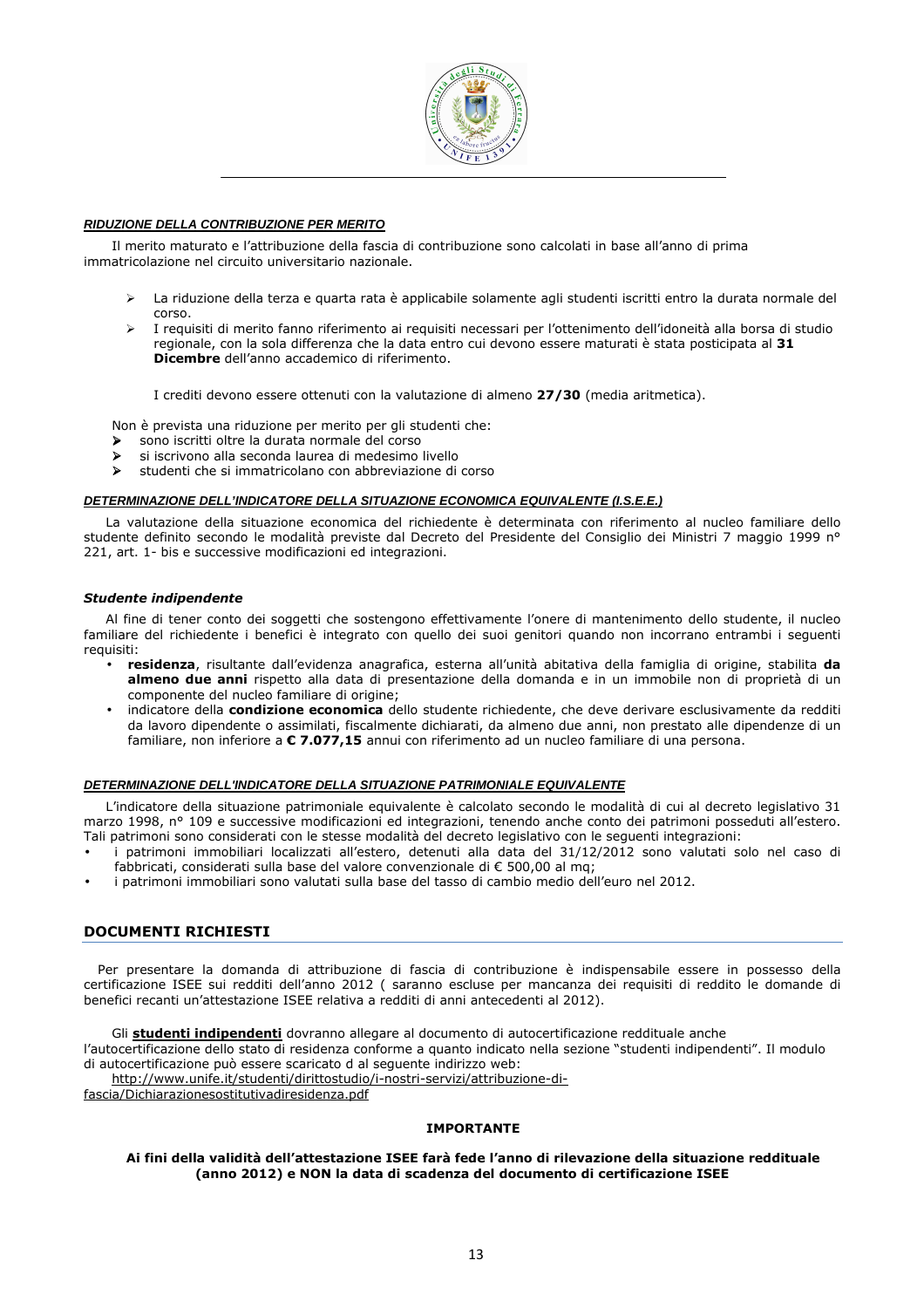

# **RIDUZIONE DELLA CONTRIBUZIONE PER MERITO**

Il merito maturato e l'attribuzione della fascia di contribuzione sono calcolati in base all'anno di prima immatricolazione nel circuito universitario nazionale.

- La riduzione della terza e quarta rata è applicabile solamente agli studenti iscritti entro la durata normale del corso.
- I requisiti di merito fanno riferimento ai requisiti necessari per l'ottenimento dell'idoneità alla borsa di studio regionale, con la sola differenza che la data entro cui devono essere maturati è stata posticipata al 31 Dicembre dell'anno accademico di riferimento.

I crediti devono essere ottenuti con la valutazione di almeno 27/30 (media aritmetica).

Non è prevista una riduzione per merito per gli studenti che:

- sono iscritti oltre la durata normale del corso
- si iscrivono alla seconda laurea di medesimo livello
- studenti che si immatricolano con abbreviazione di corso

## **DETERMINAZIONE DELL'INDICATORE DELLA SITUAZIONE ECONOMICA EQUIVALENTE (I.S.E.E.)**

La valutazione della situazione economica del richiedente è determinata con riferimento al nucleo familiare dello studente definito secondo le modalità previste dal Decreto del Presidente del Consiglio dei Ministri 7 maggio 1999 n° 221, art. 1- bis e successive modificazioni ed integrazioni.

#### Studente indipendente

Al fine di tener conto dei soggetti che sostengono effettivamente l'onere di mantenimento dello studente, il nucleo familiare del richiedente i benefici è integrato con quello dei suoi genitori quando non incorrano entrambi i seguenti requisiti:

- residenza, risultante dall'evidenza anagrafica, esterna all'unità abitativa della famiglia di origine, stabilita da almeno due anni rispetto alla data di presentazione della domanda e in un immobile non di proprietà di un componente del nucleo familiare di origine;
- indicatore della condizione economica dello studente richiedente, che deve derivare esclusivamente da redditi da lavoro dipendente o assimilati, fiscalmente dichiarati, da almeno due anni, non prestato alle dipendenze di un familiare, non inferiore a € 7.077,15 annui con riferimento ad un nucleo familiare di una persona.

## **DETERMINAZIONE DELL'INDICATORE DELLA SITUAZIONE PATRIMONIALE EQUIVALENTE**

L'indicatore della situazione patrimoniale equivalente è calcolato secondo le modalità di cui al decreto legislativo 31 marzo 1998, n° 109 e successive modificazioni ed integrazioni, tenendo anche conto dei patrimoni posseduti all'estero. Tali patrimoni sono considerati con le stesse modalità del decreto legislativo con le seguenti integrazioni:

- i patrimoni immobiliari localizzati all'estero, detenuti alla data del 31/12/2012 sono valutati solo nel caso di fabbricati, considerati sulla base del valore convenzionale di € 500,00 al mq;
- i patrimoni immobiliari sono valutati sulla base del tasso di cambio medio dell'euro nel 2012.

# DOCUMENTI RICHIESTI

Per presentare la domanda di attribuzione di fascia di contribuzione è indispensabile essere in possesso della certificazione ISEE sui redditi dell'anno 2012 ( saranno escluse per mancanza dei requisiti di reddito le domande di benefici recanti un'attestazione ISEE relativa a redditi di anni antecedenti al 2012).

Gli studenti indipendenti dovranno allegare al documento di autocertificazione reddituale anche

l'autocertificazione dello stato di residenza conforme a quanto indicato nella sezione "studenti indipendenti". Il modulo di autocertificazione può essere scaricato d al seguente indirizzo web:

http://www.unife.it/studenti/dirittostudio/i-nostri-servizi/attribuzione-di-

fascia/Dichiarazionesostitutivadiresidenza.pdf

#### IMPORTANTE

#### Ai fini della validità dell'attestazione ISEE farà fede l'anno di rilevazione della situazione reddituale (anno 2012) e NON la data di scadenza del documento di certificazione ISEE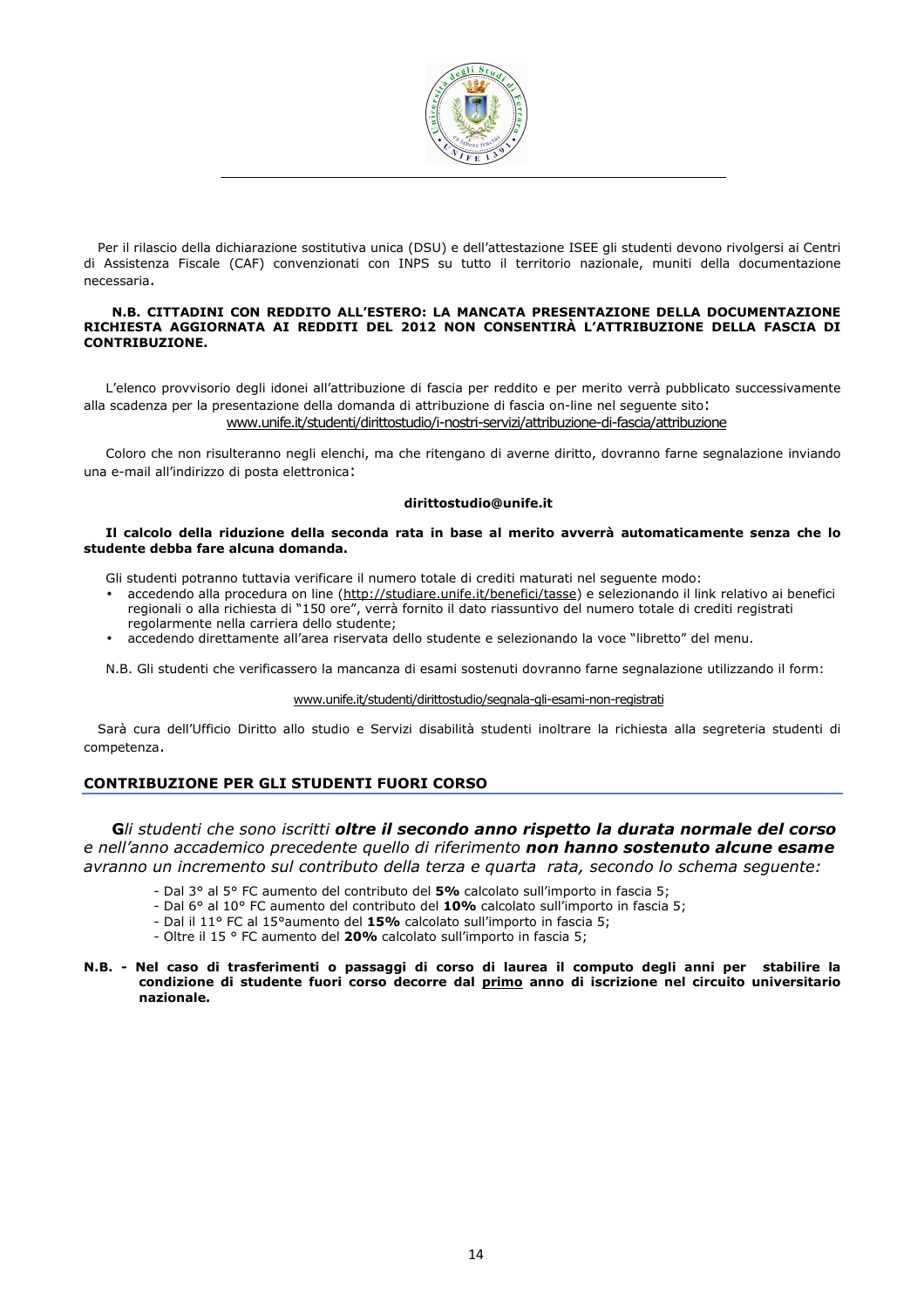

Per il rilascio della dichiarazione sostitutiva unica (DSU) e dell'attestazione ISEE gli studenti devono rivolgersi ai Centri di Assistenza Fiscale (CAF) convenzionati con INPS su tutto il territorio nazionale, muniti della documentazione necessaria.

#### N.B. CITTADINI CON REDDITO ALL'ESTERO: LA MANCATA PRESENTAZIONE DELLA DOCUMENTAZIONE RICHIESTA AGGIORNATA AI REDDITI DEL 2012 NON CONSENTIRÀ L'ATTRIBUZIONE DELLA FASCIA DI CONTRIBUZIONE.

L'elenco provvisorio degli idonei all'attribuzione di fascia per reddito e per merito verrà pubblicato successivamente alla scadenza per la presentazione della domanda di attribuzione di fascia on-line nel seguente sito: www.unife.it/studenti/dirittostudio/i-nostri-servizi/attribuzione-di-fascia/attribuzione

Coloro che non risulteranno negli elenchi, ma che ritengano di averne diritto, dovranno farne segnalazione inviando una e-mail all'indirizzo di posta elettronica:

#### dirittostudio@unife.it

#### Il calcolo della riduzione della seconda rata in base al merito avverrà automaticamente senza che lo studente debba fare alcuna domanda.

Gli studenti potranno tuttavia verificare il numero totale di crediti maturati nel seguente modo:

- accedendo alla procedura on line (http://studiare.unife.it/benefici/tasse) e selezionando il link relativo ai benefici regionali o alla richiesta di "150 ore", verrà fornito il dato riassuntivo del numero totale di crediti registrati regolarmente nella carriera dello studente;
- accedendo direttamente all'area riservata dello studente e selezionando la voce "libretto" del menu.

N.B. Gli studenti che verificassero la mancanza di esami sostenuti dovranno farne segnalazione utilizzando il form:

#### www.unife.it/studenti/dirittostudio/segnala-gli-esami-non-registrati

Sarà cura dell'Ufficio Diritto allo studio e Servizi disabilità studenti inoltrare la richiesta alla segreteria studenti di competenza.

# CONTRIBUZIONE PER GLI STUDENTI FUORI CORSO

Gli studenti che sono iscritti oltre il secondo anno rispetto la durata normale del corso e nell'anno accademico precedente quello di riferimento non hanno sostenuto alcune esame avranno un incremento sul contributo della terza e quarta rata, secondo lo schema seguente:

- Dal 3° al 5° FC aumento del contributo del 5% calcolato sull'importo in fascia 5;
- Dal 6° al 10° FC aumento del contributo del 10% calcolato sull'importo in fascia 5;
- Dal il 11° FC al 15°aumento del 15% calcolato sull'importo in fascia 5;
- Oltre il 15 ° FC aumento del 20% calcolato sull'importo in fascia 5;

#### N.B. - Nel caso di trasferimenti o passaggi di corso di laurea il computo degli anni per stabilire la condizione di studente fuori corso decorre dal primo anno di iscrizione nel circuito universitario nazionale.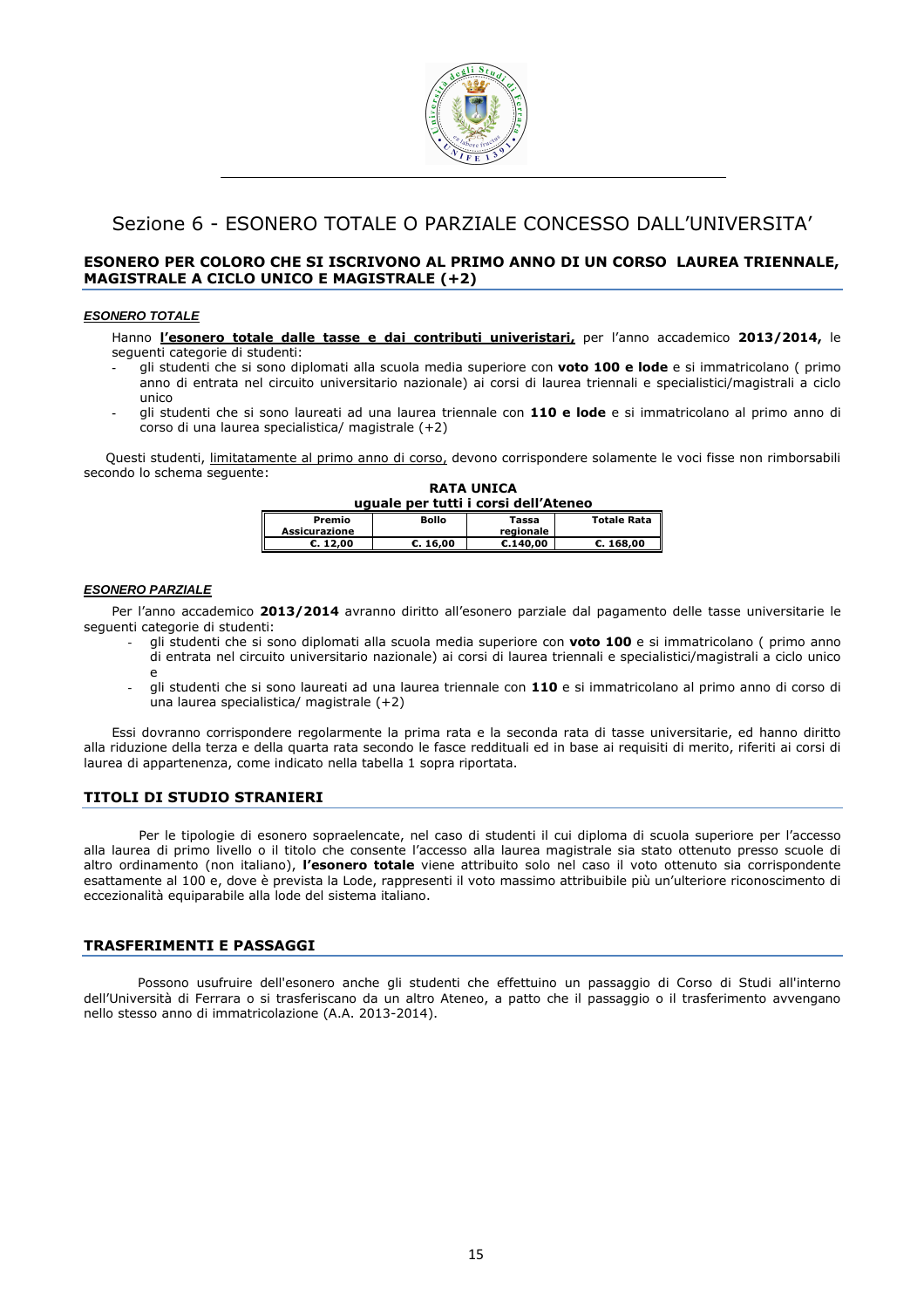

# Sezione 6 - ESONERO TOTALE O PARZIALE CONCESSO DALL'UNIVERSITA'

# ESONERO PER COLORO CHE SI ISCRIVONO AL PRIMO ANNO DI UN CORSO LAUREA TRIENNALE, MAGISTRALE A CICLO UNICO E MAGISTRALE (+2)

#### **ESONERO TOTALE**

Hanno l'esonero totale dalle tasse e dai contributi univeristari, per l'anno accademico 2013/2014, le seguenti categorie di studenti:

- **-** gli studenti che si sono diplomati alla scuola media superiore con voto 100 e lode e si immatricolano ( primo anno di entrata nel circuito universitario nazionale) ai corsi di laurea triennali e specialistici/magistrali a ciclo unico
- **-** gli studenti che si sono laureati ad una laurea triennale con 110 e lode e si immatricolano al primo anno di corso di una laurea specialistica/ magistrale (+2)

Questi studenti, limitatamente al primo anno di corso, devono corrispondere solamente le voci fisse non rimborsabili secondo lo schema seguente: RATA UNICA

| uguale per tutti i corsi dell'Ateneo |              |                    |                    |
|--------------------------------------|--------------|--------------------|--------------------|
| Premio<br><b>Assicurazione</b>       | <b>Bollo</b> | Tassa<br>regionale | <b>Totale Rata</b> |
| C. 12.00                             | C.16.00      | E.140.00           | C.168.00           |

#### **ESONERO PARZIALE**

Per l'anno accademico 2013/2014 avranno diritto all'esonero parziale dal pagamento delle tasse universitarie le seguenti categorie di studenti:

- gli studenti che si sono diplomati alla scuola media superiore con voto 100 e si immatricolano ( primo anno di entrata nel circuito universitario nazionale) ai corsi di laurea triennali e specialistici/magistrali a ciclo unico e
- gli studenti che si sono laureati ad una laurea triennale con 110 e si immatricolano al primo anno di corso di una laurea specialistica/ magistrale  $(+2)$

Essi dovranno corrispondere regolarmente la prima rata e la seconda rata di tasse universitarie, ed hanno diritto alla riduzione della terza e della quarta rata secondo le fasce reddituali ed in base ai requisiti di merito, riferiti ai corsi di laurea di appartenenza, come indicato nella tabella 1 sopra riportata.

#### TITOLI DI STUDIO STRANIERI

Per le tipologie di esonero sopraelencate, nel caso di studenti il cui diploma di scuola superiore per l'accesso alla laurea di primo livello o il titolo che consente l'accesso alla laurea magistrale sia stato ottenuto presso scuole di altro ordinamento (non italiano), l'esonero totale viene attribuito solo nel caso il voto ottenuto sia corrispondente esattamente al 100 e, dove è prevista la Lode, rappresenti il voto massimo attribuibile più un'ulteriore riconoscimento di eccezionalità equiparabile alla lode del sistema italiano.

#### TRASFERIMENTI E PASSAGGI

Possono usufruire dell'esonero anche gli studenti che effettuino un passaggio di Corso di Studi all'interno dell'Università di Ferrara o si trasferiscano da un altro Ateneo, a patto che il passaggio o il trasferimento avvengano nello stesso anno di immatricolazione (A.A. 2013-2014).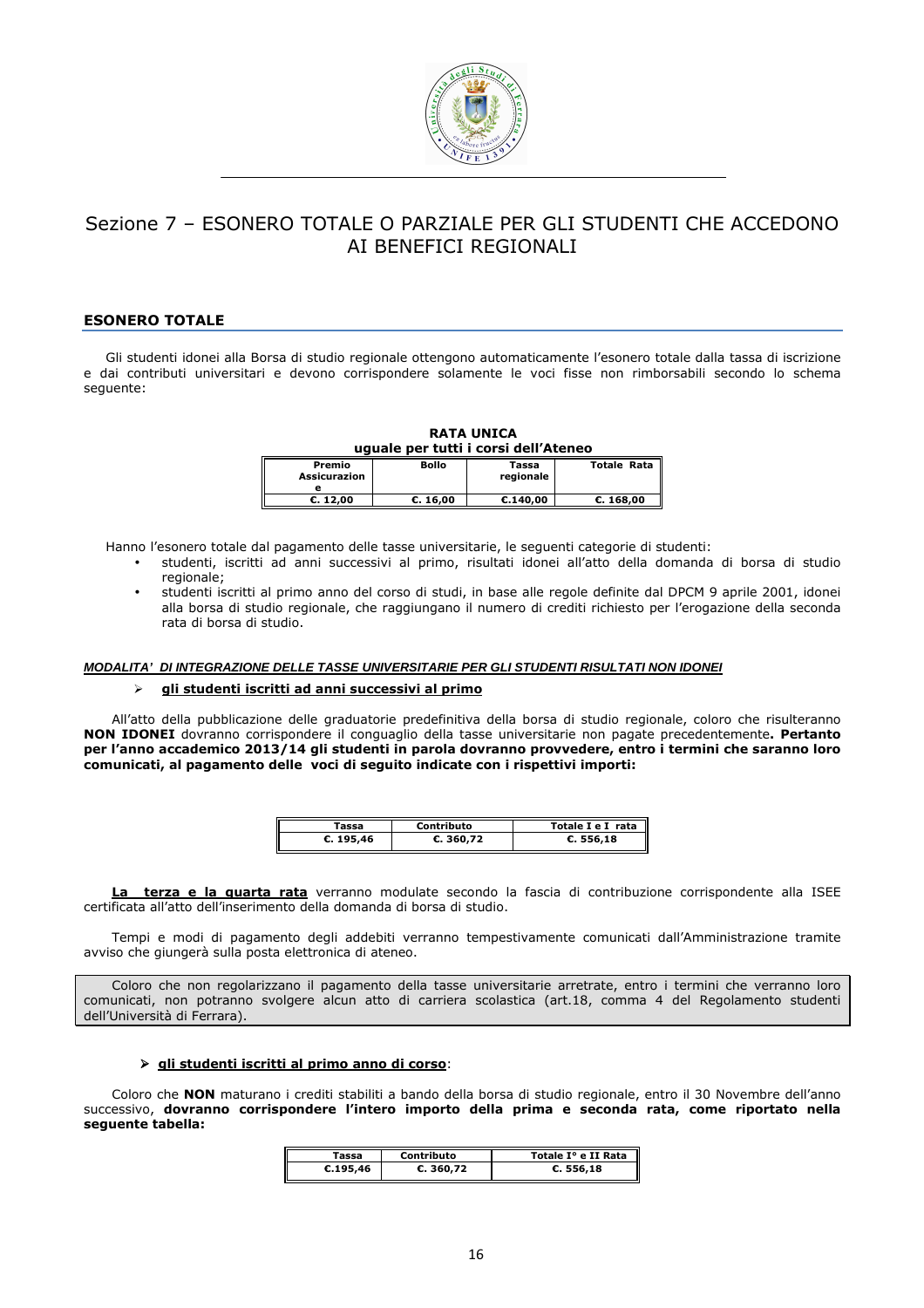

# Sezione 7 – ESONERO TOTALE O PARZIALE PER GLI STUDENTI CHE ACCEDONO AI BENEFICI REGIONALI

# ESONERO TOTALE

Gli studenti idonei alla Borsa di studio regionale ottengono automaticamente l'esonero totale dalla tassa di iscrizione e dai contributi universitari e devono corrispondere solamente le voci fisse non rimborsabili secondo lo schema seguente:

| <b>RATA UNICA</b><br>uguale per tutti i corsi dell'Ateneo |              |                    |                    |  |
|-----------------------------------------------------------|--------------|--------------------|--------------------|--|
| Premio<br><b>Assicurazion</b>                             | <b>Bollo</b> | Tassa<br>regionale | <b>Totale Rata</b> |  |
| E. 12.00                                                  | C. 16,00     | C.140.00           | C. 168,00          |  |

Hanno l'esonero totale dal pagamento delle tasse universitarie, le seguenti categorie di studenti:

- studenti, iscritti ad anni successivi al primo, risultati idonei all'atto della domanda di borsa di studio regionale;
- studenti iscritti al primo anno del corso di studi, in base alle regole definite dal DPCM 9 aprile 2001, idonei alla borsa di studio regionale, che raggiungano il numero di crediti richiesto per l'erogazione della seconda rata di borsa di studio.

#### **MODALITA' DI INTEGRAZIONE DELLE TASSE UNIVERSITARIE PER GLI STUDENTI RISULTATI NON IDONEI**

#### > gli studenti iscritti ad anni successivi al primo

All'atto della pubblicazione delle graduatorie predefinitiva della borsa di studio regionale, coloro che risulteranno NON IDONEI dovranno corrispondere il conguaglio della tasse universitarie non pagate precedentemente. Pertanto per l'anno accademico 2013/14 gli studenti in parola dovranno provvedere, entro i termini che saranno loro comunicati, al pagamento delle voci di seguito indicate con i rispettivi importi:

| rassa     | Contributo | Totale I e I rata |
|-----------|------------|-------------------|
| C. 195,46 | C.360,72   | C.556,18          |

terza e la quarta rata verranno modulate secondo la fascia di contribuzione corrispondente alla ISEE certificata all'atto dell'inserimento della domanda di borsa di studio.

Tempi e modi di pagamento degli addebiti verranno tempestivamente comunicati dall'Amministrazione tramite avviso che giungerà sulla posta elettronica di ateneo.

Coloro che non regolarizzano il pagamento della tasse universitarie arretrate, entro i termini che verranno loro comunicati, non potranno svolgere alcun atto di carriera scolastica (art.18, comma 4 del Regolamento studenti dell'Università di Ferrara).

## $\triangleright$  gli studenti iscritti al primo anno di corso:

Coloro che NON maturano i crediti stabiliti a bando della borsa di studio regionale, entro il 30 Novembre dell'anno successivo, dovranno corrispondere l'intero importo della prima e seconda rata, come riportato nella seguente tabella:

| Tassa    | Contributo | Totale I° e II Rata |
|----------|------------|---------------------|
| C.195.46 | C.360,72   | C.556,18            |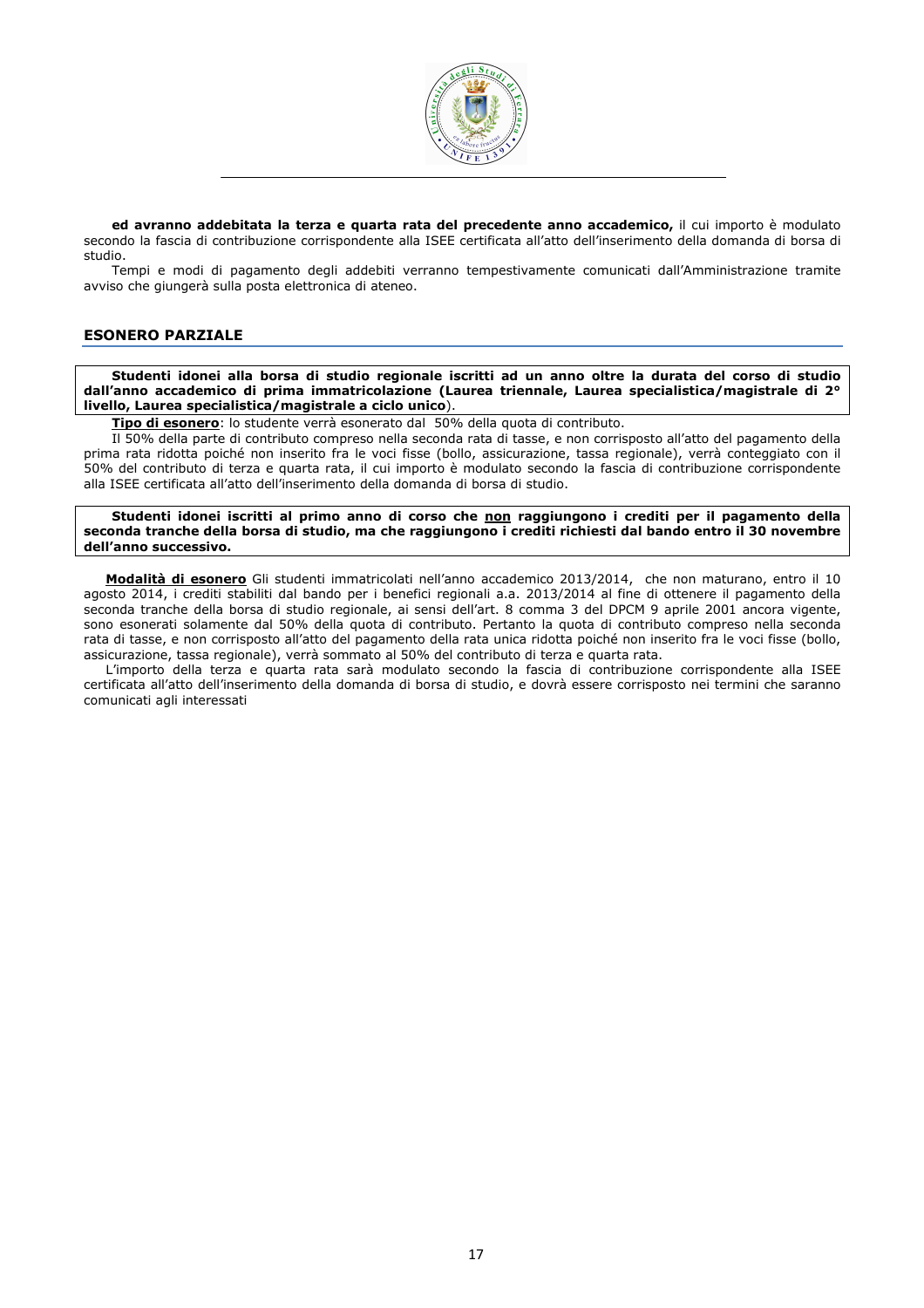

ed avranno addebitata la terza e quarta rata del precedente anno accademico, il cui importo è modulato secondo la fascia di contribuzione corrispondente alla ISEE certificata all'atto dell'inserimento della domanda di borsa di studio.

Tempi e modi di pagamento degli addebiti verranno tempestivamente comunicati dall'Amministrazione tramite avviso che giungerà sulla posta elettronica di ateneo.

# ESONERO PARZIALE

Studenti idonei alla borsa di studio regionale iscritti ad un anno oltre la durata del corso di studio dall'anno accademico di prima immatricolazione (Laurea triennale, Laurea specialistica/magistrale di 2° livello, Laurea specialistica/magistrale a ciclo unico).

Tipo di esonero: lo studente verrà esonerato dal 50% della quota di contributo.

Il 50% della parte di contributo compreso nella seconda rata di tasse, e non corrisposto all'atto del pagamento della prima rata ridotta poiché non inserito fra le voci fisse (bollo, assicurazione, tassa regionale), verrà conteggiato con il 50% del contributo di terza e quarta rata, il cui importo è modulato secondo la fascia di contribuzione corrispondente alla ISEE certificata all'atto dell'inserimento della domanda di borsa di studio.

Studenti idonei iscritti al primo anno di corso che non raggiungono i crediti per il pagamento della seconda tranche della borsa di studio, ma che raggiungono i crediti richiesti dal bando entro il 30 novembre dell'anno successivo.

Modalità di esonero Gli studenti immatricolati nell'anno accademico 2013/2014, che non maturano, entro il 10 agosto 2014, i crediti stabiliti dal bando per i benefici regionali a.a. 2013/2014 al fine di ottenere il pagamento della seconda tranche della borsa di studio regionale, ai sensi dell'art. 8 comma 3 del DPCM 9 aprile 2001 ancora vigente, sono esonerati solamente dal 50% della quota di contributo. Pertanto la quota di contributo compreso nella seconda rata di tasse, e non corrisposto all'atto del pagamento della rata unica ridotta poiché non inserito fra le voci fisse (bollo, assicurazione, tassa regionale), verrà sommato al 50% del contributo di terza e quarta rata.

L'importo della terza e quarta rata sarà modulato secondo la fascia di contribuzione corrispondente alla ISEE certificata all'atto dell'inserimento della domanda di borsa di studio, e dovrà essere corrisposto nei termini che saranno comunicati agli interessati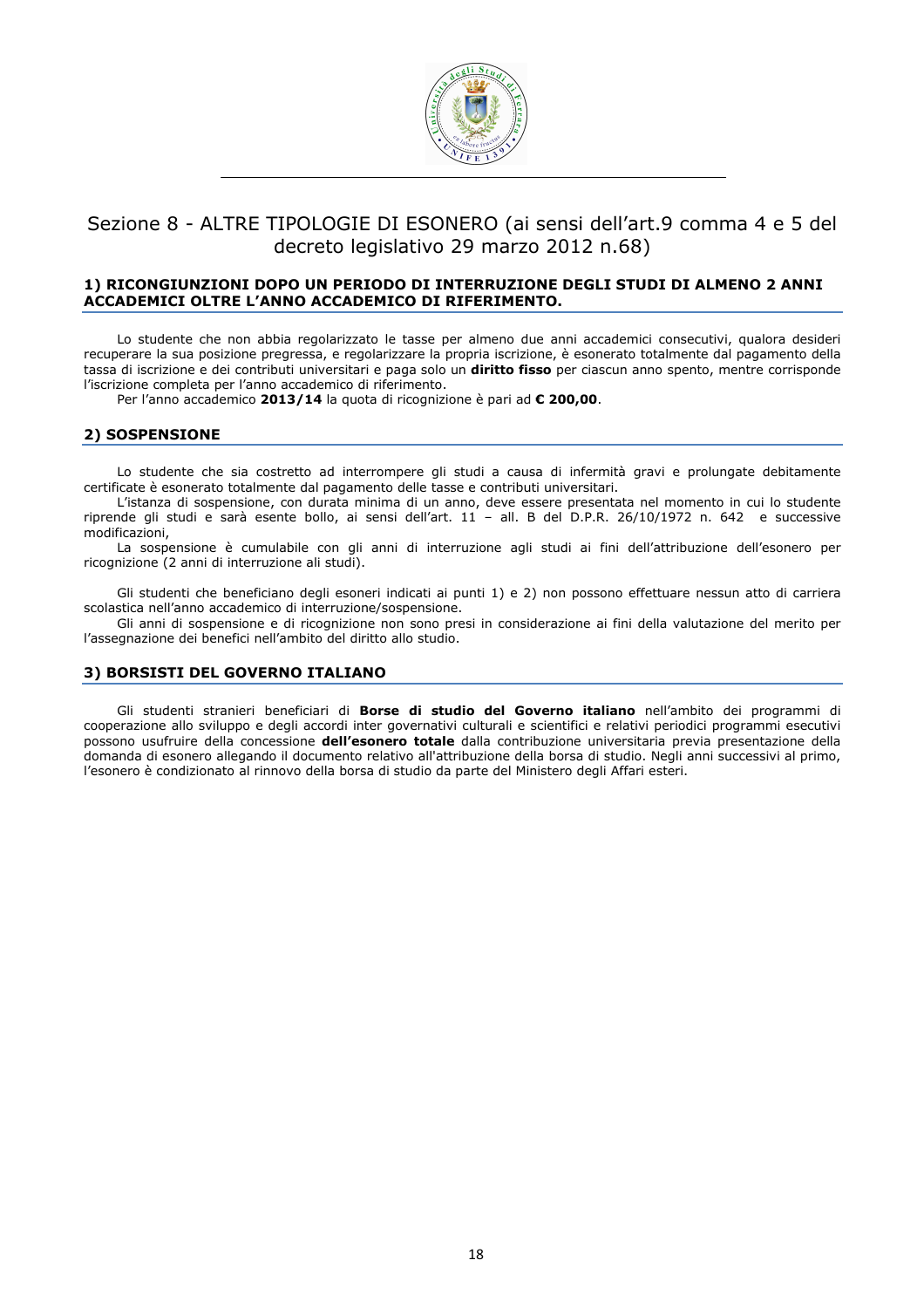

# Sezione 8 - ALTRE TIPOLOGIE DI ESONERO (ai sensi dell'art.9 comma 4 e 5 del decreto legislativo 29 marzo 2012 n.68)

### 1) RICONGIUNZIONI DOPO UN PERIODO DI INTERRUZIONE DEGLI STUDI DI ALMENO 2 ANNI ACCADEMICI OLTRE L'ANNO ACCADEMICO DI RIFERIMENTO.

Lo studente che non abbia regolarizzato le tasse per almeno due anni accademici consecutivi, qualora desideri recuperare la sua posizione pregressa, e regolarizzare la propria iscrizione, è esonerato totalmente dal pagamento della tassa di iscrizione e dei contributi universitari e paga solo un diritto fisso per ciascun anno spento, mentre corrisponde l'iscrizione completa per l'anno accademico di riferimento.

Per l'anno accademico 2013/14 la quota di ricognizione è pari ad € 200,00.

## 2) SOSPENSIONE

Lo studente che sia costretto ad interrompere gli studi a causa di infermità gravi e prolungate debitamente certificate è esonerato totalmente dal pagamento delle tasse e contributi universitari.

L'istanza di sospensione, con durata minima di un anno, deve essere presentata nel momento in cui lo studente riprende gli studi e sarà esente bollo, ai sensi dell'art. 11 – all. B del D.P.R. 26/10/1972 n. 642 e successive modificazioni,

La sospensione è cumulabile con gli anni di interruzione agli studi ai fini dell'attribuzione dell'esonero per ricognizione (2 anni di interruzione ali studi).

Gli studenti che beneficiano degli esoneri indicati ai punti 1) e 2) non possono effettuare nessun atto di carriera scolastica nell'anno accademico di interruzione/sospensione.

Gli anni di sospensione e di ricognizione non sono presi in considerazione ai fini della valutazione del merito per l'assegnazione dei benefici nell'ambito del diritto allo studio.

### 3) BORSISTI DEL GOVERNO ITALIANO

Gli studenti stranieri beneficiari di Borse di studio del Governo italiano nell'ambito dei programmi di cooperazione allo sviluppo e degli accordi inter governativi culturali e scientifici e relativi periodici programmi esecutivi possono usufruire della concessione dell'esonero totale dalla contribuzione universitaria previa presentazione della domanda di esonero allegando il documento relativo all'attribuzione della borsa di studio. Negli anni successivi al primo, l'esonero è condizionato al rinnovo della borsa di studio da parte del Ministero degli Affari esteri.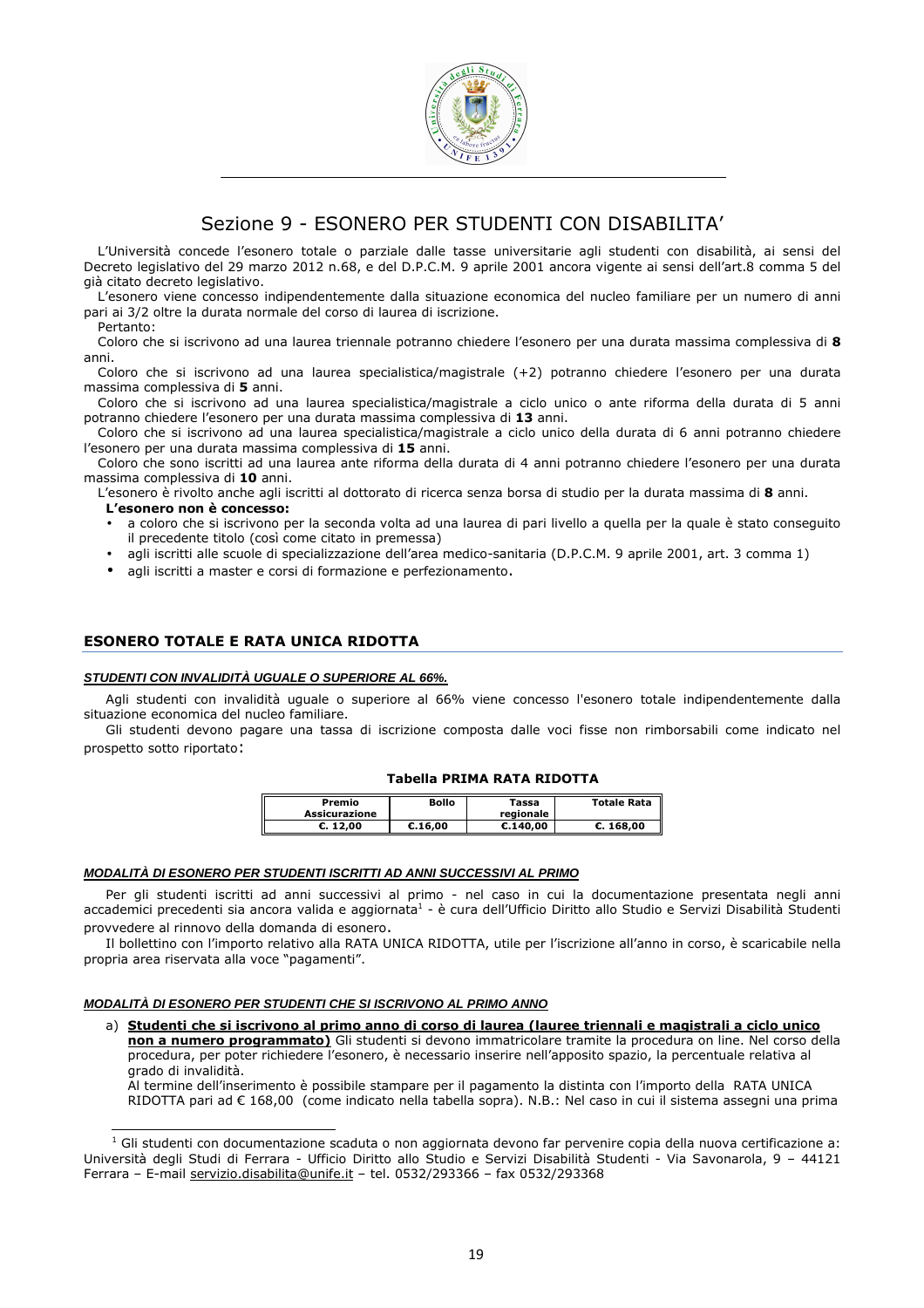

# Sezione 9 - ESONERO PER STUDENTI CON DISABILITA'

L'Università concede l'esonero totale o parziale dalle tasse universitarie agli studenti con disabilità, ai sensi del Decreto legislativo del 29 marzo 2012 n.68, e del D.P.C.M. 9 aprile 2001 ancora vigente ai sensi dell'art.8 comma 5 del già citato decreto legislativo.

L'esonero viene concesso indipendentemente dalla situazione economica del nucleo familiare per un numero di anni pari ai 3/2 oltre la durata normale del corso di laurea di iscrizione.

Pertanto:

j

Coloro che si iscrivono ad una laurea triennale potranno chiedere l'esonero per una durata massima complessiva di 8 anni.

Coloro che si iscrivono ad una laurea specialistica/magistrale (+2) potranno chiedere l'esonero per una durata massima complessiva di 5 anni.

Coloro che si iscrivono ad una laurea specialistica/magistrale a ciclo unico o ante riforma della durata di 5 anni potranno chiedere l'esonero per una durata massima complessiva di 13 anni.

Coloro che si iscrivono ad una laurea specialistica/magistrale a ciclo unico della durata di 6 anni potranno chiedere l'esonero per una durata massima complessiva di 15 anni.

Coloro che sono iscritti ad una laurea ante riforma della durata di 4 anni potranno chiedere l'esonero per una durata massima complessiva di 10 anni.

L'esonero è rivolto anche agli iscritti al dottorato di ricerca senza borsa di studio per la durata massima di 8 anni. L'esonero non è concesso:

- a coloro che si iscrivono per la seconda volta ad una laurea di pari livello a quella per la quale è stato conseguito il precedente titolo (così come citato in premessa)
- agli iscritti alle scuole di specializzazione dell'area medico-sanitaria (D.P.C.M. 9 aprile 2001, art. 3 comma 1)
- agli iscritti a master e corsi di formazione e perfezionamento.

# ESONERO TOTALE E RATA UNICA RIDOTTA

#### **STUDENTI CON INVALIDITÀ UGUALE O SUPERIORE AL 66%.**

Agli studenti con invalidità uguale o superiore al 66% viene concesso l'esonero totale indipendentemente dalla situazione economica del nucleo familiare.

Gli studenti devono pagare una tassa di iscrizione composta dalle voci fisse non rimborsabili come indicato nel prospetto sotto riportato:

## Tabella PRIMA RATA RIDOTTA

| Premio<br>Assicurazione | Bollo   | Tassa<br>regionale | <b>Totale Rata</b> |
|-------------------------|---------|--------------------|--------------------|
| C.12.00                 | C.16.00 | C.140.00           | C.168.00           |

#### **MODALITÀ DI ESONERO PER STUDENTI ISCRITTI AD ANNI SUCCESSIVI AL PRIMO**

Per gli studenti iscritti ad anni successivi al primo - nel caso in cui la documentazione presentata negli anni accademici precedenti sia ancora valida e aggiornata<sup>1</sup> - è cura dell'Ufficio Diritto allo Studio e Servizi Disabilità Studenti provvedere al rinnovo della domanda di esonero.

Il bollettino con l'importo relativo alla RATA UNICA RIDOTTA, utile per l'iscrizione all'anno in corso, è scaricabile nella propria area riservata alla voce "pagamenti".

#### **MODALITÀ DI ESONERO PER STUDENTI CHE SI ISCRIVONO AL PRIMO ANNO**

a) Studenti che si iscrivono al primo anno di corso di laurea (lauree triennali e magistrali a ciclo unico non a numero programmato) Gli studenti si devono immatricolare tramite la procedura on line. Nel corso della procedura, per poter richiedere l'esonero, è necessario inserire nell'apposito spazio, la percentuale relativa al grado di invalidità.

Al termine dell'inserimento è possibile stampare per il pagamento la distinta con l'importo della RATA UNICA RIDOTTA pari ad € 168,00 (come indicato nella tabella sopra). N.B.: Nel caso in cui il sistema assegni una prima

<sup>&</sup>lt;sup>1</sup> Gli studenti con documentazione scaduta o non aggiornata devono far pervenire copia della nuova certificazione a: Università degli Studi di Ferrara - Ufficio Diritto allo Studio e Servizi Disabilità Studenti - Via Savonarola, 9 – 44121 Ferrara – E-mail servizio.disabilita@unife.it – tel. 0532/293366 – fax 0532/293368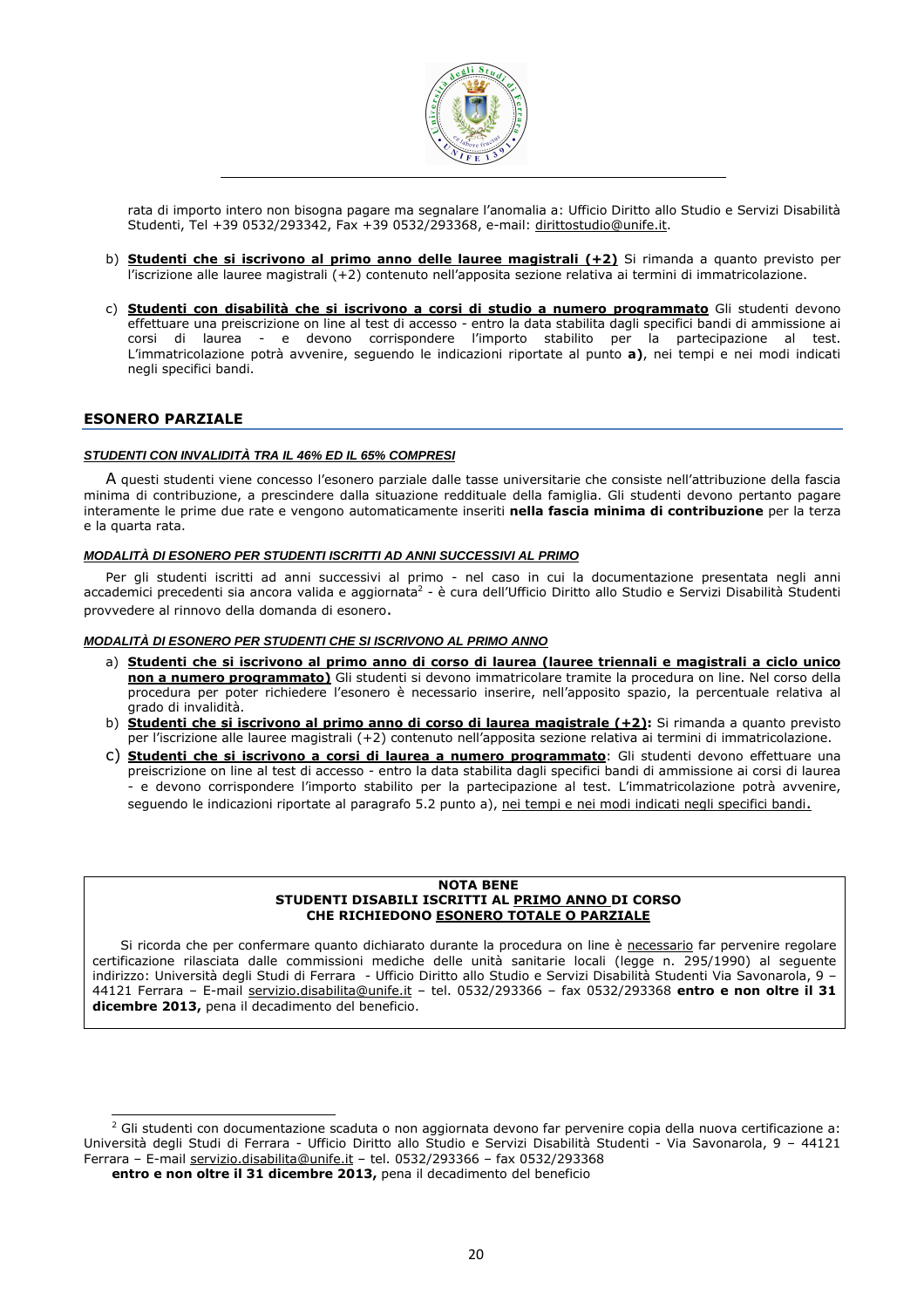

rata di importo intero non bisogna pagare ma segnalare l'anomalia a: Ufficio Diritto allo Studio e Servizi Disabilità Studenti, Tel +39 0532/293342, Fax +39 0532/293368, e-mail: dirittostudio@unife.it.

- b) **Studenti che si iscrivono al primo anno delle lauree magistrali (+2)** Si rimanda a quanto previsto per l'iscrizione alle lauree magistrali (+2) contenuto nell'apposita sezione relativa ai termini di immatricolazione.
- c) Studenti con disabilità che si iscrivono a corsi di studio a numero programmato Gli studenti devono effettuare una preiscrizione on line al test di accesso - entro la data stabilita dagli specifici bandi di ammissione ai corsi di laurea - e devono corrispondere l'importo stabilito per la partecipazione al test. L'immatricolazione potrà avvenire, seguendo le indicazioni riportate al punto a), nei tempi e nei modi indicati negli specifici bandi.

## ESONERO PARZIALE

#### **STUDENTI CON INVALIDITÀ TRA IL 46% ED IL 65% COMPRESI**

A questi studenti viene concesso l'esonero parziale dalle tasse universitarie che consiste nell'attribuzione della fascia minima di contribuzione, a prescindere dalla situazione reddituale della famiglia. Gli studenti devono pertanto pagare interamente le prime due rate e vengono automaticamente inseriti nella fascia minima di contribuzione per la terza e la quarta rata.

#### **MODALITÀ DI ESONERO PER STUDENTI ISCRITTI AD ANNI SUCCESSIVI AL PRIMO**

Per gli studenti iscritti ad anni successivi al primo - nel caso in cui la documentazione presentata negli anni accademici precedenti sia ancora valida e aggiornata<sup>2</sup> - è cura dell'Ufficio Diritto allo Studio e Servizi Disabilità Studenti provvedere al rinnovo della domanda di esonero.

#### **MODALITÀ DI ESONERO PER STUDENTI CHE SI ISCRIVONO AL PRIMO ANNO**

- a) Studenti che si iscrivono al primo anno di corso di laurea (lauree triennali e magistrali a ciclo unico non a numero programmato) Gli studenti si devono immatricolare tramite la procedura on line. Nel corso della procedura per poter richiedere l'esonero è necessario inserire, nell'apposito spazio, la percentuale relativa al grado di invalidità.
- b) Studenti che si iscrivono al primo anno di corso di laurea magistrale (+2): Si rimanda a quanto previsto per l'iscrizione alle lauree magistrali (+2) contenuto nell'apposita sezione relativa ai termini di immatricolazione.
- c) Studenti che si iscrivono a corsi di laurea a numero programmato: Gli studenti devono effettuare una preiscrizione on line al test di accesso - entro la data stabilita dagli specifici bandi di ammissione ai corsi di laurea - e devono corrispondere l'importo stabilito per la partecipazione al test. L'immatricolazione potrà avvenire, seguendo le indicazioni riportate al paragrafo 5.2 punto a), nei tempi e nei modi indicati negli specifici bandi.

#### NOTA BENE STUDENTI DISABILI ISCRITTI AL PRIMO ANNO DI CORSO CHE RICHIEDONO ESONERO TOTALE O PARZIALE

Si ricorda che per confermare quanto dichiarato durante la procedura on line è necessario far pervenire regolare certificazione rilasciata dalle commissioni mediche delle unità sanitarie locali (legge n. 295/1990) al seguente indirizzo: Università degli Studi di Ferrara - Ufficio Diritto allo Studio e Servizi Disabilità Studenti Via Savonarola, 9 – 44121 Ferrara – E-mail servizio.disabilita@unife.it – tel. 0532/293366 – fax 0532/293368 entro e non oltre il 31 dicembre 2013, pena il decadimento del beneficio.

entro e non oltre il 31 dicembre 2013, pena il decadimento del beneficio

 2 Gli studenti con documentazione scaduta o non aggiornata devono far pervenire copia della nuova certificazione a: Università degli Studi di Ferrara - Ufficio Diritto allo Studio e Servizi Disabilità Studenti - Via Savonarola, 9 – 44121 Ferrara – E-mail servizio.disabilita@unife.it – tel. 0532/293366 – fax 0532/293368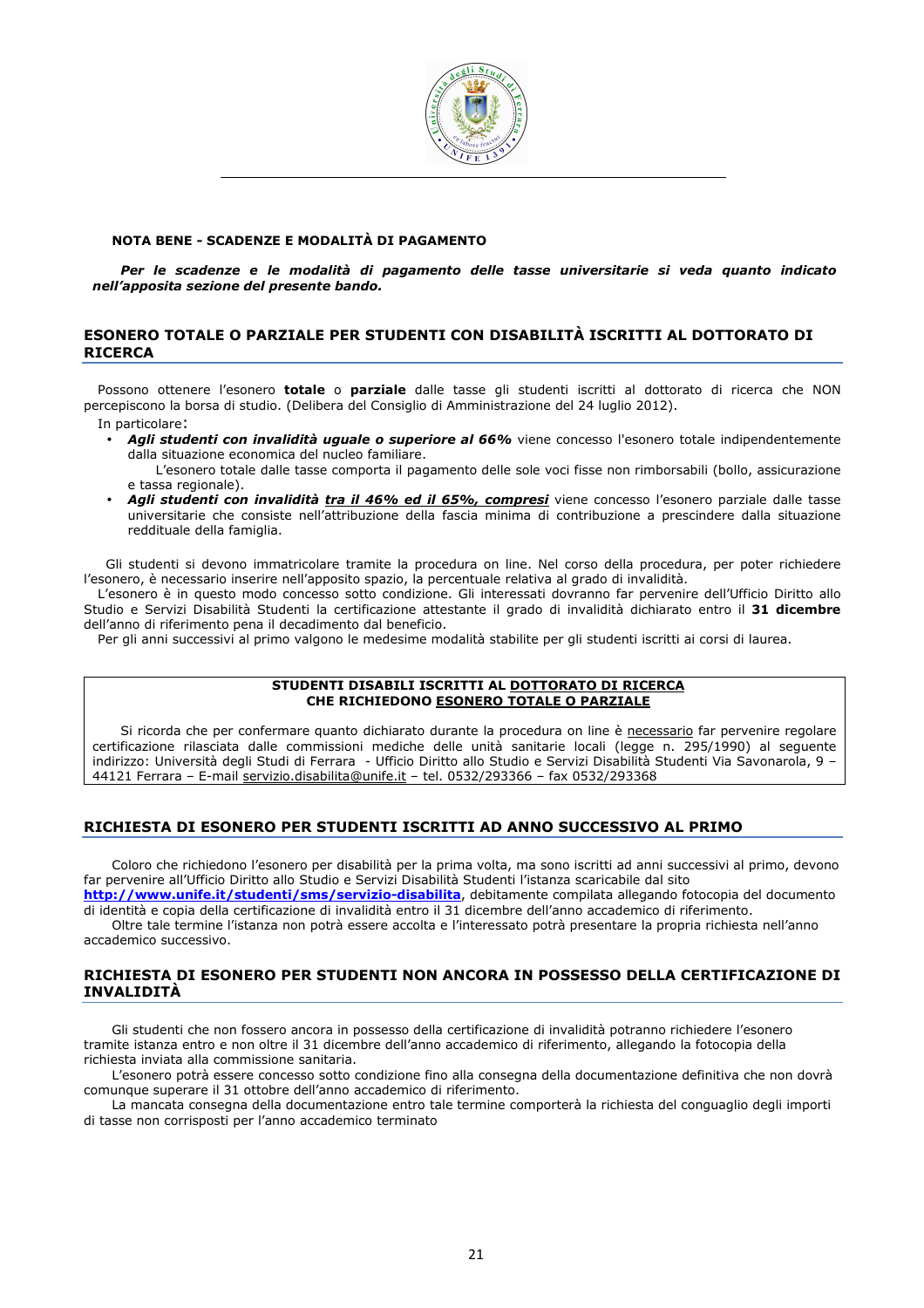

## NOTA BENE - SCADENZE E MODALITÀ DI PAGAMENTO

Per le scadenze e le modalità di pagamento delle tasse universitarie si veda quanto indicato nell'apposita sezione del presente bando.

# ESONERO TOTALE O PARZIALE PER STUDENTI CON DISABILITÀ ISCRITTI AL DOTTORATO DI RICERCA

Possono ottenere l'esonero totale o parziale dalle tasse gli studenti iscritti al dottorato di ricerca che NON percepiscono la borsa di studio. (Delibera del Consiglio di Amministrazione del 24 luglio 2012).

In particolare:

Agli studenti con invalidità uguale o superiore al 66% viene concesso l'esonero totale indipendentemente dalla situazione economica del nucleo familiare.

L'esonero totale dalle tasse comporta il pagamento delle sole voci fisse non rimborsabili (bollo, assicurazione e tassa regionale).

• Agli studenti con invalidità tra il 46% ed il 65%, compresi viene concesso l'esonero parziale dalle tasse universitarie che consiste nell'attribuzione della fascia minima di contribuzione a prescindere dalla situazione reddituale della famiglia.

Gli studenti si devono immatricolare tramite la procedura on line. Nel corso della procedura, per poter richiedere l'esonero, è necessario inserire nell'apposito spazio, la percentuale relativa al grado di invalidità.

L'esonero è in questo modo concesso sotto condizione. Gli interessati dovranno far pervenire dell'Ufficio Diritto allo Studio e Servizi Disabilità Studenti la certificazione attestante il grado di invalidità dichiarato entro il 31 dicembre dell'anno di riferimento pena il decadimento dal beneficio.

Per gli anni successivi al primo valgono le medesime modalità stabilite per gli studenti iscritti ai corsi di laurea.

#### STUDENTI DISABILI ISCRITTI AL DOTTORATO DI RICERCA CHE RICHIEDONO ESONERO TOTALE O PARZIALE

Si ricorda che per confermare quanto dichiarato durante la procedura on line è necessario far pervenire regolare certificazione rilasciata dalle commissioni mediche delle unità sanitarie locali (legge n. 295/1990) al seguente indirizzo: Università degli Studi di Ferrara - Ufficio Diritto allo Studio e Servizi Disabilità Studenti Via Savonarola, 9 – 44121 Ferrara – E-mail servizio.disabilita@unife.it – tel. 0532/293366 – fax 0532/293368

# RICHIESTA DI ESONERO PER STUDENTI ISCRITTI AD ANNO SUCCESSIVO AL PRIMO

Coloro che richiedono l'esonero per disabilità per la prima volta, ma sono iscritti ad anni successivi al primo, devono far pervenire all'Ufficio Diritto allo Studio e Servizi Disabilità Studenti l'istanza scaricabile dal sito

http://www.unife.it/studenti/sms/servizio-disabilita, debitamente compilata allegando fotocopia del documento di identità e copia della certificazione di invalidità entro il 31 dicembre dell'anno accademico di riferimento.

Oltre tale termine l'istanza non potrà essere accolta e l'interessato potrà presentare la propria richiesta nell'anno accademico successivo.

# RICHIESTA DI ESONERO PER STUDENTI NON ANCORA IN POSSESSO DELLA CERTIFICAZIONE DI INVALIDITÀ

Gli studenti che non fossero ancora in possesso della certificazione di invalidità potranno richiedere l'esonero tramite istanza entro e non oltre il 31 dicembre dell'anno accademico di riferimento, allegando la fotocopia della richiesta inviata alla commissione sanitaria.

L'esonero potrà essere concesso sotto condizione fino alla consegna della documentazione definitiva che non dovrà comunque superare il 31 ottobre dell'anno accademico di riferimento.

La mancata consegna della documentazione entro tale termine comporterà la richiesta del conguaglio degli importi di tasse non corrisposti per l'anno accademico terminato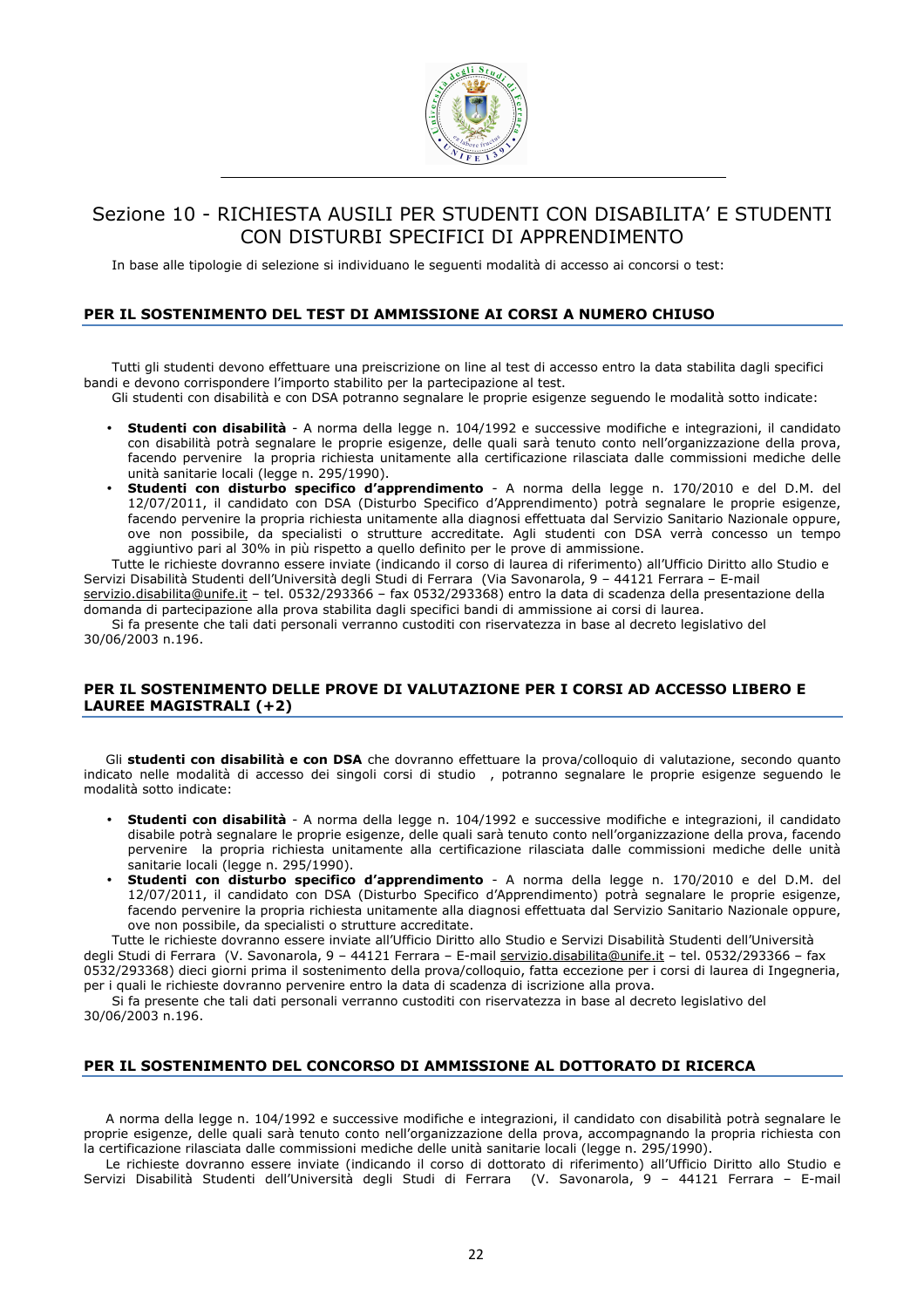

# Sezione 10 - RICHIESTA AUSILI PER STUDENTI CON DISABILITA' E STUDENTI CON DISTURBI SPECIFICI DI APPRENDIMENTO

In base alle tipologie di selezione si individuano le seguenti modalità di accesso ai concorsi o test:

# PER IL SOSTENIMENTO DEL TEST DI AMMISSIONE AI CORSI A NUMERO CHIUSO

Tutti gli studenti devono effettuare una preiscrizione on line al test di accesso entro la data stabilita dagli specifici bandi e devono corrispondere l'importo stabilito per la partecipazione al test.

Gli studenti con disabilità e con DSA potranno segnalare le proprie esigenze seguendo le modalità sotto indicate:

- Studenti con disabilità A norma della legge n. 104/1992 e successive modifiche e integrazioni, il candidato con disabilità potrà segnalare le proprie esigenze, delle quali sarà tenuto conto nell'organizzazione della prova, facendo pervenire la propria richiesta unitamente alla certificazione rilasciata dalle commissioni mediche delle unità sanitarie locali (legge n. 295/1990).
- Studenti con disturbo specifico d'apprendimento A norma della legge n. 170/2010 e del D.M. del 12/07/2011, il candidato con DSA (Disturbo Specifico d'Apprendimento) potrà segnalare le proprie esigenze, facendo pervenire la propria richiesta unitamente alla diagnosi effettuata dal Servizio Sanitario Nazionale oppure, ove non possibile, da specialisti o strutture accreditate. Agli studenti con DSA verrà concesso un tempo aggiuntivo pari al 30% in più rispetto a quello definito per le prove di ammissione.

Tutte le richieste dovranno essere inviate (indicando il corso di laurea di riferimento) all'Ufficio Diritto allo Studio e Servizi Disabilità Studenti dell'Università degli Studi di Ferrara (Via Savonarola, 9 – 44121 Ferrara – E-mail servizio.disabilita@unife.it – tel. 0532/293366 – fax 0532/293368) entro la data di scadenza della presentazione della

domanda di partecipazione alla prova stabilita dagli specifici bandi di ammissione ai corsi di laurea. Si fa presente che tali dati personali verranno custoditi con riservatezza in base al decreto legislativo del

30/06/2003 n.196.

# PER IL SOSTENIMENTO DELLE PROVE DI VALUTAZIONE PER I CORSI AD ACCESSO LIBERO E

LAUREE MAGISTRALI (+2)

Gli studenti con disabilità e con DSA che dovranno effettuare la prova/colloquio di valutazione, secondo quanto indicato nelle modalità di accesso dei singoli corsi di studio , potranno segnalare le proprie esigenze seguendo le modalità sotto indicate:

- Studenti con disabilità A norma della legge n. 104/1992 e successive modifiche e integrazioni, il candidato disabile potrà segnalare le proprie esigenze, delle quali sarà tenuto conto nell'organizzazione della prova, facendo pervenire la propria richiesta unitamente alla certificazione rilasciata dalle commissioni mediche delle unità sanitarie locali (legge n. 295/1990).
- Studenti con disturbo specifico d'apprendimento A norma della legge n. 170/2010 e del D.M. del 12/07/2011, il candidato con DSA (Disturbo Specifico d'Apprendimento) potrà segnalare le proprie esigenze, facendo pervenire la propria richiesta unitamente alla diagnosi effettuata dal Servizio Sanitario Nazionale oppure, ove non possibile, da specialisti o strutture accreditate.

Tutte le richieste dovranno essere inviate all'Ufficio Diritto allo Studio e Servizi Disabilità Studenti dell'Università degli Studi di Ferrara (V. Savonarola, 9 – 44121 Ferrara – E-mail servizio.disabilita@unife.it – tel. 0532/293366 – fax 0532/293368) dieci giorni prima il sostenimento della prova/colloquio, fatta eccezione per i corsi di laurea di Ingegneria, per i quali le richieste dovranno pervenire entro la data di scadenza di iscrizione alla prova.

Si fa presente che tali dati personali verranno custoditi con riservatezza in base al decreto legislativo del 30/06/2003 n.196.

# PER IL SOSTENIMENTO DEL CONCORSO DI AMMISSIONE AL DOTTORATO DI RICERCA

A norma della legge n. 104/1992 e successive modifiche e integrazioni, il candidato con disabilità potrà segnalare le proprie esigenze, delle quali sarà tenuto conto nell'organizzazione della prova, accompagnando la propria richiesta con la certificazione rilasciata dalle commissioni mediche delle unità sanitarie locali (legge n. 295/1990).

Le richieste dovranno essere inviate (indicando il corso di dottorato di riferimento) all'Ufficio Diritto allo Studio e Servizi Disabilità Studenti dell'Università degli Studi di Ferrara (V. Savonarola, 9 – 44121 Ferrara – E-mail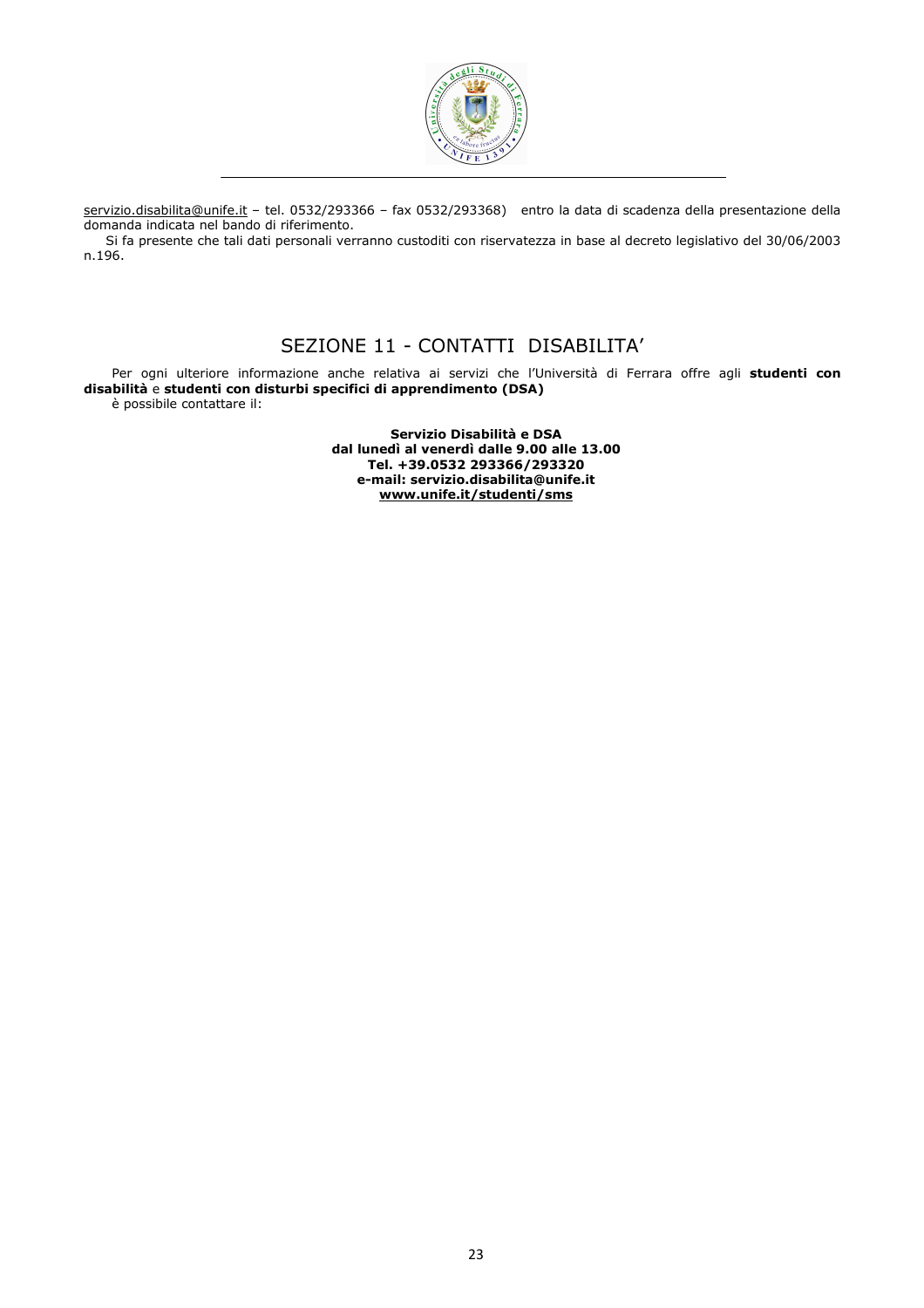

servizio.disabilita@unife.it – tel. 0532/293366 – fax 0532/293368) entro la data di scadenza della presentazione della domanda indicata nel bando di riferimento.

Si fa presente che tali dati personali verranno custoditi con riservatezza in base al decreto legislativo del 30/06/2003 n.196.

# SEZIONE 11 - CONTATTI DISABILITA'

Per ogni ulteriore informazione anche relativa ai servizi che l'Università di Ferrara offre agli studenti con disabilità e studenti con disturbi specifici di apprendimento (DSA) è possibile contattare il:

> Servizio Disabilità e DSA dal lunedì al venerdì dalle 9.00 alle 13.00 Tel. +39.0532 293366/293320 e-mail: servizio.disabilita@unife.it www.unife.it/studenti/sms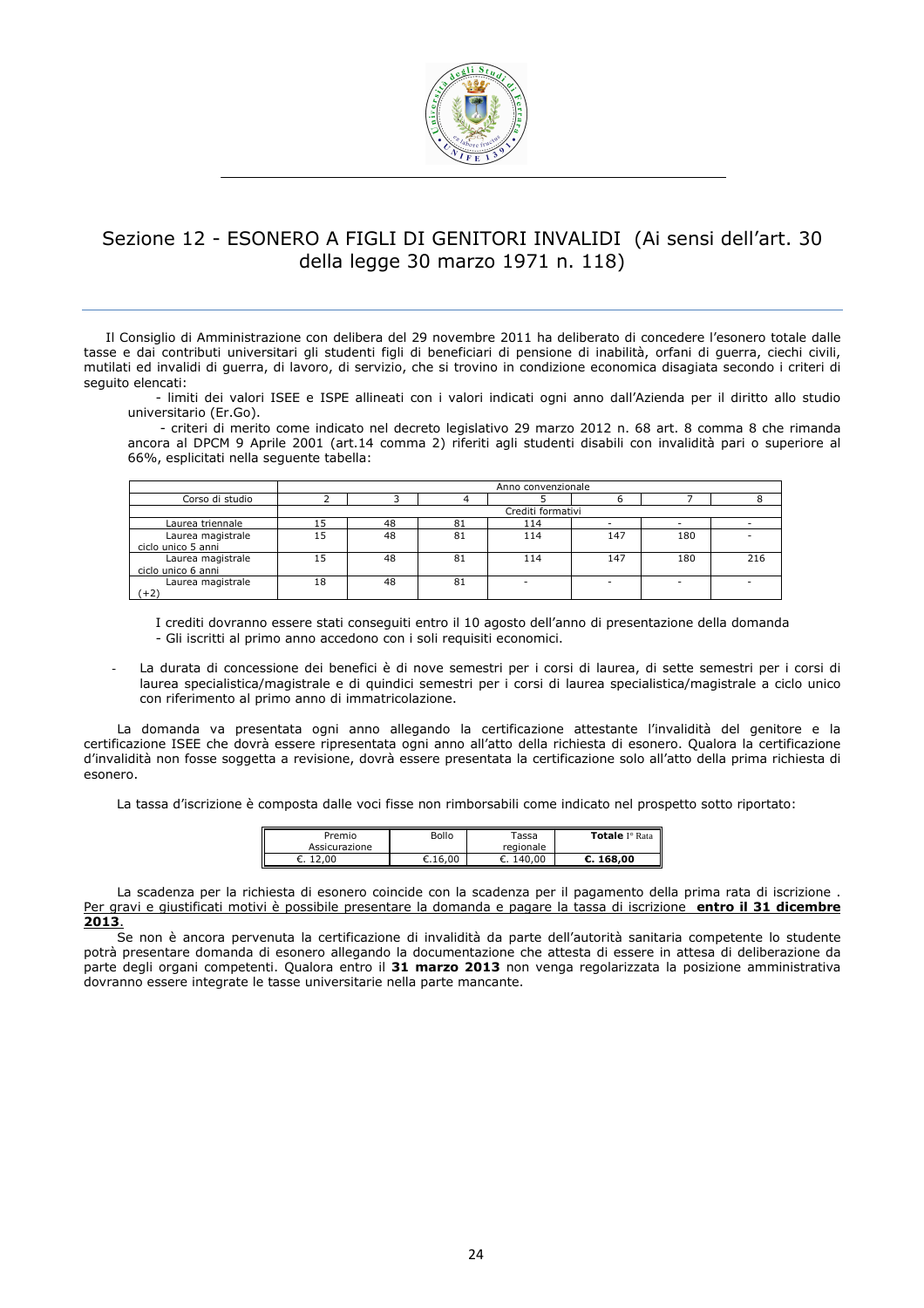

# Sezione 12 - ESONERO A FIGLI DI GENITORI INVALIDI (Ai sensi dell'art. 30 della legge 30 marzo 1971 n. 118)

Il Consiglio di Amministrazione con delibera del 29 novembre 2011 ha deliberato di concedere l'esonero totale dalle tasse e dai contributi universitari gli studenti figli di beneficiari di pensione di inabilità, orfani di guerra, ciechi civili, mutilati ed invalidi di guerra, di lavoro, di servizio, che si trovino in condizione economica disagiata secondo i criteri di seguito elencati:

- limiti dei valori ISEE e ISPE allineati con i valori indicati ogni anno dall'Azienda per il diritto allo studio universitario (Er.Go).

 - criteri di merito come indicato nel decreto legislativo 29 marzo 2012 n. 68 art. 8 comma 8 che rimanda ancora al DPCM 9 Aprile 2001 (art.14 comma 2) riferiti agli studenti disabili con invalidità pari o superiore al 66%, esplicitati nella seguente tabella:

|                                         | Anno convenzionale |    |    |                   |     |     |     |
|-----------------------------------------|--------------------|----|----|-------------------|-----|-----|-----|
| Corso di studio                         |                    |    |    |                   |     |     |     |
|                                         |                    |    |    | Crediti formativi |     |     |     |
| Laurea triennale                        | 15                 | 48 | 81 | 114               |     |     |     |
| Laurea magistrale<br>ciclo unico 5 anni | 15                 | 48 | 81 | 114               | 147 | 180 |     |
| Laurea magistrale<br>ciclo unico 6 anni | 15                 | 48 | 81 | 114               | 147 | 180 | 216 |
| Laurea magistrale<br>(+2)               | 18                 | 48 | 81 | ۰                 |     |     |     |

I crediti dovranno essere stati conseguiti entro il 10 agosto dell'anno di presentazione della domanda - Gli iscritti al primo anno accedono con i soli requisiti economici.

La durata di concessione dei benefici è di nove semestri per i corsi di laurea, di sette semestri per i corsi di laurea specialistica/magistrale e di quindici semestri per i corsi di laurea specialistica/magistrale a ciclo unico con riferimento al primo anno di immatricolazione.

La domanda va presentata ogni anno allegando la certificazione attestante l'invalidità del genitore e la certificazione ISEE che dovrà essere ripresentata ogni anno all'atto della richiesta di esonero. Qualora la certificazione d'invalidità non fosse soggetta a revisione, dovrà essere presentata la certificazione solo all'atto della prima richiesta di esonero.

La tassa d'iscrizione è composta dalle voci fisse non rimborsabili come indicato nel prospetto sotto riportato:

| Premio        | Bollo   | Tassa     | <b>Totale</b> I <sup>°</sup> Rata |
|---------------|---------|-----------|-----------------------------------|
| Assicurazione |         | regionale |                                   |
| 12,00<br>€.   | €.16.00 | €. 140.00 | C.168.00                          |

La scadenza per la richiesta di esonero coincide con la scadenza per il pagamento della prima rata di iscrizione . Per gravi e giustificati motivi è possibile presentare la domanda e pagare la tassa di iscrizione entro il 31 dicembre 2013.

Se non è ancora pervenuta la certificazione di invalidità da parte dell'autorità sanitaria competente lo studente potrà presentare domanda di esonero allegando la documentazione che attesta di essere in attesa di deliberazione da parte degli organi competenti. Qualora entro il 31 marzo 2013 non venga regolarizzata la posizione amministrativa dovranno essere integrate le tasse universitarie nella parte mancante.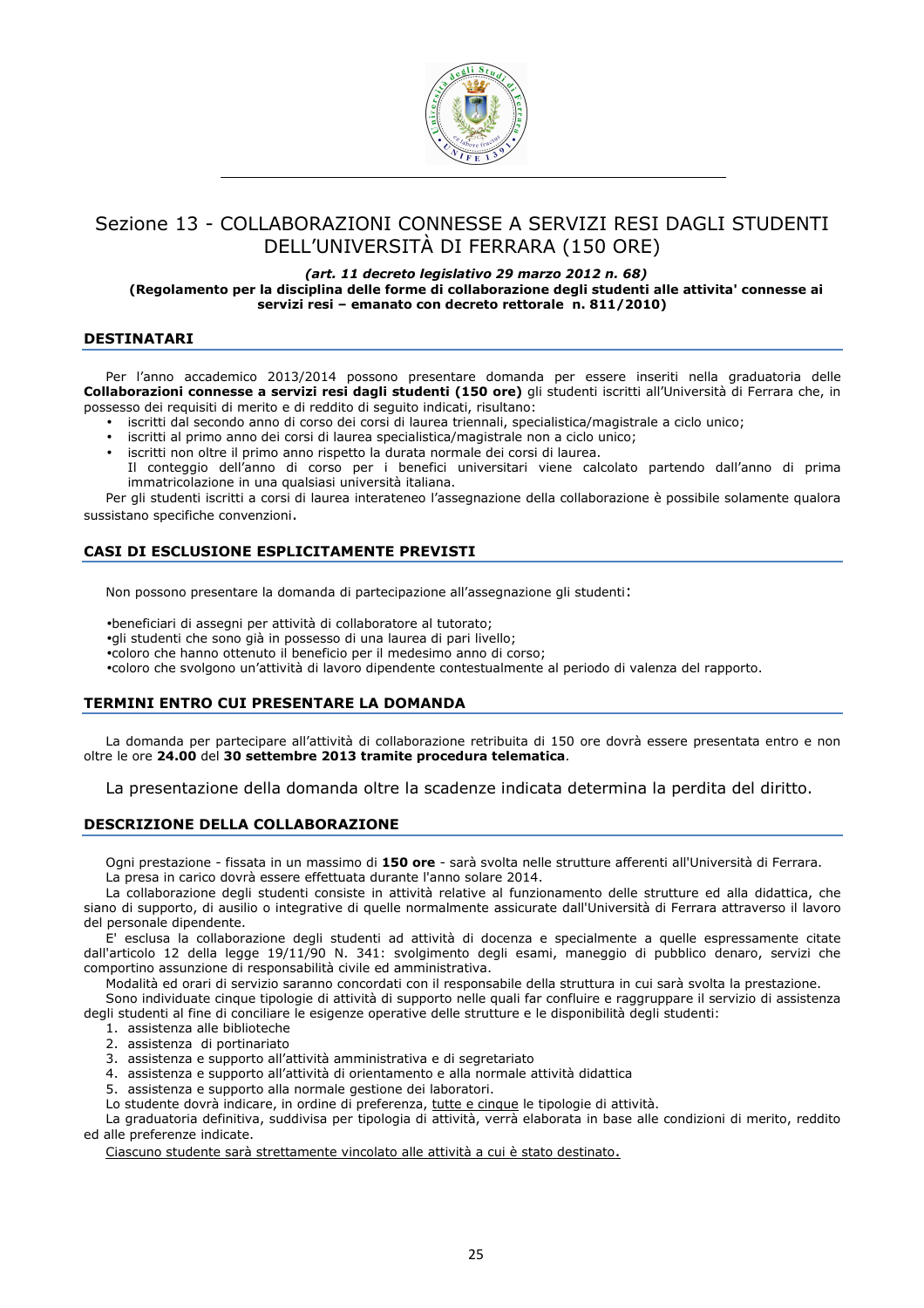

# Sezione 13 - COLLABORAZIONI CONNESSE A SERVIZI RESI DAGLI STUDENTI DELL'UNIVERSITÀ DI FERRARA (150 ORE)

#### (art. 11 decreto legislativo 29 marzo 2012 n. 68) (Regolamento per la disciplina delle forme di collaborazione degli studenti alle attivita' connesse ai servizi resi – emanato con decreto rettorale n. 811/2010)

## DESTINATARI

Per l'anno accademico 2013/2014 possono presentare domanda per essere inseriti nella graduatoria delle Collaborazioni connesse a servizi resi dagli studenti (150 ore) gli studenti iscritti all'Università di Ferrara che, in possesso dei requisiti di merito e di reddito di seguito indicati, risultano:

- iscritti dal secondo anno di corso dei corsi di laurea triennali, specialistica/magistrale a ciclo unico;
- iscritti al primo anno dei corsi di laurea specialistica/magistrale non a ciclo unico;
- iscritti non oltre il primo anno rispetto la durata normale dei corsi di laurea.
- Il conteggio dell'anno di corso per i benefici universitari viene calcolato partendo dall'anno di prima immatricolazione in una qualsiasi università italiana.

Per gli studenti iscritti a corsi di laurea interateneo l'assegnazione della collaborazione è possibile solamente qualora sussistano specifiche convenzioni.

# CASI DI ESCLUSIONE ESPLICITAMENTE PREVISTI

Non possono presentare la domanda di partecipazione all'assegnazione gli studenti:

•beneficiari di assegni per attività di collaboratore al tutorato;

•gli studenti che sono già in possesso di una laurea di pari livello;

•coloro che hanno ottenuto il beneficio per il medesimo anno di corso;

•coloro che svolgono un'attività di lavoro dipendente contestualmente al periodo di valenza del rapporto.

# TERMINI ENTRO CUI PRESENTARE LA DOMANDA

La domanda per partecipare all'attività di collaborazione retribuita di 150 ore dovrà essere presentata entro e non oltre le ore 24.00 del 30 settembre 2013 tramite procedura telematica.

La presentazione della domanda oltre la scadenze indicata determina la perdita del diritto.

# DESCRIZIONE DELLA COLLABORAZIONE

Ogni prestazione - fissata in un massimo di 150 ore - sarà svolta nelle strutture afferenti all'Università di Ferrara. La presa in carico dovrà essere effettuata durante l'anno solare 2014.

La collaborazione degli studenti consiste in attività relative al funzionamento delle strutture ed alla didattica, che siano di supporto, di ausilio o integrative di quelle normalmente assicurate dall'Università di Ferrara attraverso il lavoro

del personale dipendente. E' esclusa la collaborazione degli studenti ad attività di docenza e specialmente a quelle espressamente citate dall'articolo 12 della legge 19/11/90 N. 341: svolgimento degli esami, maneggio di pubblico denaro, servizi che comportino assunzione di responsabilità civile ed amministrativa.

Modalità ed orari di servizio saranno concordati con il responsabile della struttura in cui sarà svolta la prestazione.

Sono individuate cinque tipologie di attività di supporto nelle quali far confluire e raggruppare il servizio di assistenza degli studenti al fine di conciliare le esigenze operative delle strutture e le disponibilità degli studenti:

- 1. assistenza alle biblioteche
- 2. assistenza di portinariato
- 3. assistenza e supporto all'attività amministrativa e di segretariato
- 4. assistenza e supporto all'attività di orientamento e alla normale attività didattica
- 5. assistenza e supporto alla normale gestione dei laboratori.
- Lo studente dovrà indicare, in ordine di preferenza, tutte e cinque le tipologie di attività.

La graduatoria definitiva, suddivisa per tipologia di attività, verrà elaborata in base alle condizioni di merito, reddito ed alle preferenze indicate.

Ciascuno studente sarà strettamente vincolato alle attività a cui è stato destinato.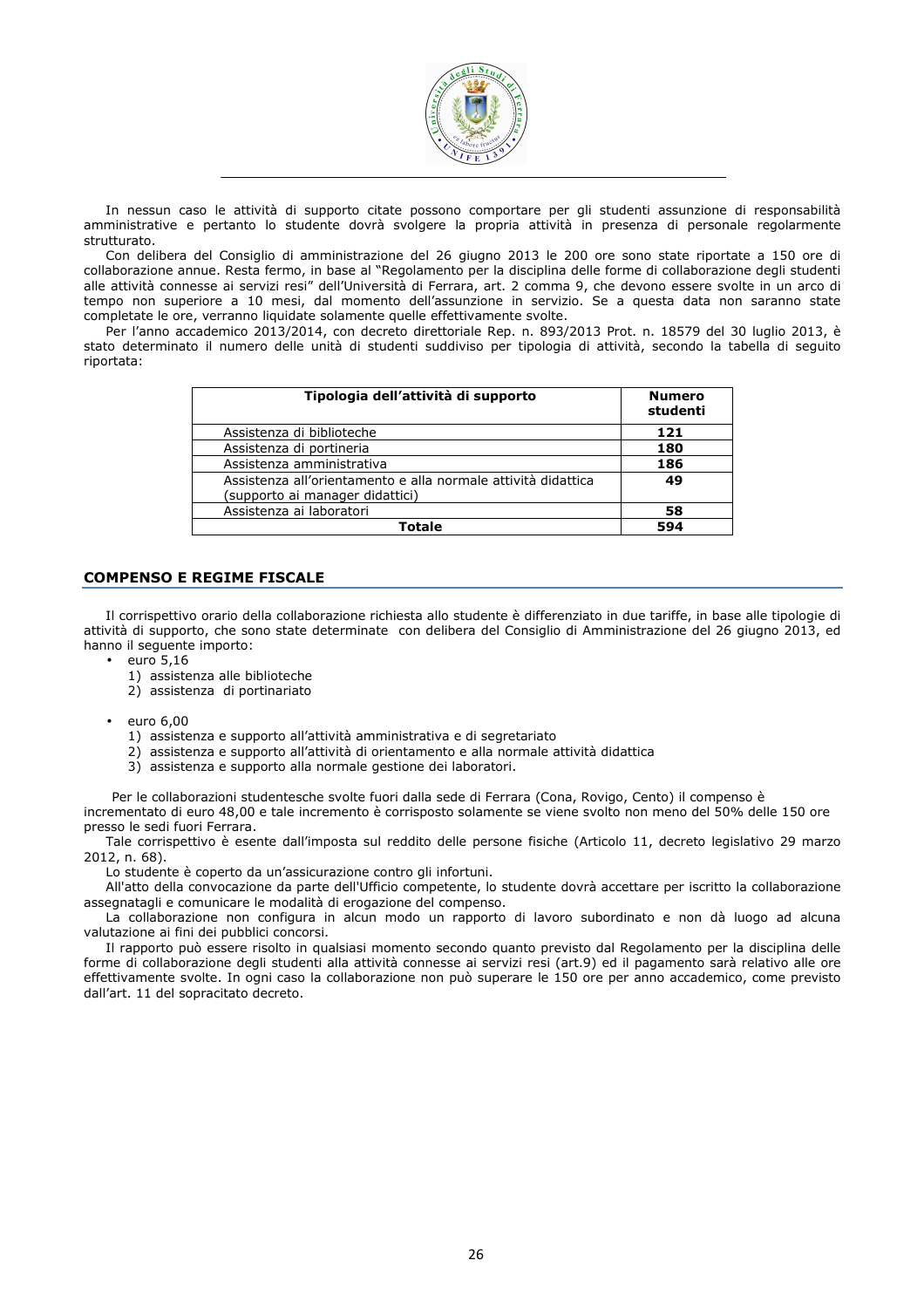

In nessun caso le attività di supporto citate possono comportare per gli studenti assunzione di responsabilità amministrative e pertanto lo studente dovrà svolgere la propria attività in presenza di personale regolarmente strutturato.

Con delibera del Consiglio di amministrazione del 26 giugno 2013 le 200 ore sono state riportate a 150 ore di collaborazione annue. Resta fermo, in base al "Regolamento per la disciplina delle forme di collaborazione degli studenti alle attività connesse ai servizi resi" dell'Università di Ferrara, art. 2 comma 9, che devono essere svolte in un arco di tempo non superiore a 10 mesi, dal momento dell'assunzione in servizio. Se a questa data non saranno state completate le ore, verranno liquidate solamente quelle effettivamente svolte.

Per l'anno accademico 2013/2014, con decreto direttoriale Rep. n. 893/2013 Prot. n. 18579 del 30 luglio 2013, è stato determinato il numero delle unità di studenti suddiviso per tipologia di attività, secondo la tabella di seguito riportata:

| Tipologia dell'attività di supporto                                                              | <b>Numero</b><br>studenti |
|--------------------------------------------------------------------------------------------------|---------------------------|
| Assistenza di biblioteche                                                                        | 121                       |
| Assistenza di portineria                                                                         | 180                       |
| Assistenza amministrativa                                                                        | 186                       |
| Assistenza all'orientamento e alla normale attività didattica<br>(supporto ai manager didattici) | 49                        |
| Assistenza ai laboratori                                                                         | 58                        |
| Totale                                                                                           | 594                       |

## COMPENSO E REGIME FISCALE

Il corrispettivo orario della collaborazione richiesta allo studente è differenziato in due tariffe, in base alle tipologie di attività di supporto, che sono state determinate con delibera del Consiglio di Amministrazione del 26 giugno 2013, ed hanno il seguente importo:

- euro 5,16
	- 1) assistenza alle biblioteche
	- 2) assistenza di portinariato
- euro 6,00
	- 1) assistenza e supporto all'attività amministrativa e di segretariato
	- 2) assistenza e supporto all'attività di orientamento e alla normale attività didattica
	- 3) assistenza e supporto alla normale gestione dei laboratori.

Per le collaborazioni studentesche svolte fuori dalla sede di Ferrara (Cona, Rovigo, Cento) il compenso è incrementato di euro 48,00 e tale incremento è corrisposto solamente se viene svolto non meno del 50% delle 150 ore presso le sedi fuori Ferrara.

Tale corrispettivo è esente dall'imposta sul reddito delle persone fisiche (Articolo 11, decreto legislativo 29 marzo 2012, n. 68).

Lo studente è coperto da un'assicurazione contro gli infortuni.

All'atto della convocazione da parte dell'Ufficio competente, lo studente dovrà accettare per iscritto la collaborazione assegnatagli e comunicare le modalità di erogazione del compenso.

La collaborazione non configura in alcun modo un rapporto di lavoro subordinato e non dà luogo ad alcuna valutazione ai fini dei pubblici concorsi.

Il rapporto può essere risolto in qualsiasi momento secondo quanto previsto dal Regolamento per la disciplina delle forme di collaborazione degli studenti alla attività connesse ai servizi resi (art.9) ed il pagamento sarà relativo alle ore effettivamente svolte. In ogni caso la collaborazione non può superare le 150 ore per anno accademico, come previsto dall'art. 11 del sopracitato decreto.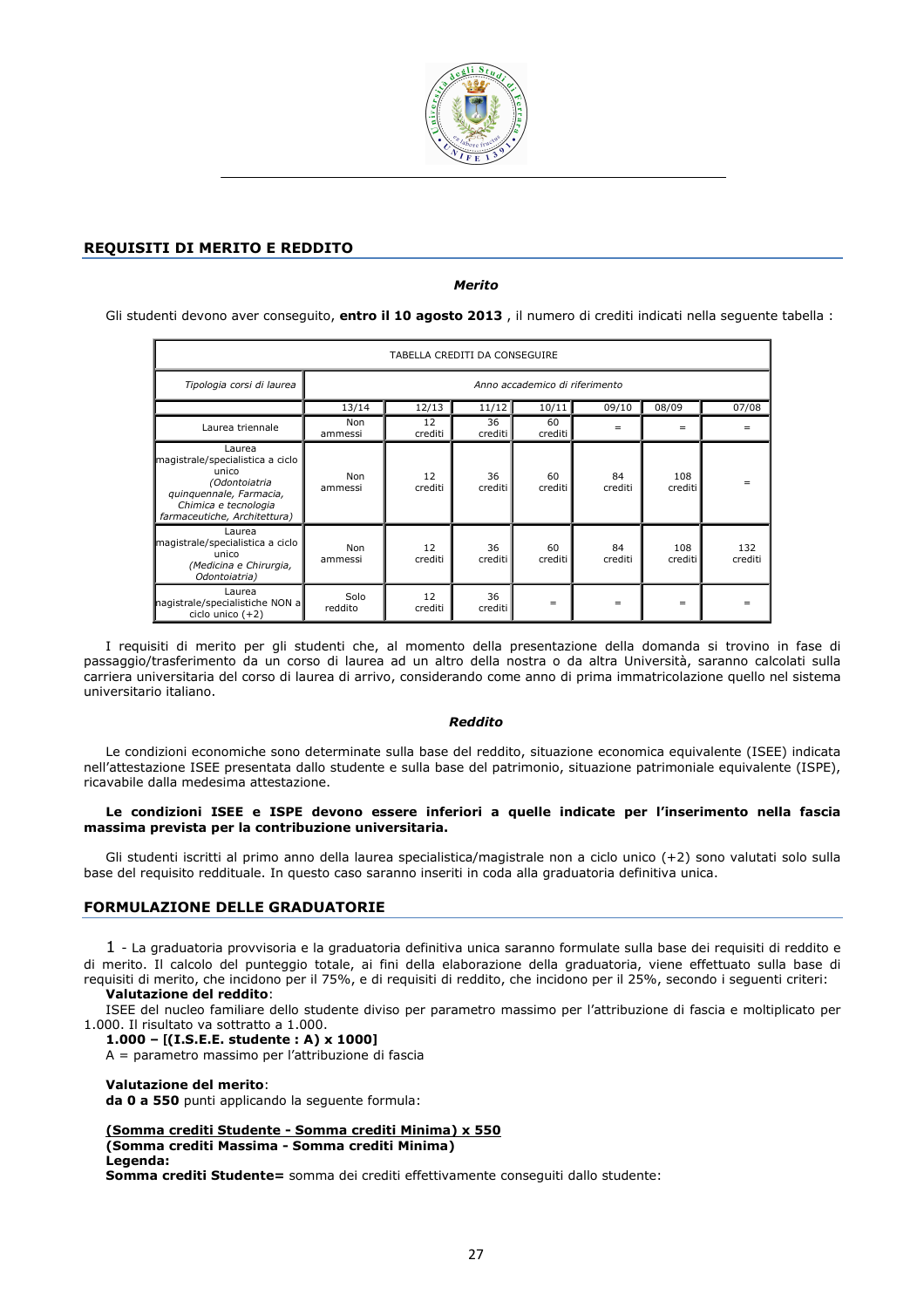

# REQUISITI DI MERITO E REDDITO

Merito

Gli studenti devono aver conseguito, entro il 10 agosto 2013, il numero di crediti indicati nella seguente tabella :

| TABELLA CREDITI DA CONSEGUIRE                                                                                                                           |                 |               |               |                                |               |                |                |
|---------------------------------------------------------------------------------------------------------------------------------------------------------|-----------------|---------------|---------------|--------------------------------|---------------|----------------|----------------|
| Tipologia corsi di laurea                                                                                                                               |                 |               |               | Anno accademico di riferimento |               |                |                |
|                                                                                                                                                         | 13/14           | 12/13         | 11/12         | 10/11                          | 09/10         | 08/09          | 07/08          |
| Laurea triennale                                                                                                                                        | Non<br>ammessi  | 12<br>crediti | 36<br>crediti | 60<br>crediti                  | $=$           | $=$            | $=$            |
| Laurea<br>magistrale/specialistica a ciclo<br>unico<br>(Odontoiatria<br>quinquennale, Farmacia,<br>Chimica e tecnologia<br>farmaceutiche, Architettura) | Non<br>ammessi  | 12<br>crediti | 36<br>crediti | 60<br>crediti                  | 84<br>crediti | 108<br>crediti |                |
| Laurea<br>magistrale/specialistica a ciclo<br>unico<br>(Medicina e Chirurgia,<br>Odontoiatria)                                                          | Non<br>ammessi  | 12<br>crediti | 36<br>crediti | 60<br>crediti                  | 84<br>crediti | 108<br>crediti | 132<br>crediti |
| Laurea<br>nagistrale/specialistiche NON a<br>ciclo unico $(+2)$                                                                                         | Solo<br>reddito | 12<br>crediti | 36<br>crediti | $=$                            | $=$           | $=$            |                |

I requisiti di merito per gli studenti che, al momento della presentazione della domanda si trovino in fase di passaggio/trasferimento da un corso di laurea ad un altro della nostra o da altra Università, saranno calcolati sulla carriera universitaria del corso di laurea di arrivo, considerando come anno di prima immatricolazione quello nel sistema universitario italiano.

#### Reddito

Le condizioni economiche sono determinate sulla base del reddito, situazione economica equivalente (ISEE) indicata nell'attestazione ISEE presentata dallo studente e sulla base del patrimonio, situazione patrimoniale equivalente (ISPE), ricavabile dalla medesima attestazione.

#### Le condizioni ISEE e ISPE devono essere inferiori a quelle indicate per l'inserimento nella fascia massima prevista per la contribuzione universitaria.

Gli studenti iscritti al primo anno della laurea specialistica/magistrale non a ciclo unico (+2) sono valutati solo sulla base del requisito reddituale. In questo caso saranno inseriti in coda alla graduatoria definitiva unica.

# FORMULAZIONE DELLE GRADUATORIE

1 - La graduatoria provvisoria e la graduatoria definitiva unica saranno formulate sulla base dei requisiti di reddito e di merito. Il calcolo del punteggio totale, ai fini della elaborazione della graduatoria, viene effettuato sulla base di requisiti di merito, che incidono per il 75%, e di requisiti di reddito, che incidono per il 25%, secondo i seguenti criteri:

Valutazione del reddito:

ISEE del nucleo familiare dello studente diviso per parametro massimo per l'attribuzione di fascia e moltiplicato per 1.000. Il risultato va sottratto a 1.000.

# 1.000 – [(I.S.E.E. studente : A) x 1000]

A = parametro massimo per l'attribuzione di fascia

#### Valutazione del merito:

da 0 a 550 punti applicando la seguente formula:

#### (Somma crediti Studente - Somma crediti Minima) x 550

(Somma crediti Massima - Somma crediti Minima)

#### Legenda:

Somma crediti Studente= somma dei crediti effettivamente conseguiti dallo studente: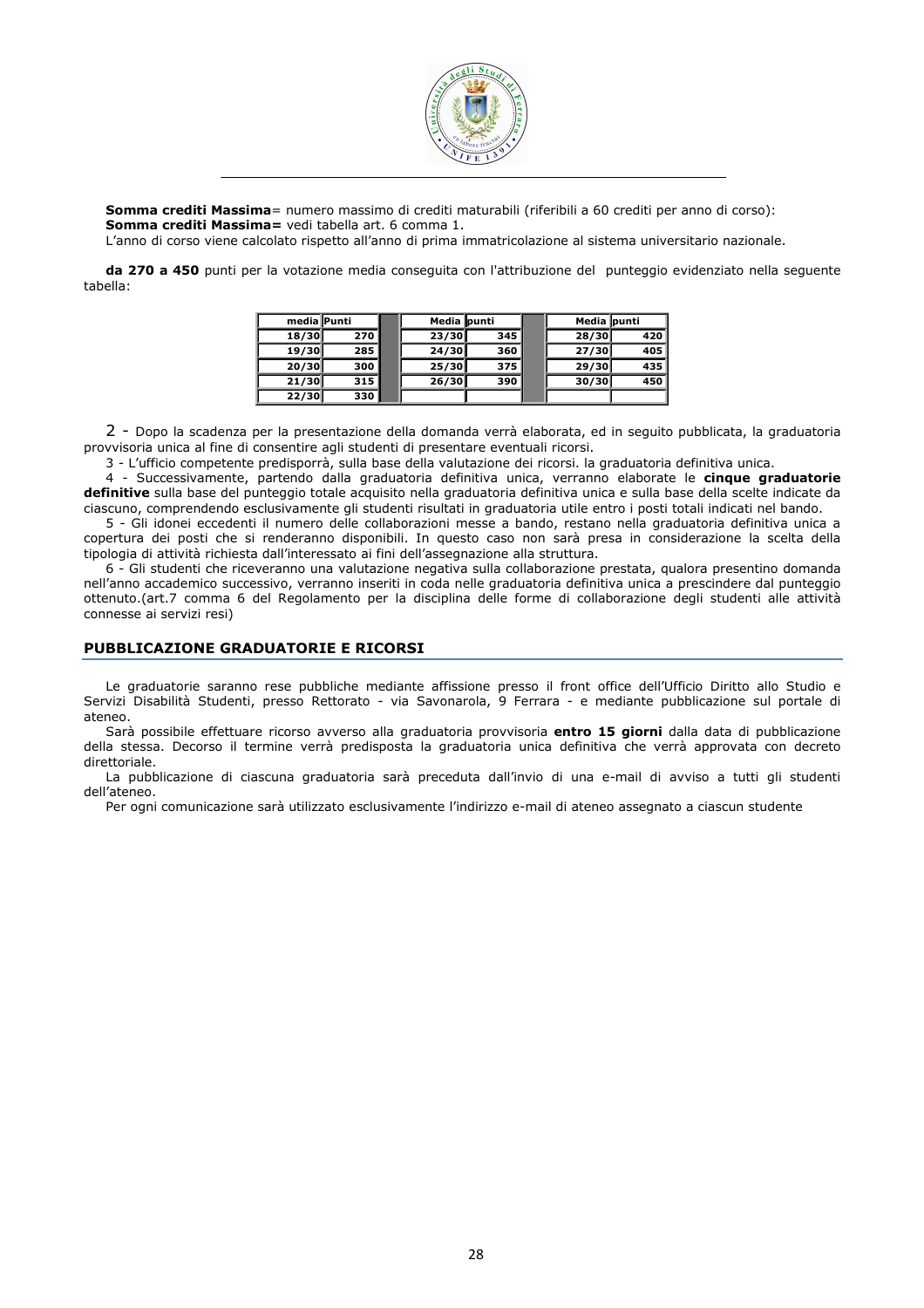

Somma crediti Massima= numero massimo di crediti maturabili (riferibili a 60 crediti per anno di corso): Somma crediti Massima= vedi tabella art. 6 comma 1.

L'anno di corso viene calcolato rispetto all'anno di prima immatricolazione al sistema universitario nazionale.

da 270 a 450 punti per la votazione media conseguita con l'attribuzione del punteggio evidenziato nella seguente tabella:

| media Punti |     | Media punti |       | Media punti |     |
|-------------|-----|-------------|-------|-------------|-----|
| 18/30       | 270 | 23/30       | 345   | 28/30       | 420 |
| 19/30       | 285 | 24/30       | 360 l | 27/30       | 405 |
| 20/30       | 300 | 25/30       | 375   | 29/30       | 435 |
| 21/30       | 315 | 26/30       | 390   | 30/30       | 450 |
| 22/30       | 330 |             |       |             |     |

2 - Dopo la scadenza per la presentazione della domanda verrà elaborata, ed in seguito pubblicata, la graduatoria provvisoria unica al fine di consentire agli studenti di presentare eventuali ricorsi.

3 - L'ufficio competente predisporrà, sulla base della valutazione dei ricorsi. la graduatoria definitiva unica.

4 - Successivamente, partendo dalla graduatoria definitiva unica, verranno elaborate le cinque graduatorie definitive sulla base del punteggio totale acquisito nella graduatoria definitiva unica e sulla base della scelte indicate da ciascuno, comprendendo esclusivamente gli studenti risultati in graduatoria utile entro i posti totali indicati nel bando.

5 - Gli idonei eccedenti il numero delle collaborazioni messe a bando, restano nella graduatoria definitiva unica a copertura dei posti che si renderanno disponibili. In questo caso non sarà presa in considerazione la scelta della tipologia di attività richiesta dall'interessato ai fini dell'assegnazione alla struttura.

6 - Gli studenti che riceveranno una valutazione negativa sulla collaborazione prestata, qualora presentino domanda nell'anno accademico successivo, verranno inseriti in coda nelle graduatoria definitiva unica a prescindere dal punteggio ottenuto.(art.7 comma 6 del Regolamento per la disciplina delle forme di collaborazione degli studenti alle attività connesse ai servizi resi)

# PUBBLICAZIONE GRADUATORIE E RICORSI

Le graduatorie saranno rese pubbliche mediante affissione presso il front office dell'Ufficio Diritto allo Studio e Servizi Disabilità Studenti, presso Rettorato - via Savonarola, 9 Ferrara - e mediante pubblicazione sul portale di ateneo.

Sarà possibile effettuare ricorso avverso alla graduatoria provvisoria entro 15 giorni dalla data di pubblicazione della stessa. Decorso il termine verrà predisposta la graduatoria unica definitiva che verrà approvata con decreto direttoriale.

La pubblicazione di ciascuna graduatoria sarà preceduta dall'invio di una e-mail di avviso a tutti gli studenti dell'ateneo.

Per ogni comunicazione sarà utilizzato esclusivamente l'indirizzo e-mail di ateneo assegnato a ciascun studente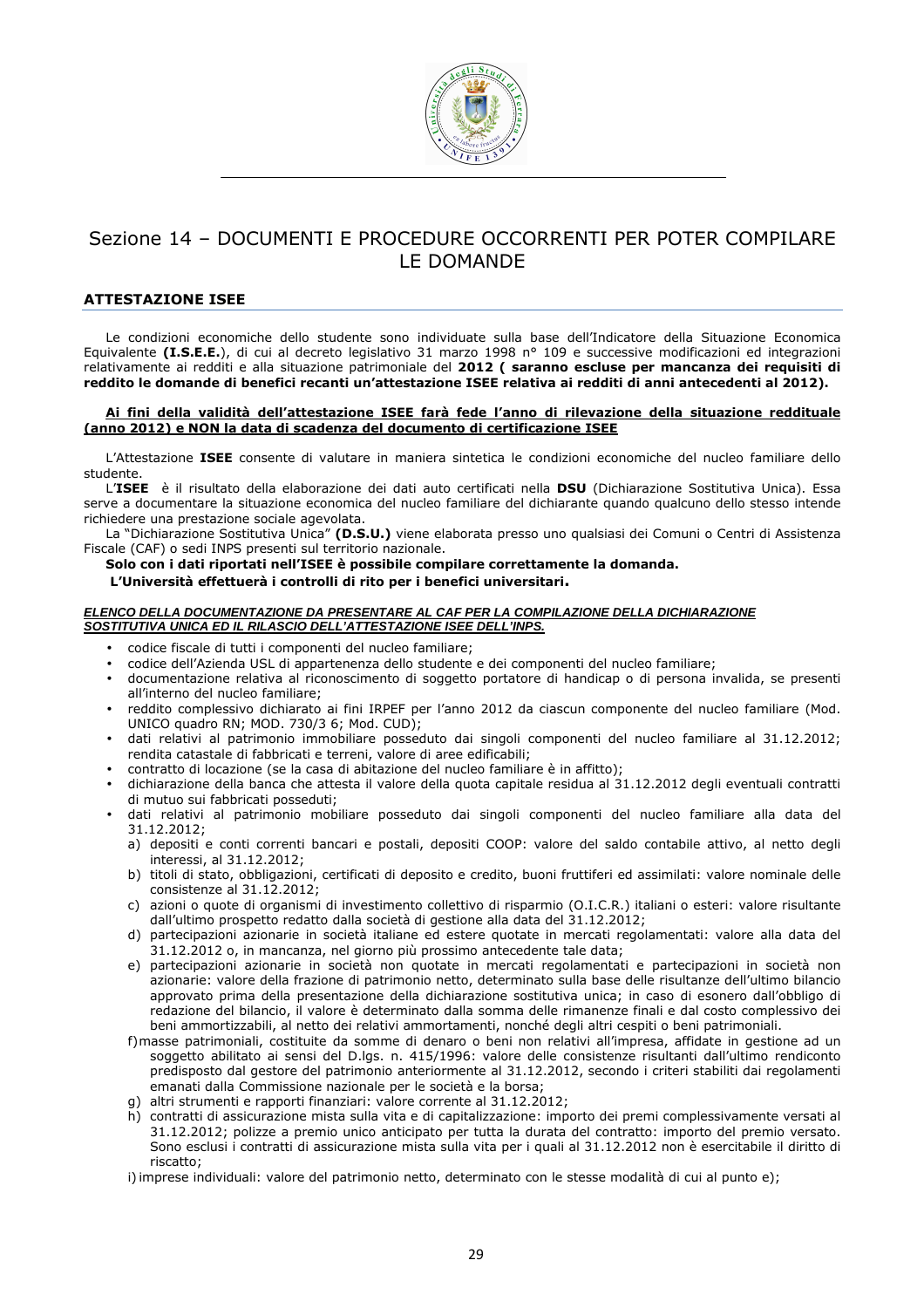

# Sezione 14 – DOCUMENTI E PROCEDURE OCCORRENTI PER POTER COMPILARE LE DOMANDE

## ATTESTAZIONE ISEE

Le condizioni economiche dello studente sono individuate sulla base dell'Indicatore della Situazione Economica Equivalente (I.S.E.E.), di cui al decreto legislativo 31 marzo 1998 n° 109 e successive modificazioni ed integrazioni relativamente ai redditi e alla situazione patrimoniale del 2012 ( saranno escluse per mancanza dei requisiti di reddito le domande di benefici recanti un'attestazione ISEE relativa ai redditi di anni antecedenti al 2012).

#### Ai fini della validità dell'attestazione ISEE farà fede l'anno di rilevazione della situazione reddituale (anno 2012) e NON la data di scadenza del documento di certificazione ISEE

L'Attestazione **ISEE** consente di valutare in maniera sintetica le condizioni economiche del nucleo familiare dello studente.

L'ISEE è il risultato della elaborazione dei dati auto certificati nella DSU (Dichiarazione Sostitutiva Unica). Essa serve a documentare la situazione economica del nucleo familiare del dichiarante quando qualcuno dello stesso intende richiedere una prestazione sociale agevolata.

La "Dichiarazione Sostitutiva Unica" (D.S.U.) viene elaborata presso uno qualsiasi dei Comuni o Centri di Assistenza Fiscale (CAF) o sedi INPS presenti sul territorio nazionale.

Solo con i dati riportati nell'ISEE è possibile compilare correttamente la domanda.

#### L'Università effettuerà i controlli di rito per i benefici universitari.

#### **ELENCO DELLA DOCUMENTAZIONE DA PRESENTARE AL CAF PER LA COMPILAZIONE DELLA DICHIARAZIONE SOSTITUTIVA UNICA ED IL RILASCIO DELL'ATTESTAZIONE ISEE DELL'INPS.**

- codice fiscale di tutti i componenti del nucleo familiare;
- codice dell'Azienda USL di appartenenza dello studente e dei componenti del nucleo familiare;
- documentazione relativa al riconoscimento di soggetto portatore di handicap o di persona invalida, se presenti all'interno del nucleo familiare;
- reddito complessivo dichiarato ai fini IRPEF per l'anno 2012 da ciascun componente del nucleo familiare (Mod. UNICO quadro RN; MOD. 730/3 6; Mod. CUD);
- dati relativi al patrimonio immobiliare posseduto dai singoli componenti del nucleo familiare al 31.12.2012; rendita catastale di fabbricati e terreni, valore di aree edificabili;
- contratto di locazione (se la casa di abitazione del nucleo familiare è in affitto);
- dichiarazione della banca che attesta il valore della quota capitale residua al 31.12.2012 degli eventuali contratti di mutuo sui fabbricati posseduti;
- dati relativi al patrimonio mobiliare posseduto dai singoli componenti del nucleo familiare alla data del 31.12.2012;
	- a) depositi e conti correnti bancari e postali, depositi COOP: valore del saldo contabile attivo, al netto degli interessi, al 31.12.2012;
	- b) titoli di stato, obbligazioni, certificati di deposito e credito, buoni fruttiferi ed assimilati: valore nominale delle consistenze al 31.12.2012;
	- c) azioni o quote di organismi di investimento collettivo di risparmio (O.I.C.R.) italiani o esteri: valore risultante dall'ultimo prospetto redatto dalla società di gestione alla data del 31.12.2012;
	- d) partecipazioni azionarie in società italiane ed estere quotate in mercati regolamentati: valore alla data del 31.12.2012 o, in mancanza, nel giorno più prossimo antecedente tale data;
	- e) partecipazioni azionarie in società non quotate in mercati regolamentati e partecipazioni in società non azionarie: valore della frazione di patrimonio netto, determinato sulla base delle risultanze dell'ultimo bilancio approvato prima della presentazione della dichiarazione sostitutiva unica; in caso di esonero dall'obbligo di redazione del bilancio, il valore è determinato dalla somma delle rimanenze finali e dal costo complessivo dei beni ammortizzabili, al netto dei relativi ammortamenti, nonché degli altri cespiti o beni patrimoniali.
	- f)masse patrimoniali, costituite da somme di denaro o beni non relativi all'impresa, affidate in gestione ad un soggetto abilitato ai sensi del D.lgs. n. 415/1996: valore delle consistenze risultanti dall'ultimo rendiconto predisposto dal gestore del patrimonio anteriormente al 31.12.2012, secondo i criteri stabiliti dai regolamenti emanati dalla Commissione nazionale per le società e la borsa;
	- g) altri strumenti e rapporti finanziari: valore corrente al 31.12.2012;
	- h) contratti di assicurazione mista sulla vita e di capitalizzazione: importo dei premi complessivamente versati al 31.12.2012; polizze a premio unico anticipato per tutta la durata del contratto: importo del premio versato. Sono esclusi i contratti di assicurazione mista sulla vita per i quali al 31.12.2012 non è esercitabile il diritto di riscatto;

i) imprese individuali: valore del patrimonio netto, determinato con le stesse modalità di cui al punto e);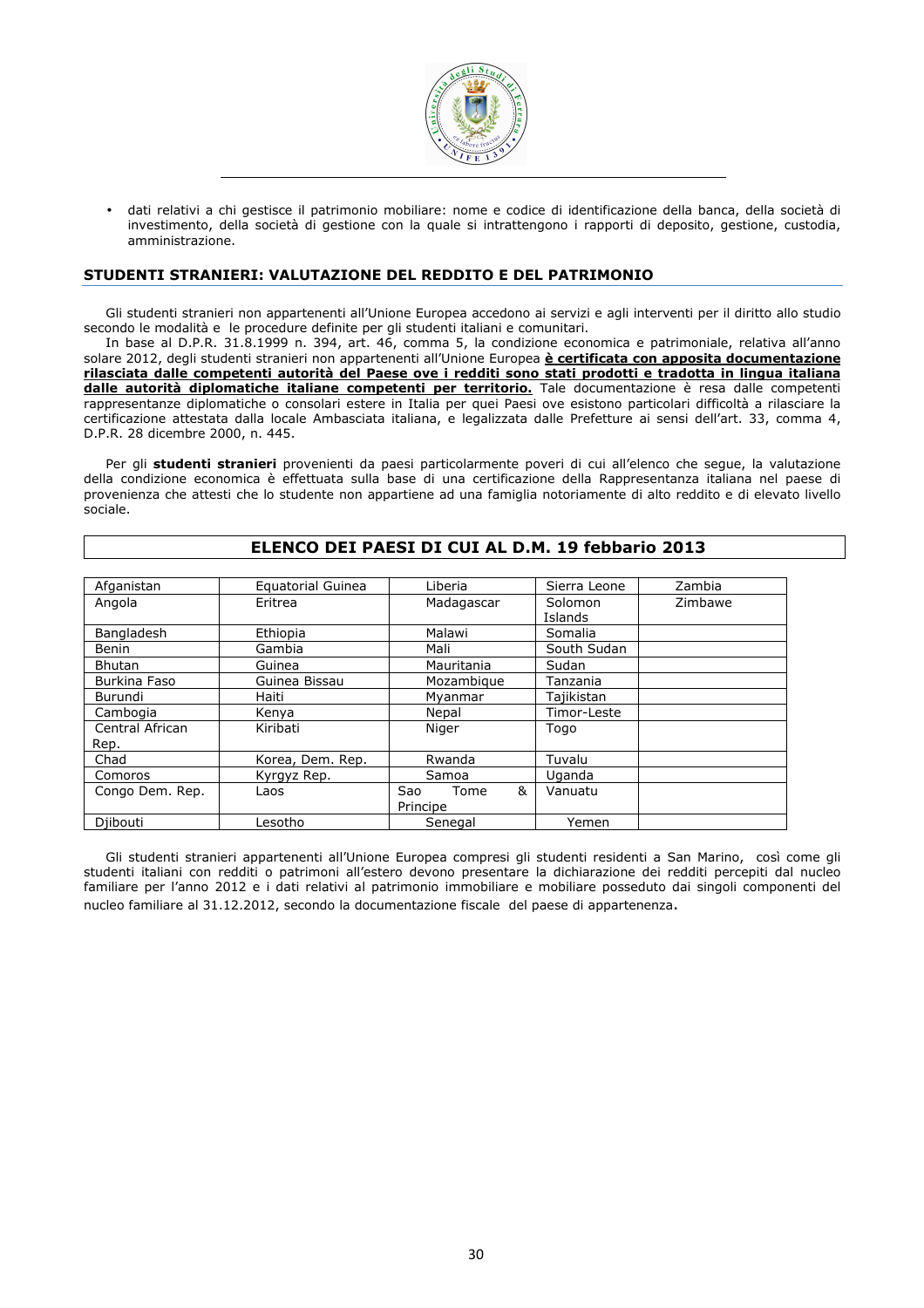

• dati relativi a chi gestisce il patrimonio mobiliare: nome e codice di identificazione della banca, della società di investimento, della società di gestione con la quale si intrattengono i rapporti di deposito, gestione, custodia, amministrazione.

#### STUDENTI STRANIERI: VALUTAZIONE DEL REDDITO E DEL PATRIMONIO

Gli studenti stranieri non appartenenti all'Unione Europea accedono ai servizi e agli interventi per il diritto allo studio secondo le modalità e le procedure definite per gli studenti italiani e comunitari.

In base al D.P.R. 31.8.1999 n. 394, art. 46, comma 5, la condizione economica e patrimoniale, relativa all'anno solare 2012, degli studenti stranieri non appartenenti all'Unione Europea è certificata con apposita documentazione rilasciata dalle competenti autorità del Paese ove i redditi sono stati prodotti e tradotta in lingua italiana dalle autorità diplomatiche italiane competenti per territorio. Tale documentazione è resa dalle competenti rappresentanze diplomatiche o consolari estere in Italia per quei Paesi ove esistono particolari difficoltà a rilasciare la certificazione attestata dalla locale Ambasciata italiana, e legalizzata dalle Prefetture ai sensi dell'art. 33, comma 4, D.P.R. 28 dicembre 2000, n. 445.

Per gli studenti stranieri provenienti da paesi particolarmente poveri di cui all'elenco che segue, la valutazione della condizione economica è effettuata sulla base di una certificazione della Rappresentanza italiana nel paese di provenienza che attesti che lo studente non appartiene ad una famiglia notoriamente di alto reddito e di elevato livello sociale.

| Afganistan      | Equatorial Guinea | Liberia          | Sierra Leone       | Zambia  |
|-----------------|-------------------|------------------|--------------------|---------|
| Angola          | Eritrea           | Madagascar       | Solomon<br>Islands | Zimbawe |
| Bangladesh      | Ethiopia          | Malawi           | Somalia            |         |
| <b>Benin</b>    | Gambia            | Mali             | South Sudan        |         |
| <b>Bhutan</b>   | Guinea            | Mauritania       | Sudan              |         |
| Burkina Faso    | Guinea Bissau     | Mozambique       | Tanzania           |         |
| Burundi         | Haiti             | Mvanmar          | Tajikistan         |         |
| Cambogia        | Kenya             | Nepal            | Timor-Leste        |         |
| Central African | Kiribati          | Niger            | Togo               |         |
| Rep.            |                   |                  |                    |         |
| Chad            | Korea, Dem. Rep.  | Rwanda           | Tuvalu             |         |
| Comoros         | Kyrgyz Rep.       | Samoa            | <b>Uganda</b>      |         |
| Congo Dem. Rep. | Laos              | &<br>Sao<br>Tome | Vanuatu            |         |
|                 |                   | Principe         |                    |         |
| Diibouti        | Lesotho           | Senegal          | Yemen              |         |

# ELENCO DEI PAESI DI CUI AL D.M. 19 febbario 2013

Gli studenti stranieri appartenenti all'Unione Europea compresi gli studenti residenti a San Marino, così come gli studenti italiani con redditi o patrimoni all'estero devono presentare la dichiarazione dei redditi percepiti dal nucleo familiare per l'anno 2012 e i dati relativi al patrimonio immobiliare e mobiliare posseduto dai singoli componenti del nucleo familiare al 31.12.2012, secondo la documentazione fiscale del paese di appartenenza.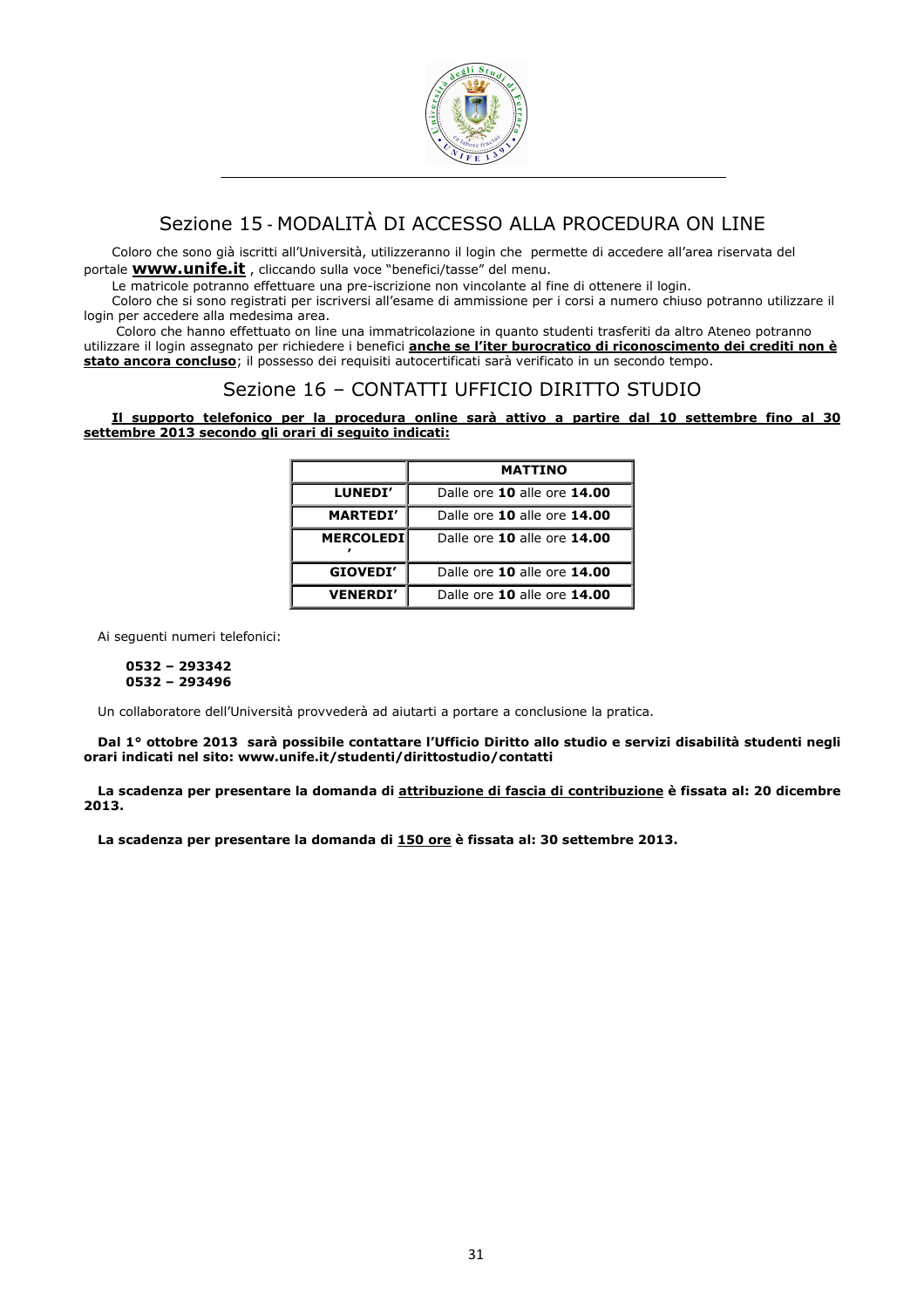

# Sezione 15 - MODALITÀ DI ACCESSO ALLA PROCEDURA ON LINE

Coloro che sono già iscritti all'Università, utilizzeranno il login che permette di accedere all'area riservata del portale **www.unife.it**, cliccando sulla voce "benefici/tasse" del menu.

Le matricole potranno effettuare una pre-iscrizione non vincolante al fine di ottenere il login.

Coloro che si sono registrati per iscriversi all'esame di ammissione per i corsi a numero chiuso potranno utilizzare il login per accedere alla medesima area.

 Coloro che hanno effettuato on line una immatricolazione in quanto studenti trasferiti da altro Ateneo potranno utilizzare il login assegnato per richiedere i benefici *anche se l'iter burocratico di riconoscimento dei crediti non è* stato ancora concluso; il possesso dei requisiti autocertificati sarà verificato in un secondo tempo.

# Sezione 16 – CONTATTI UFFICIO DIRITTO STUDIO

Il supporto telefonico per la procedura online sarà attivo a partire dal 10 settembre fino al 30 settembre 2013 secondo gli orari di seguito indicati:

|                  | <b>MATTINO</b>              |
|------------------|-----------------------------|
| LUNEDI'          | Dalle ore 10 alle ore 14.00 |
| <b>MARTEDI'</b>  | Dalle ore 10 alle ore 14.00 |
| <b>MERCOLEDI</b> | Dalle ore 10 alle ore 14.00 |
| GIOVEDI'         | Dalle ore 10 alle ore 14.00 |
| <b>VENERDI'</b>  | Dalle ore 10 alle ore 14.00 |

Ai seguenti numeri telefonici:

#### 0532 – 293342 0532 – 293496

Un collaboratore dell'Università provvederà ad aiutarti a portare a conclusione la pratica.

Dal 1° ottobre 2013 sarà possibile contattare l'Ufficio Diritto allo studio e servizi disabilità studenti negli orari indicati nel sito: www.unife.it/studenti/dirittostudio/contatti

La scadenza per presentare la domanda di attribuzione di fascia di contribuzione è fissata al: 20 dicembre 2013.

La scadenza per presentare la domanda di 150 ore è fissata al: 30 settembre 2013.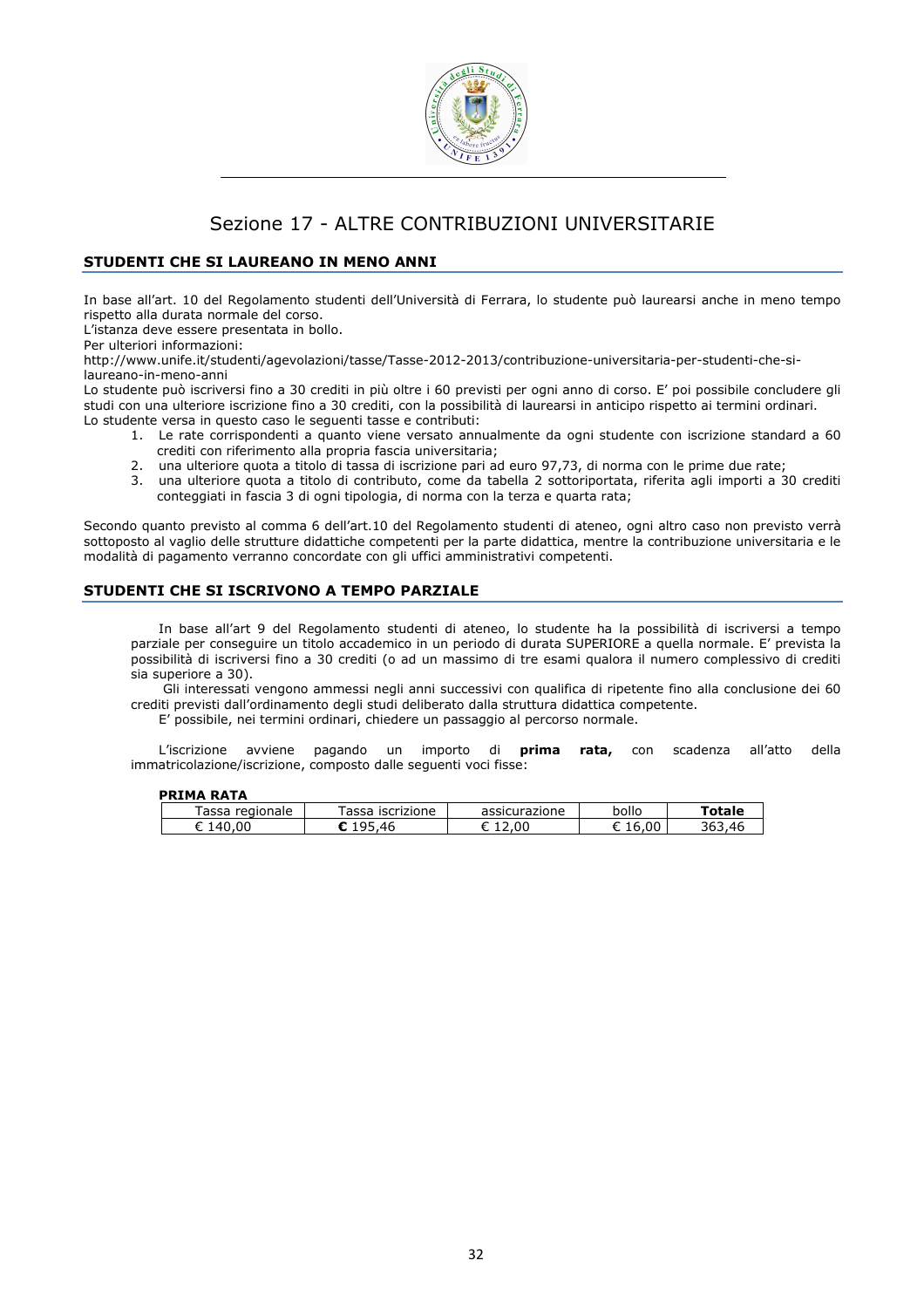

# Sezione 17 - ALTRE CONTRIBUZIONI UNIVERSITARIE

# STUDENTI CHE SI LAUREANO IN MENO ANNI

In base all'art. 10 del Regolamento studenti dell'Università di Ferrara, lo studente può laurearsi anche in meno tempo rispetto alla durata normale del corso.

L'istanza deve essere presentata in bollo.

Per ulteriori informazioni:

http://www.unife.it/studenti/agevolazioni/tasse/Tasse-2012-2013/contribuzione-universitaria-per-studenti-che-silaureano-in-meno-anni

Lo studente può iscriversi fino a 30 crediti in più oltre i 60 previsti per ogni anno di corso. E' poi possibile concludere gli studi con una ulteriore iscrizione fino a 30 crediti, con la possibilità di laurearsi in anticipo rispetto ai termini ordinari. Lo studente versa in questo caso le seguenti tasse e contributi:

- 1. Le rate corrispondenti a quanto viene versato annualmente da ogni studente con iscrizione standard a 60 crediti con riferimento alla propria fascia universitaria;
- 2. una ulteriore quota a titolo di tassa di iscrizione pari ad euro 97,73, di norma con le prime due rate;
- 3. una ulteriore quota a titolo di contributo, come da tabella 2 sottoriportata, riferita agli importi a 30 crediti conteggiati in fascia 3 di ogni tipologia, di norma con la terza e quarta rata;

Secondo quanto previsto al comma 6 dell'art.10 del Regolamento studenti di ateneo, ogni altro caso non previsto verrà sottoposto al vaglio delle strutture didattiche competenti per la parte didattica, mentre la contribuzione universitaria e le modalità di pagamento verranno concordate con gli uffici amministrativi competenti.

# STUDENTI CHE SI ISCRIVONO A TEMPO PARZIALE

In base all'art 9 del Regolamento studenti di ateneo, lo studente ha la possibilità di iscriversi a tempo parziale per conseguire un titolo accademico in un periodo di durata SUPERIORE a quella normale. E' prevista la possibilità di iscriversi fino a 30 crediti (o ad un massimo di tre esami qualora il numero complessivo di crediti sia superiore a 30).

 Gli interessati vengono ammessi negli anni successivi con qualifica di ripetente fino alla conclusione dei 60 crediti previsti dall'ordinamento degli studi deliberato dalla struttura didattica competente.

E' possibile, nei termini ordinari, chiedere un passaggio al percorso normale.

L'iscrizione avviene pagando un importo di **prima rata,** con scadenza all'atto della immatricolazione/iscrizione, composto dalle seguenti voci fisse:

## PRIMA RATA

| .                 |                           |                                         |                 |               |
|-------------------|---------------------------|-----------------------------------------|-----------------|---------------|
| regionale<br>assa | 200<br>iscrizione<br>assa | $\cdots$ - $\cdots$<br>urazione<br>assr | bollo           | ັດtale        |
| 00<br>ΛI          | ΔF                        | .00<br>∼                                | $\sim$<br>, v v | .46<br>–, ت∪ت |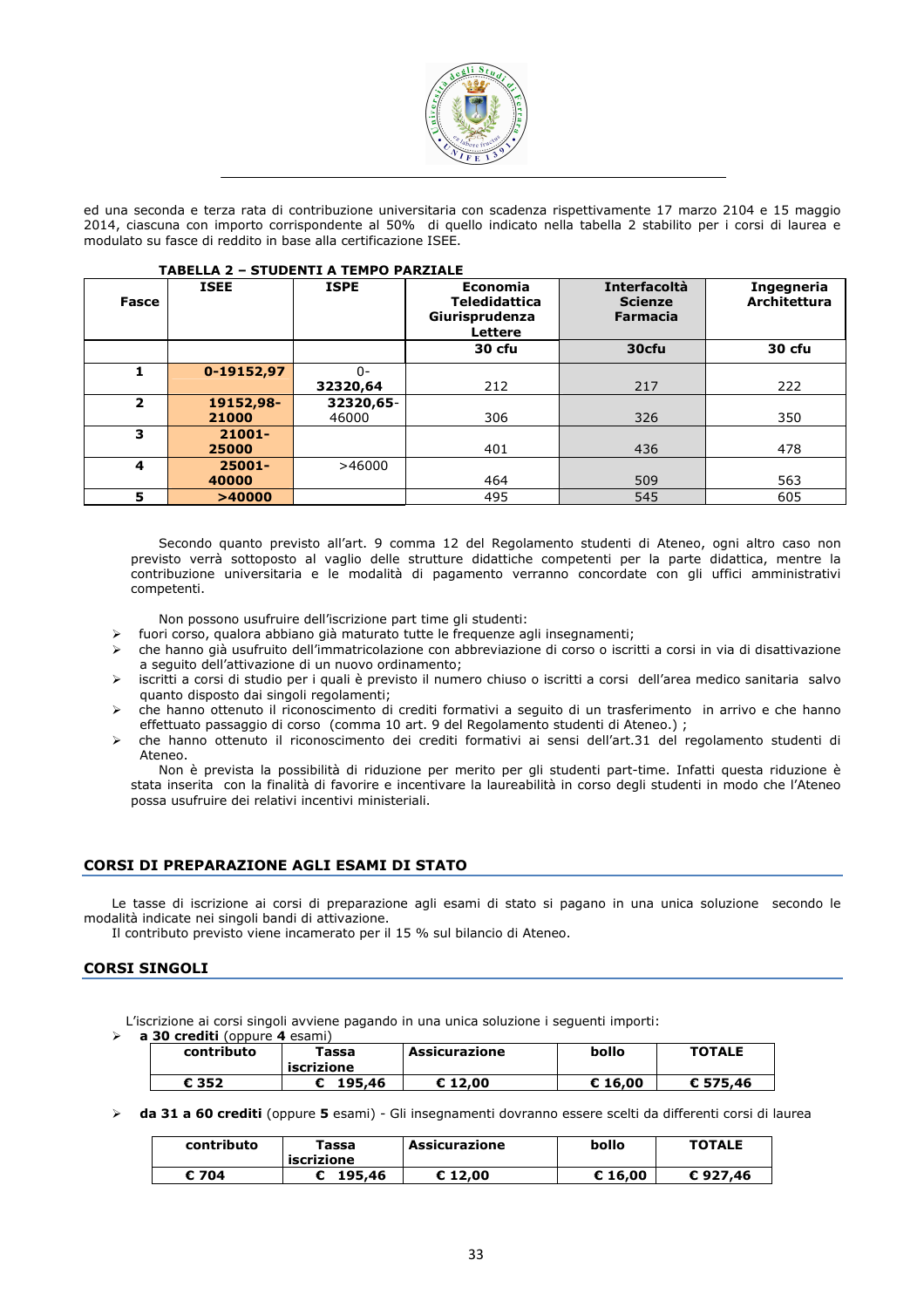

ed una seconda e terza rata di contribuzione universitaria con scadenza rispettivamente 17 marzo 2104 e 15 maggio 2014, ciascuna con importo corrispondente al 50% di quello indicato nella tabella 2 stabilito per i corsi di laurea e modulato su fasce di reddito in base alla certificazione ISEE.

| Fasce                   | <b>TABELLA 2 - STUDENTI A TEMPO PARZIALE</b><br><b>ISEE</b> | <b>ISPE</b> | Economia<br><b>Teledidattica</b><br>Giurisprudenza<br>Lettere | Interfacoltà<br><b>Scienze</b><br><b>Farmacia</b> | Ingegneria<br><b>Architettura</b> |
|-------------------------|-------------------------------------------------------------|-------------|---------------------------------------------------------------|---------------------------------------------------|-----------------------------------|
|                         |                                                             |             | 30 cfu                                                        | 30cfu                                             | 30 cfu                            |
| 1                       | 0-19152,97                                                  | $\Omega$ -  |                                                               |                                                   |                                   |
|                         |                                                             | 32320,64    | 212                                                           | 217                                               | 222                               |
| $\overline{\mathbf{2}}$ | 19152,98-                                                   | 32320,65-   |                                                               |                                                   |                                   |
|                         | 21000                                                       | 46000       | 306                                                           | 326                                               | 350                               |
| 3                       | $21001 -$                                                   |             |                                                               |                                                   |                                   |
|                         | 25000                                                       |             | 401                                                           | 436                                               | 478                               |
| 4                       | 25001-                                                      | >46000      |                                                               |                                                   |                                   |
|                         | 40000                                                       |             | 464                                                           | 509                                               | 563                               |
| 5                       | >40000                                                      |             | 495                                                           | 545                                               | 605                               |

Secondo quanto previsto all'art. 9 comma 12 del Regolamento studenti di Ateneo, ogni altro caso non previsto verrà sottoposto al vaglio delle strutture didattiche competenti per la parte didattica, mentre la contribuzione universitaria e le modalità di pagamento verranno concordate con gli uffici amministrativi competenti.

Non possono usufruire dell'iscrizione part time gli studenti:

- fuori corso, qualora abbiano già maturato tutte le frequenze agli insegnamenti;
- che hanno già usufruito dell'immatricolazione con abbreviazione di corso o iscritti a corsi in via di disattivazione a seguito dell'attivazione di un nuovo ordinamento;
- iscritti a corsi di studio per i quali è previsto il numero chiuso o iscritti a corsi dell'area medico sanitaria salvo quanto disposto dai singoli regolamenti;
- che hanno ottenuto il riconoscimento di crediti formativi a seguito di un trasferimento in arrivo e che hanno effettuato passaggio di corso (comma 10 art. 9 del Regolamento studenti di Ateneo.) ;
- che hanno ottenuto il riconoscimento dei crediti formativi ai sensi dell'art.31 del regolamento studenti di Ateneo.

Non è prevista la possibilità di riduzione per merito per gli studenti part-time. Infatti questa riduzione è stata inserita con la finalità di favorire e incentivare la laureabilità in corso degli studenti in modo che l'Ateneo possa usufruire dei relativi incentivi ministeriali.

# CORSI DI PREPARAZIONE AGLI ESAMI DI STATO

Le tasse di iscrizione ai corsi di preparazione agli esami di stato si pagano in una unica soluzione secondo le modalità indicate nei singoli bandi di attivazione.

Il contributo previsto viene incamerato per il 15 % sul bilancio di Ateneo.

# CORSI SINGOLI

L'iscrizione ai corsi singoli avviene pagando in una unica soluzione i seguenti importi: a 30 crediti (oppure 4 esami)

| $30$ creard (oppure $\div$ esample |                                 |               |         |               |  |  |  |  |
|------------------------------------|---------------------------------|---------------|---------|---------------|--|--|--|--|
| contributo                         | <sup>r</sup> assa<br>iscrizione | Assicurazione | bollo   | <b>TOTALE</b> |  |  |  |  |
| € 352                              | 195.46                          | $E$ 12.00     | € 16.00 | € 575,46      |  |  |  |  |

> da 31 a 60 crediti (oppure 5 esami) - Gli insegnamenti dovranno essere scelti da differenti corsi di laurea

| contributo | Tassa<br>iscrizione | Assicurazione | bollo   | <b>TOTALE</b> |
|------------|---------------------|---------------|---------|---------------|
| 704<br>c   | 195.46              | € 12.00       | € 16.00 | €927.46       |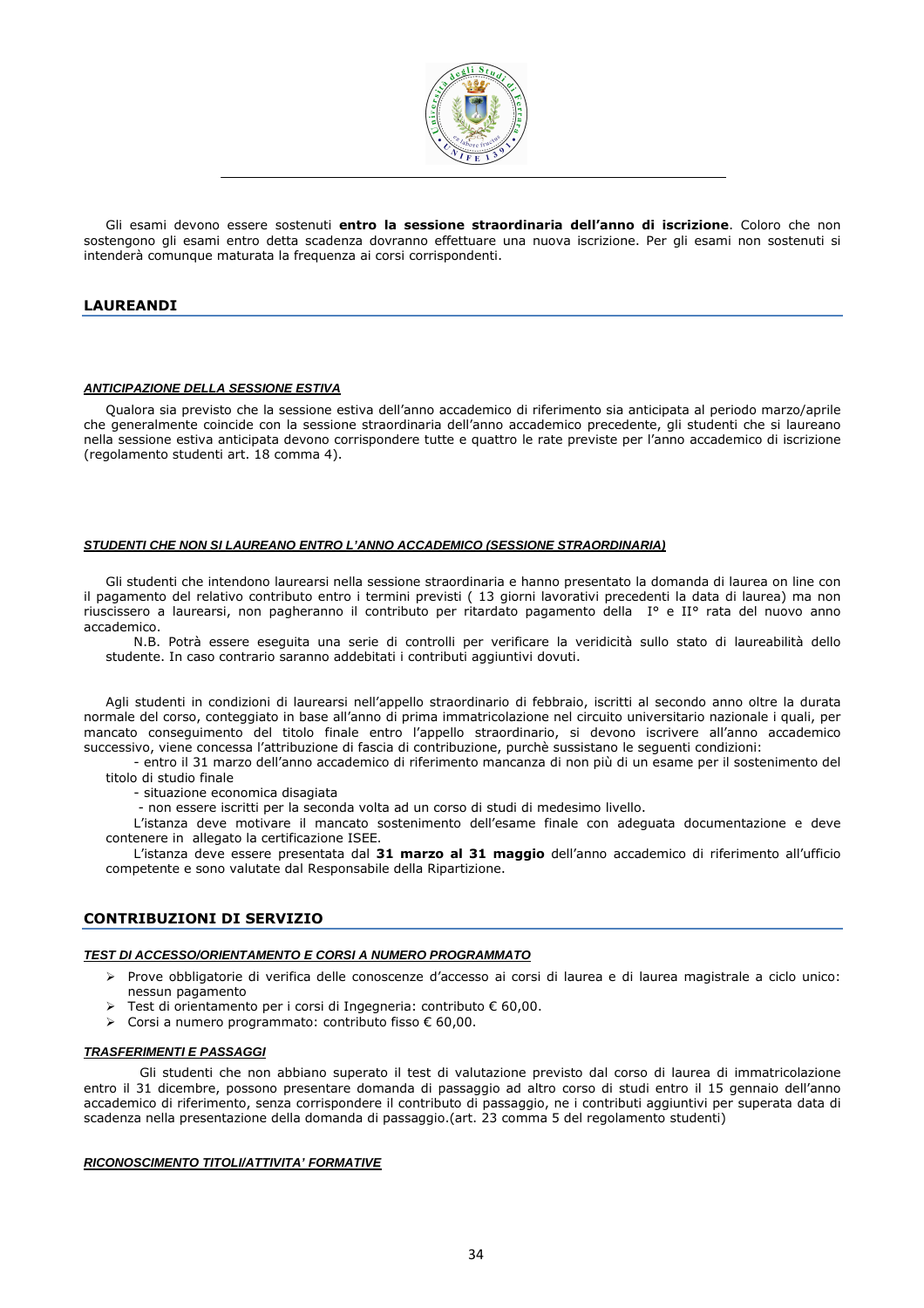

Gli esami devono essere sostenuti entro la sessione straordinaria dell'anno di iscrizione. Coloro che non sostengono gli esami entro detta scadenza dovranno effettuare una nuova iscrizione. Per gli esami non sostenuti si intenderà comunque maturata la frequenza ai corsi corrispondenti.

# LAUREANDI

#### **ANTICIPAZIONE DELLA SESSIONE ESTIVA**

Qualora sia previsto che la sessione estiva dell'anno accademico di riferimento sia anticipata al periodo marzo/aprile che generalmente coincide con la sessione straordinaria dell'anno accademico precedente, gli studenti che si laureano nella sessione estiva anticipata devono corrispondere tutte e quattro le rate previste per l'anno accademico di iscrizione (regolamento studenti art. 18 comma 4).

#### **STUDENTI CHE NON SI LAUREANO ENTRO L'ANNO ACCADEMICO (SESSIONE STRAORDINARIA)**

Gli studenti che intendono laurearsi nella sessione straordinaria e hanno presentato la domanda di laurea on line con il pagamento del relativo contributo entro i termini previsti ( 13 giorni lavorativi precedenti la data di laurea) ma non riuscissero a laurearsi, non pagheranno il contributo per ritardato pagamento della I° e II° rata del nuovo anno accademico.

N.B. Potrà essere eseguita una serie di controlli per verificare la veridicità sullo stato di laureabilità dello studente. In caso contrario saranno addebitati i contributi aggiuntivi dovuti.

Agli studenti in condizioni di laurearsi nell'appello straordinario di febbraio, iscritti al secondo anno oltre la durata normale del corso, conteggiato in base all'anno di prima immatricolazione nel circuito universitario nazionale i quali, per mancato conseguimento del titolo finale entro l'appello straordinario, si devono iscrivere all'anno accademico successivo, viene concessa l'attribuzione di fascia di contribuzione, purchè sussistano le seguenti condizioni:

- entro il 31 marzo dell'anno accademico di riferimento mancanza di non più di un esame per il sostenimento del titolo di studio finale

- situazione economica disagiata

- non essere iscritti per la seconda volta ad un corso di studi di medesimo livello.

L'istanza deve motivare il mancato sostenimento dell'esame finale con adeguata documentazione e deve contenere in allegato la certificazione ISEE.

L'istanza deve essere presentata dal 31 marzo al 31 maggio dell'anno accademico di riferimento all'ufficio competente e sono valutate dal Responsabile della Ripartizione.

# CONTRIBUZIONI DI SERVIZIO

#### **TEST DI ACCESSO/ORIENTAMENTO E CORSI A NUMERO PROGRAMMATO**

- Prove obbligatorie di verifica delle conoscenze d'accesso ai corsi di laurea e di laurea magistrale a ciclo unico: nessun pagamento
- Test di orientamento per i corsi di Ingegneria: contributo € 60,00.
- Corsi a numero programmato: contributo fisso € 60,00.

#### **TRASFERIMENTI E PASSAGGI**

Gli studenti che non abbiano superato il test di valutazione previsto dal corso di laurea di immatricolazione entro il 31 dicembre, possono presentare domanda di passaggio ad altro corso di studi entro il 15 gennaio dell'anno accademico di riferimento, senza corrispondere il contributo di passaggio, ne i contributi aggiuntivi per superata data di scadenza nella presentazione della domanda di passaggio.(art. 23 comma 5 del regolamento studenti)

#### **RICONOSCIMENTO TITOLI/ATTIVITA' FORMATIVE**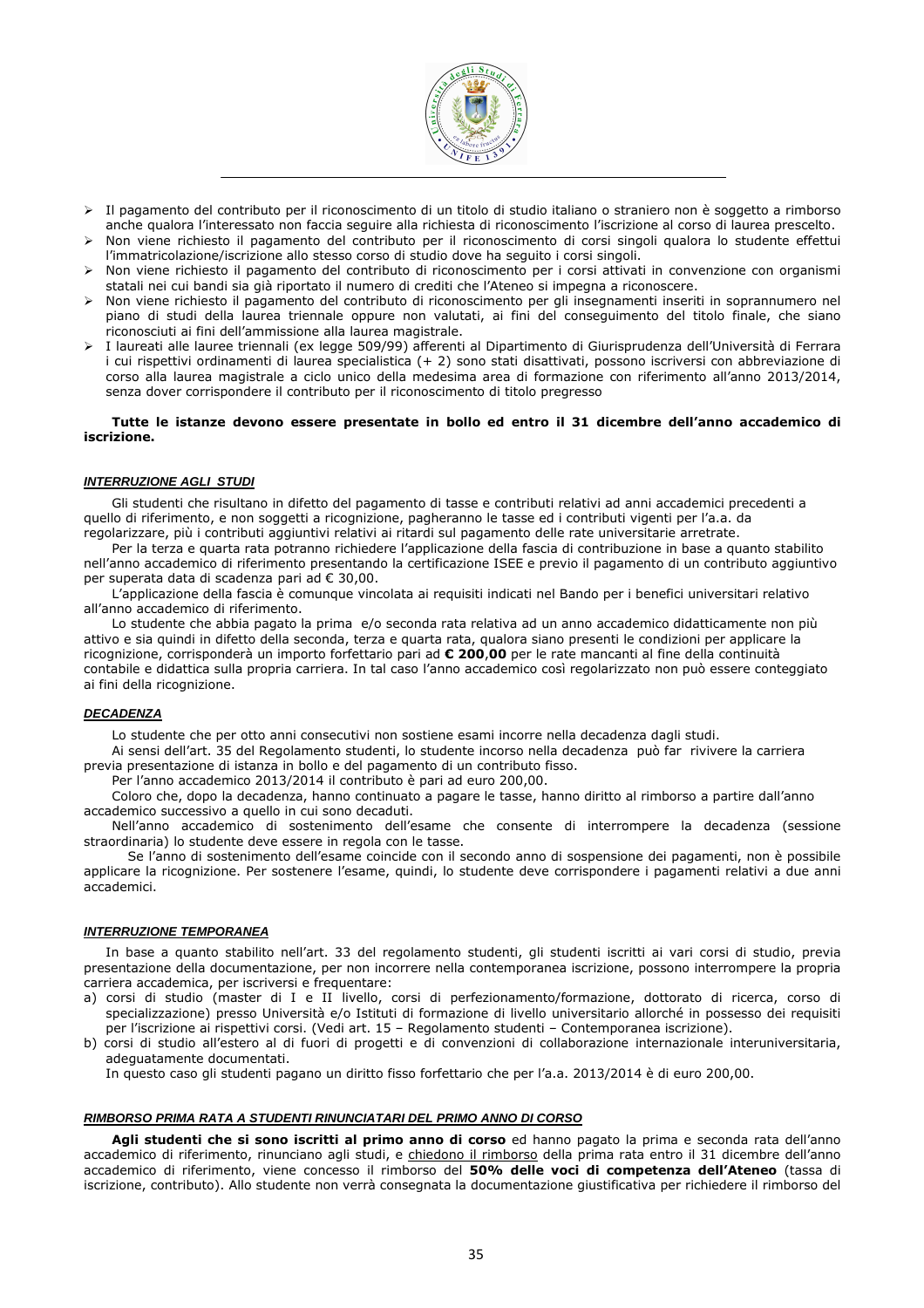

- Il pagamento del contributo per il riconoscimento di un titolo di studio italiano o straniero non è soggetto a rimborso anche qualora l'interessato non faccia seguire alla richiesta di riconoscimento l'iscrizione al corso di laurea prescelto.
- Non viene richiesto il pagamento del contributo per il riconoscimento di corsi singoli qualora lo studente effettui l'immatricolazione/iscrizione allo stesso corso di studio dove ha seguito i corsi singoli.
- Non viene richiesto il pagamento del contributo di riconoscimento per i corsi attivati in convenzione con organismi statali nei cui bandi sia già riportato il numero di crediti che l'Ateneo si impegna a riconoscere.
- Non viene richiesto il pagamento del contributo di riconoscimento per gli insegnamenti inseriti in soprannumero nel piano di studi della laurea triennale oppure non valutati, ai fini del conseguimento del titolo finale, che siano riconosciuti ai fini dell'ammissione alla laurea magistrale.
- I laureati alle lauree triennali (ex legge 509/99) afferenti al Dipartimento di Giurisprudenza dell'Università di Ferrara i cui rispettivi ordinamenti di laurea specialistica (+ 2) sono stati disattivati, possono iscriversi con abbreviazione di corso alla laurea magistrale a ciclo unico della medesima area di formazione con riferimento all'anno 2013/2014, senza dover corrispondere il contributo per il riconoscimento di titolo pregresso

#### Tutte le istanze devono essere presentate in bollo ed entro il 31 dicembre dell'anno accademico di iscrizione.

#### **INTERRUZIONE AGLI STUDI**

Gli studenti che risultano in difetto del pagamento di tasse e contributi relativi ad anni accademici precedenti a quello di riferimento, e non soggetti a ricognizione, pagheranno le tasse ed i contributi vigenti per l'a.a. da regolarizzare, più i contributi aggiuntivi relativi ai ritardi sul pagamento delle rate universitarie arretrate.

Per la terza e quarta rata potranno richiedere l'applicazione della fascia di contribuzione in base a quanto stabilito nell'anno accademico di riferimento presentando la certificazione ISEE e previo il pagamento di un contributo aggiuntivo per superata data di scadenza pari ad € 30,00.

L'applicazione della fascia è comunque vincolata ai requisiti indicati nel Bando per i benefici universitari relativo all'anno accademico di riferimento.

Lo studente che abbia pagato la prima e/o seconda rata relativa ad un anno accademico didatticamente non più attivo e sia quindi in difetto della seconda, terza e quarta rata, qualora siano presenti le condizioni per applicare la ricognizione, corrisponderà un importo forfettario pari ad € 200,00 per le rate mancanti al fine della continuità contabile e didattica sulla propria carriera. In tal caso l'anno accademico così regolarizzato non può essere conteggiato ai fini della ricognizione.

#### **DECADENZA**

Lo studente che per otto anni consecutivi non sostiene esami incorre nella decadenza dagli studi.

Ai sensi dell'art. 35 del Regolamento studenti, lo studente incorso nella decadenza può far rivivere la carriera previa presentazione di istanza in bollo e del pagamento di un contributo fisso.

Per l'anno accademico 2013/2014 il contributo è pari ad euro 200,00.

Coloro che, dopo la decadenza, hanno continuato a pagare le tasse, hanno diritto al rimborso a partire dall'anno accademico successivo a quello in cui sono decaduti.

Nell'anno accademico di sostenimento dell'esame che consente di interrompere la decadenza (sessione straordinaria) lo studente deve essere in regola con le tasse.

Se l'anno di sostenimento dell'esame coincide con il secondo anno di sospensione dei pagamenti, non è possibile applicare la ricognizione. Per sostenere l'esame, quindi, lo studente deve corrispondere i pagamenti relativi a due anni accademici.

## **INTERRUZIONE TEMPORANEA**

In base a quanto stabilito nell'art. 33 del regolamento studenti, gli studenti iscritti ai vari corsi di studio, previa presentazione della documentazione, per non incorrere nella contemporanea iscrizione, possono interrompere la propria carriera accademica, per iscriversi e frequentare:

- a) corsi di studio (master di I e II livello, corsi di perfezionamento/formazione, dottorato di ricerca, corso di specializzazione) presso Università e/o Istituti di formazione di livello universitario allorché in possesso dei requisiti per l'iscrizione ai rispettivi corsi. (Vedi art. 15 – Regolamento studenti – Contemporanea iscrizione).
- b) corsi di studio all'estero al di fuori di progetti e di convenzioni di collaborazione internazionale interuniversitaria, adeguatamente documentati.

In questo caso gli studenti pagano un diritto fisso forfettario che per l'a.a. 2013/2014 è di euro 200,00.

#### **RIMBORSO PRIMA RATA A STUDENTI RINUNCIATARI DEL PRIMO ANNO DI CORSO**

Agli studenti che si sono iscritti al primo anno di corso ed hanno pagato la prima e seconda rata dell'anno accademico di riferimento, rinunciano agli studi, e chiedono il rimborso della prima rata entro il 31 dicembre dell'anno accademico di riferimento, viene concesso il rimborso del 50% delle voci di competenza dell'Ateneo (tassa di iscrizione, contributo). Allo studente non verrà consegnata la documentazione giustificativa per richiedere il rimborso del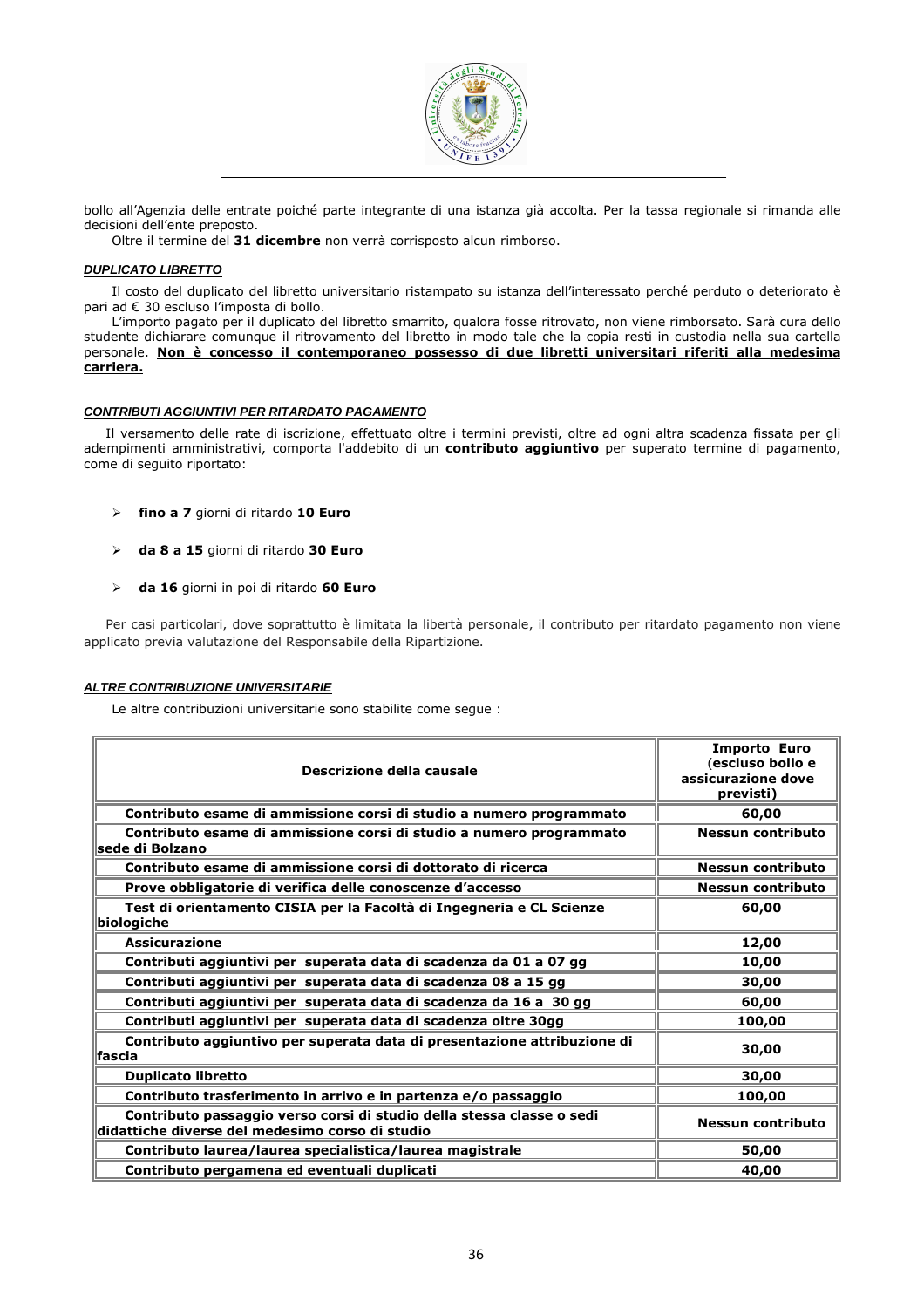

bollo all'Agenzia delle entrate poiché parte integrante di una istanza già accolta. Per la tassa regionale si rimanda alle decisioni dell'ente preposto.

Oltre il termine del 31 dicembre non verrà corrisposto alcun rimborso.

#### **DUPLICATO LIBRETTO**

Il costo del duplicato del libretto universitario ristampato su istanza dell'interessato perché perduto o deteriorato è pari ad € 30 escluso l'imposta di bollo.

L'importo pagato per il duplicato del libretto smarrito, qualora fosse ritrovato, non viene rimborsato. Sarà cura dello studente dichiarare comunque il ritrovamento del libretto in modo tale che la copia resti in custodia nella sua cartella personale. Non è concesso il contemporaneo possesso di due libretti universitari riferiti alla medesima carriera.

#### **CONTRIBUTI AGGIUNTIVI PER RITARDATO PAGAMENTO**

Il versamento delle rate di iscrizione, effettuato oltre i termini previsti, oltre ad ogni altra scadenza fissata per gli adempimenti amministrativi, comporta l'addebito di un contributo aggiuntivo per superato termine di pagamento, come di seguito riportato:

- > fino a 7 giorni di ritardo 10 Euro
- > da 8 a 15 giorni di ritardo 30 Euro
- $\triangleright$  da 16 giorni in poi di ritardo 60 Euro

Per casi particolari, dove soprattutto è limitata la libertà personale, il contributo per ritardato pagamento non viene applicato previa valutazione del Responsabile della Ripartizione.

#### **ALTRE CONTRIBUZIONE UNIVERSITARIE**

Le altre contribuzioni universitarie sono stabilite come segue :

| Descrizione della causale                                                                                                | <b>Importo Euro</b><br>(escluso bollo e<br>assicurazione dove<br>previsti) |
|--------------------------------------------------------------------------------------------------------------------------|----------------------------------------------------------------------------|
| Contributo esame di ammissione corsi di studio a numero programmato                                                      | 60,00                                                                      |
| Contributo esame di ammissione corsi di studio a numero programmato<br>lsede di Bolzano                                  | <b>Nessun contributo</b>                                                   |
| Contributo esame di ammissione corsi di dottorato di ricerca                                                             | Nessun contributo                                                          |
| Prove obbligatorie di verifica delle conoscenze d'accesso                                                                | <b>Nessun contributo</b>                                                   |
| Test di orientamento CISIA per la Facoltà di Ingegneria e CL Scienze<br>biologiche                                       | 60,00                                                                      |
| <b>Assicurazione</b>                                                                                                     | 12,00                                                                      |
| Contributi aggiuntivi per superata data di scadenza da 01 a 07 gg                                                        | 10,00                                                                      |
| Contributi aggiuntivi per superata data di scadenza 08 a 15 gg                                                           | 30,00                                                                      |
| Contributi aggiuntivi per superata data di scadenza da 16 a 30 gg                                                        | 60,00                                                                      |
| Contributi aggiuntivi per superata data di scadenza oltre 30gg                                                           | 100,00                                                                     |
| Contributo aggiuntivo per superata data di presentazione attribuzione di<br><b>lfascia</b>                               | 30,00                                                                      |
| <b>Duplicato libretto</b>                                                                                                | 30,00                                                                      |
| Contributo trasferimento in arrivo e in partenza e/o passaggio                                                           | 100,00                                                                     |
| Contributo passaggio verso corsi di studio della stessa classe o sedi<br>didattiche diverse del medesimo corso di studio | <b>Nessun contributo</b>                                                   |
| Contributo laurea/laurea specialistica/laurea magistrale                                                                 | 50,00                                                                      |
| Contributo pergamena ed eventuali duplicati                                                                              | 40,00                                                                      |